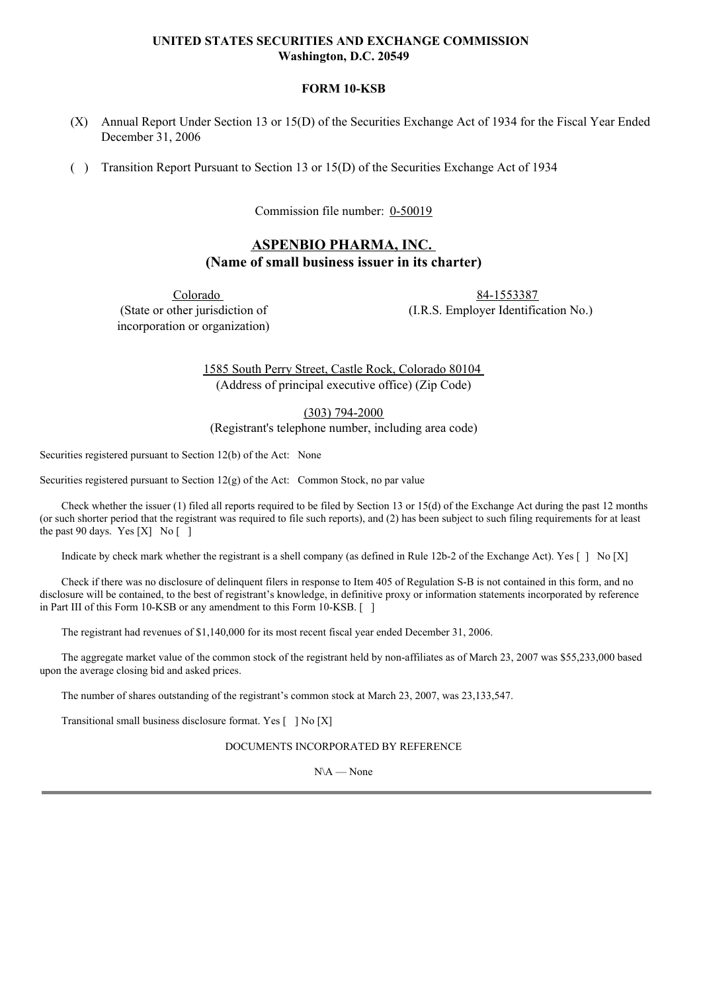# **UNITED STATES SECURITIES AND EXCHANGE COMMISSION Washington, D.C. 20549**

## **FORM 10-KSB**

- (X) Annual Report Under Section 13 or 15(D) of the Securities Exchange Act of 1934 for the Fiscal Year Ended December 31, 2006
- ( ) Transition Report Pursuant to Section 13 or 15(D) of the Securities Exchange Act of 1934

Commission file number: 0-50019

# **ASPENBIO PHARMA, INC. (Name of small business issuer in its charter)**

Colorado (State or other jurisdiction of incorporation or organization)

84-1553387 (I.R.S. Employer Identification No.)

1585 South Perry Street, Castle Rock, Colorado 80104 (Address of principal executive office) (Zip Code)

(303) 794-2000

(Registrant's telephone number, including area code)

Securities registered pursuant to Section 12(b) of the Act: None

Securities registered pursuant to Section 12(g) of the Act: Common Stock, no par value

Check whether the issuer (1) filed all reports required to be filed by Section 13 or 15(d) of the Exchange Act during the past 12 months (or such shorter period that the registrant was required to file such reports), and (2) has been subject to such filing requirements for at least the past 90 days. Yes [X] No [ ]

Indicate by check mark whether the registrant is a shell company (as defined in Rule 12b-2 of the Exchange Act). Yes [ ] No [X]

Check if there was no disclosure of delinquent filers in response to Item 405 of Regulation S-B is not contained in this form, and no disclosure will be contained, to the best of registrant's knowledge, in definitive proxy or information statements incorporated by reference in Part III of this Form 10-KSB or any amendment to this Form 10-KSB. [ ]

The registrant had revenues of \$1,140,000 for its most recent fiscal year ended December 31, 2006.

The aggregate market value of the common stock of the registrant held by non-affiliates as of March 23, 2007 was \$55,233,000 based upon the average closing bid and asked prices.

The number of shares outstanding of the registrant's common stock at March 23, 2007, was 23,133,547.

Transitional small business disclosure format. Yes [ ] No [X]

DOCUMENTS INCORPORATED BY REFERENCE

N\A — None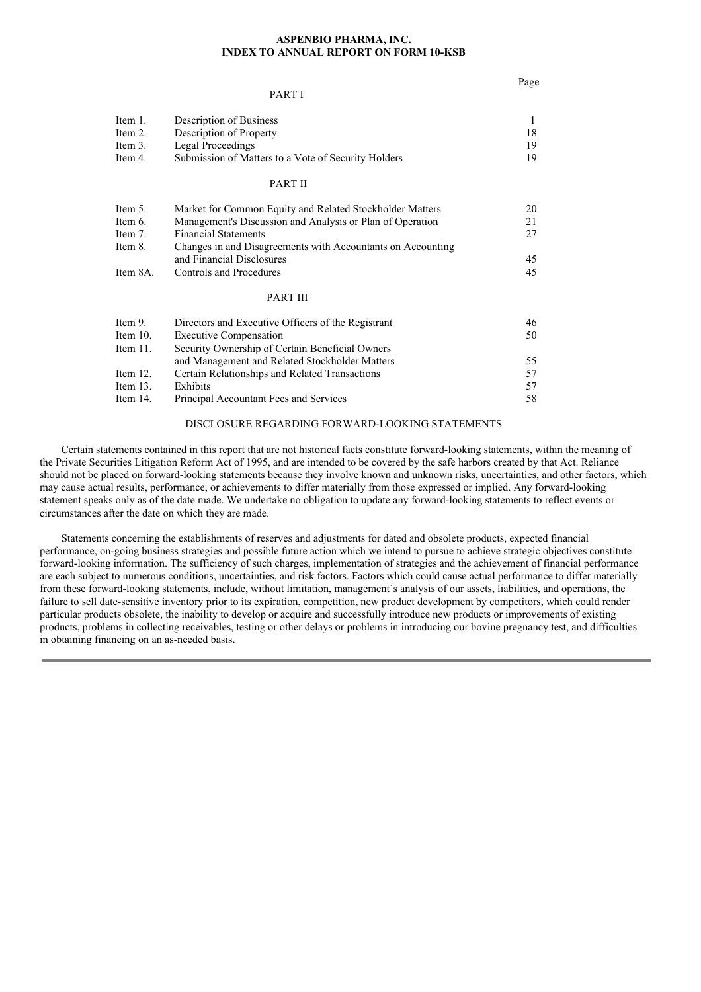#### **ASPENBIO PHARMA, INC. INDEX TO ANNUAL REPORT ON FORM 10-KSB**

Page

|          | PART I                                                      |    |
|----------|-------------------------------------------------------------|----|
| Item 1.  | Description of Business                                     | 1  |
| Item 2.  | Description of Property                                     | 18 |
| Item 3.  | <b>Legal Proceedings</b>                                    | 19 |
| Item 4.  | Submission of Matters to a Vote of Security Holders         | 19 |
|          | PART II                                                     |    |
| Item 5.  | Market for Common Equity and Related Stockholder Matters    | 20 |
| Item 6.  | Management's Discussion and Analysis or Plan of Operation   | 21 |
| Item 7.  | <b>Financial Statements</b>                                 | 27 |
| Item 8.  | Changes in and Disagreements with Accountants on Accounting |    |
|          | and Financial Disclosures                                   | 45 |
| Item 8A. | <b>Controls and Procedures</b>                              | 45 |
|          | <b>PART III</b>                                             |    |
| Item 9.  | Directors and Executive Officers of the Registrant          | 46 |
| Item 10. | <b>Executive Compensation</b>                               | 50 |
| Item 11. | Security Ownership of Certain Beneficial Owners             |    |
|          | and Management and Related Stockholder Matters              | 55 |
| Item 12. | Certain Relationships and Related Transactions              | 57 |
| Item 13. | Exhibits                                                    | 57 |
| Item 14. | Principal Accountant Fees and Services                      | 58 |
|          |                                                             |    |

## DISCLOSURE REGARDING FORWARD-LOOKING STATEMENTS

Certain statements contained in this report that are not historical facts constitute forward-looking statements, within the meaning of the Private Securities Litigation Reform Act of 1995, and are intended to be covered by the safe harbors created by that Act. Reliance should not be placed on forward-looking statements because they involve known and unknown risks, uncertainties, and other factors, which may cause actual results, performance, or achievements to differ materially from those expressed or implied. Any forward-looking statement speaks only as of the date made. We undertake no obligation to update any forward-looking statements to reflect events or circumstances after the date on which they are made.

Statements concerning the establishments of reserves and adjustments for dated and obsolete products, expected financial performance, on-going business strategies and possible future action which we intend to pursue to achieve strategic objectives constitute forward-looking information. The sufficiency of such charges, implementation of strategies and the achievement of financial performance are each subject to numerous conditions, uncertainties, and risk factors. Factors which could cause actual performance to differ materially from these forward-looking statements, include, without limitation, management's analysis of our assets, liabilities, and operations, the failure to sell date-sensitive inventory prior to its expiration, competition, new product development by competitors, which could render particular products obsolete, the inability to develop or acquire and successfully introduce new products or improvements of existing products, problems in collecting receivables, testing or other delays or problems in introducing our bovine pregnancy test, and difficulties in obtaining financing on an as-needed basis.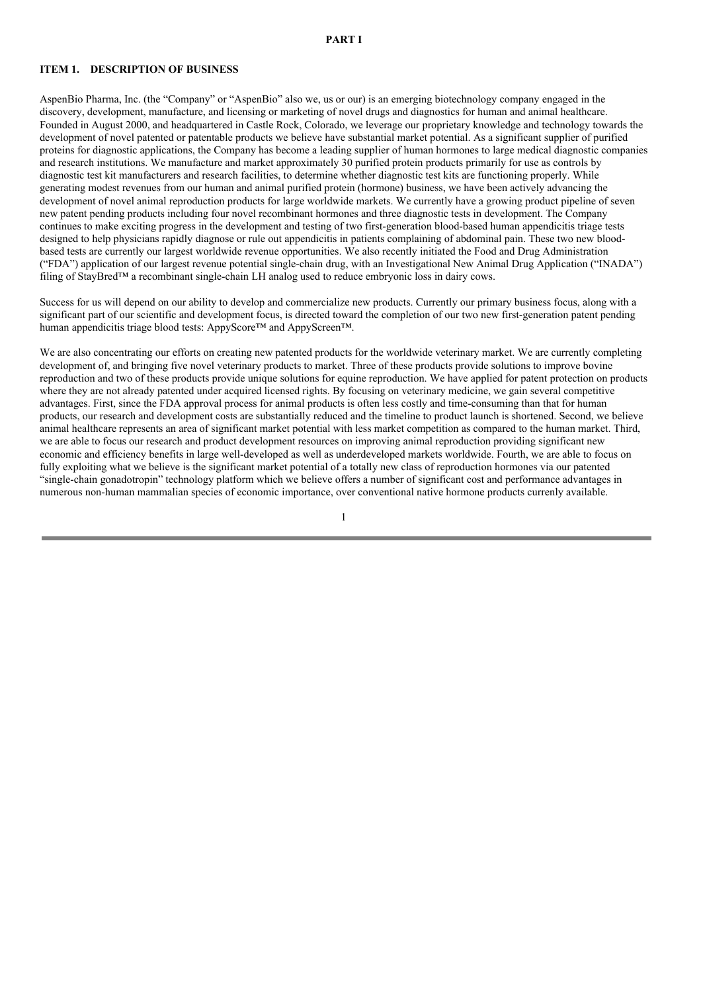## **ITEM 1. DESCRIPTION OF BUSINESS**

AspenBio Pharma, Inc. (the "Company" or "AspenBio" also we, us or our) is an emerging biotechnology company engaged in the discovery, development, manufacture, and licensing or marketing of novel drugs and diagnostics for human and animal healthcare. Founded in August 2000, and headquartered in Castle Rock, Colorado, we leverage our proprietary knowledge and technology towards the development of novel patented or patentable products we believe have substantial market potential. As a significant supplier of purified proteins for diagnostic applications, the Company has become a leading supplier of human hormones to large medical diagnostic companies and research institutions. We manufacture and market approximately 30 purified protein products primarily for use as controls by diagnostic test kit manufacturers and research facilities, to determine whether diagnostic test kits are functioning properly. While generating modest revenues from our human and animal purified protein (hormone) business, we have been actively advancing the development of novel animal reproduction products for large worldwide markets. We currently have a growing product pipeline of seven new patent pending products including four novel recombinant hormones and three diagnostic tests in development. The Company continues to make exciting progress in the development and testing of two first-generation blood-based human appendicitis triage tests designed to help physicians rapidly diagnose or rule out appendicitis in patients complaining of abdominal pain. These two new bloodbased tests are currently our largest worldwide revenue opportunities. We also recently initiated the Food and Drug Administration ("FDA") application of our largest revenue potential single-chain drug, with an Investigational New Animal Drug Application ("INADA") filing of StayBred™ a recombinant single-chain LH analog used to reduce embryonic loss in dairy cows.

Success for us will depend on our ability to develop and commercialize new products. Currently our primary business focus, along with a significant part of our scientific and development focus, is directed toward the completion of our two new first-generation patent pending human appendicitis triage blood tests: AppyScore™ and AppyScreen™.

We are also concentrating our efforts on creating new patented products for the worldwide veterinary market. We are currently completing development of, and bringing five novel veterinary products to market. Three of these products provide solutions to improve bovine reproduction and two of these products provide unique solutions for equine reproduction. We have applied for patent protection on products where they are not already patented under acquired licensed rights. By focusing on veterinary medicine, we gain several competitive advantages. First, since the FDA approval process for animal products is often less costly and time-consuming than that for human products, our research and development costs are substantially reduced and the timeline to product launch is shortened. Second, we believe animal healthcare represents an area of significant market potential with less market competition as compared to the human market. Third, we are able to focus our research and product development resources on improving animal reproduction providing significant new economic and efficiency benefits in large well-developed as well as underdeveloped markets worldwide. Fourth, we are able to focus on fully exploiting what we believe is the significant market potential of a totally new class of reproduction hormones via our patented "single-chain gonadotropin" technology platform which we believe offers a number of significant cost and performance advantages in numerous non-human mammalian species of economic importance, over conventional native hormone products currenly available.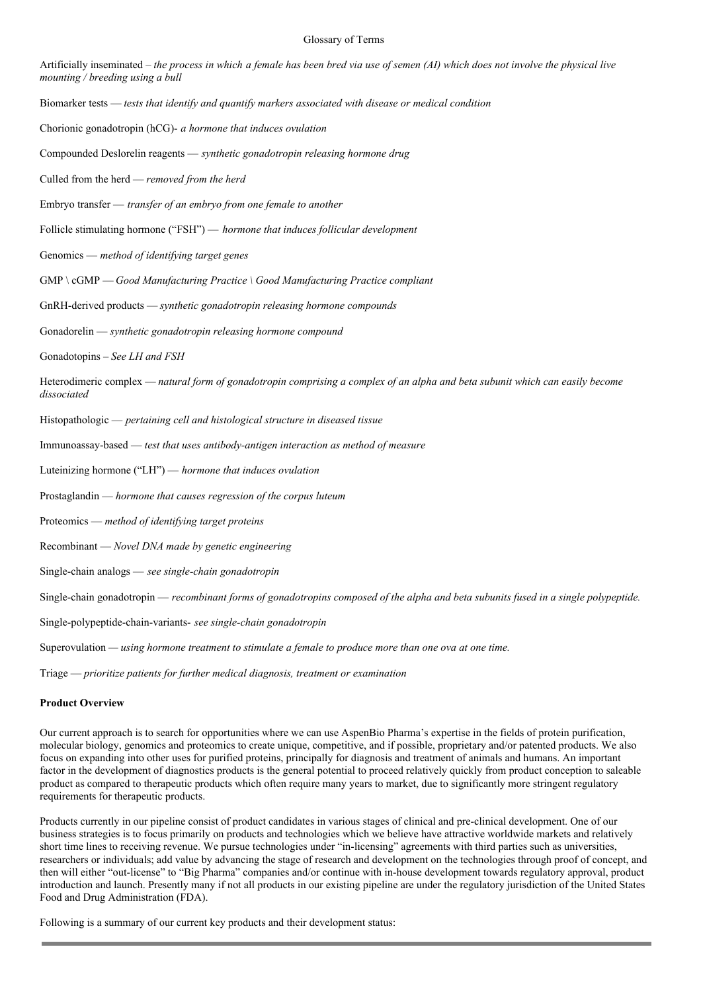#### Glossary of Terms

| Artificially inseminated – the process in which a female has been bred via use of semen (AI) which does not involve the physical live<br>mounting / breeding using a bull |
|---------------------------------------------------------------------------------------------------------------------------------------------------------------------------|
| Biomarker tests — tests that identify and quantify markers associated with disease or medical condition                                                                   |
| Chorionic gonadotropin (hCG)- a hormone that induces ovulation                                                                                                            |
| Compounded Deslorelin reagents - synthetic gonadotropin releasing hormone drug                                                                                            |
| Culled from the herd - removed from the herd                                                                                                                              |
| Embryo transfer - transfer of an embryo from one female to another                                                                                                        |
| Follicle stimulating hormone ("FSH") — hormone that induces follicular development                                                                                        |
| Genomics — method of identifying target genes                                                                                                                             |
| GMP \ cGMP - Good Manufacturing Practice \ Good Manufacturing Practice compliant                                                                                          |
| GnRH-derived products - synthetic gonadotropin releasing hormone compounds                                                                                                |
| Gonadorelin — synthetic gonadotropin releasing hormone compound                                                                                                           |
| Gonadotopins - See LH and FSH                                                                                                                                             |
| Heterodimeric complex — natural form of gonadotropin comprising a complex of an alpha and beta subunit which can easily become<br>dissociated                             |
| Histopathologic — pertaining cell and histological structure in diseased tissue                                                                                           |
| Immunoassay-based — test that uses antibody-antigen interaction as method of measure                                                                                      |
| Luteinizing hormone ("LH") — hormone that induces ovulation                                                                                                               |
| Prostaglandin — hormone that causes regression of the corpus luteum                                                                                                       |
| Proteomics — method of identifying target proteins                                                                                                                        |
| Recombinant — Novel DNA made by genetic engineering                                                                                                                       |
| Single-chain analogs — see single-chain gonadotropin                                                                                                                      |
| Single-chain gonadotropin — recombinant forms of gonadotropins composed of the alpha and beta subunits fused in a single polypeptide.                                     |
| Single-polypeptide-chain-variants- see single-chain gonadotropin                                                                                                          |
| Superovulation — using hormone treatment to stimulate a female to produce more than one ova at one time.                                                                  |
| Triage — prioritize patients for further medical diagnosis, treatment or examination                                                                                      |

## **Product Overview**

Our current approach is to search for opportunities where we can use AspenBio Pharma's expertise in the fields of protein purification, molecular biology, genomics and proteomics to create unique, competitive, and if possible, proprietary and/or patented products. We also focus on expanding into other uses for purified proteins, principally for diagnosis and treatment of animals and humans. An important factor in the development of diagnostics products is the general potential to proceed relatively quickly from product conception to saleable product as compared to therapeutic products which often require many years to market, due to significantly more stringent regulatory requirements for therapeutic products.

Products currently in our pipeline consist of product candidates in various stages of clinical and pre-clinical development. One of our business strategies is to focus primarily on products and technologies which we believe have attractive worldwide markets and relatively short time lines to receiving revenue. We pursue technologies under "in-licensing" agreements with third parties such as universities, researchers or individuals; add value by advancing the stage of research and development on the technologies through proof of concept, and then will either "out-license" to "Big Pharma" companies and/or continue with in-house development towards regulatory approval, product introduction and launch. Presently many if not all products in our existing pipeline are under the regulatory jurisdiction of the United States Food and Drug Administration (FDA).

Following is a summary of our current key products and their development status: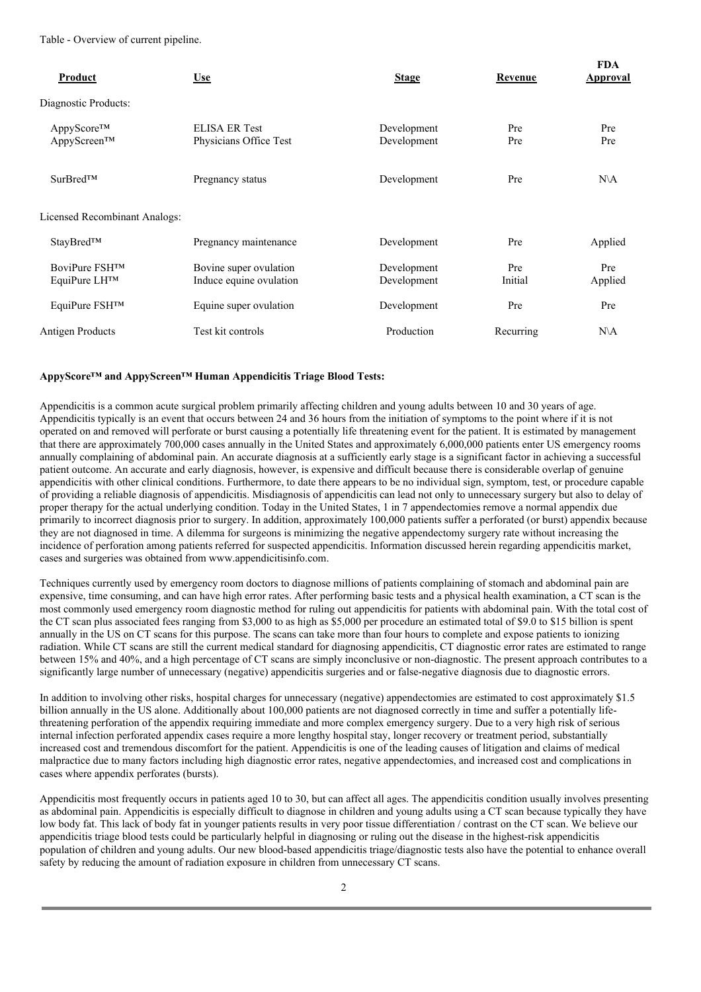Table - Overview of current pipeline.

| Product                       | <b>Use</b>                                        | <b>Stage</b>               | Revenue        | <b>FDA</b><br><b>Approval</b> |
|-------------------------------|---------------------------------------------------|----------------------------|----------------|-------------------------------|
| Diagnostic Products:          |                                                   |                            |                |                               |
| AppyScore™<br>AppyScreen™     | <b>ELISA ER Test</b><br>Physicians Office Test    | Development<br>Development | Pre<br>Pre     | Pre<br>Pre                    |
| SurBred™                      | Pregnancy status                                  | Development                | Pre            | $N\setminus A$                |
| Licensed Recombinant Analogs: |                                                   |                            |                |                               |
| StayBred™                     | Pregnancy maintenance                             | Development                | Pre            | Applied                       |
| BoviPure FSH™<br>EquiPure LH™ | Bovine super ovulation<br>Induce equine ovulation | Development<br>Development | Pre<br>Initial | Pre<br>Applied                |
| EquiPure FSH™                 | Equine super ovulation                            | Development                | Pre            | Pre                           |
| Antigen Products              | Test kit controls                                 | Production                 | Recurring      | $N\setminus A$                |

## **AppyScore™ and AppyScreen™ Human Appendicitis Triage Blood Tests:**

Appendicitis is a common acute surgical problem primarily affecting children and young adults between 10 and 30 years of age. Appendicitis typically is an event that occurs between 24 and 36 hours from the initiation of symptoms to the point where if it is not operated on and removed will perforate or burst causing a potentially life threatening event for the patient. It is estimated by management that there are approximately 700,000 cases annually in the United States and approximately 6,000,000 patients enter US emergency rooms annually complaining of abdominal pain. An accurate diagnosis at a sufficiently early stage is a significant factor in achieving a successful patient outcome. An accurate and early diagnosis, however, is expensive and difficult because there is considerable overlap of genuine appendicitis with other clinical conditions. Furthermore, to date there appears to be no individual sign, symptom, test, or procedure capable of providing a reliable diagnosis of appendicitis. Misdiagnosis of appendicitis can lead not only to unnecessary surgery but also to delay of proper therapy for the actual underlying condition. Today in the United States, 1 in 7 appendectomies remove a normal appendix due primarily to incorrect diagnosis prior to surgery. In addition, approximately 100,000 patients suffer a perforated (or burst) appendix because they are not diagnosed in time. A dilemma for surgeons is minimizing the negative appendectomy surgery rate without increasing the incidence of perforation among patients referred for suspected appendicitis. Information discussed herein regarding appendicitis market, cases and surgeries was obtained from www.appendicitisinfo.com.

Techniques currently used by emergency room doctors to diagnose millions of patients complaining of stomach and abdominal pain are expensive, time consuming, and can have high error rates. After performing basic tests and a physical health examination, a CT scan is the most commonly used emergency room diagnostic method for ruling out appendicitis for patients with abdominal pain. With the total cost of the CT scan plus associated fees ranging from \$3,000 to as high as \$5,000 per procedure an estimated total of \$9.0 to \$15 billion is spent annually in the US on CT scans for this purpose. The scans can take more than four hours to complete and expose patients to ionizing radiation. While CT scans are still the current medical standard for diagnosing appendicitis, CT diagnostic error rates are estimated to range between 15% and 40%, and a high percentage of CT scans are simply inconclusive or non-diagnostic. The present approach contributes to a significantly large number of unnecessary (negative) appendicitis surgeries and or false-negative diagnosis due to diagnostic errors.

In addition to involving other risks, hospital charges for unnecessary (negative) appendectomies are estimated to cost approximately \$1.5 billion annually in the US alone. Additionally about 100,000 patients are not diagnosed correctly in time and suffer a potentially lifethreatening perforation of the appendix requiring immediate and more complex emergency surgery. Due to a very high risk of serious internal infection perforated appendix cases require a more lengthy hospital stay, longer recovery or treatment period, substantially increased cost and tremendous discomfort for the patient. Appendicitis is one of the leading causes of litigation and claims of medical malpractice due to many factors including high diagnostic error rates, negative appendectomies, and increased cost and complications in cases where appendix perforates (bursts).

Appendicitis most frequently occurs in patients aged 10 to 30, but can affect all ages. The appendicitis condition usually involves presenting as abdominal pain. Appendicitis is especially difficult to diagnose in children and young adults using a CT scan because typically they have low body fat. This lack of body fat in younger patients results in very poor tissue differentiation / contrast on the CT scan. We believe our appendicitis triage blood tests could be particularly helpful in diagnosing or ruling out the disease in the highest-risk appendicitis population of children and young adults. Our new blood-based appendicitis triage/diagnostic tests also have the potential to enhance overall safety by reducing the amount of radiation exposure in children from unnecessary CT scans.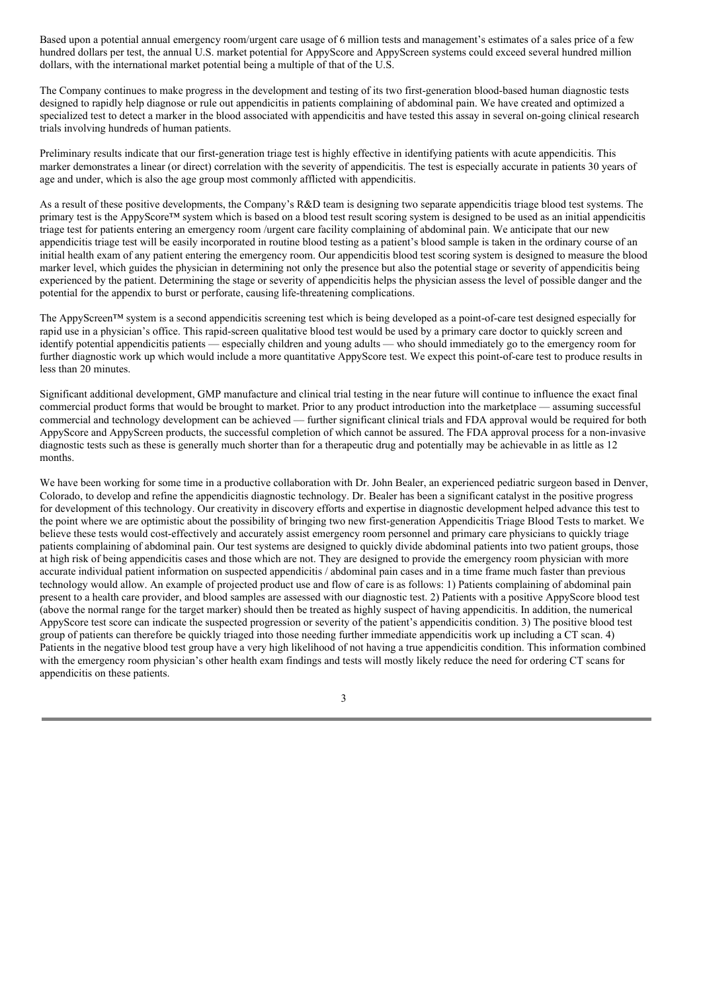Based upon a potential annual emergency room/urgent care usage of 6 million tests and management's estimates of a sales price of a few hundred dollars per test, the annual U.S. market potential for AppyScore and AppyScreen systems could exceed several hundred million dollars, with the international market potential being a multiple of that of the U.S.

The Company continues to make progress in the development and testing of its two first-generation blood-based human diagnostic tests designed to rapidly help diagnose or rule out appendicitis in patients complaining of abdominal pain. We have created and optimized a specialized test to detect a marker in the blood associated with appendicitis and have tested this assay in several on-going clinical research trials involving hundreds of human patients.

Preliminary results indicate that our first-generation triage test is highly effective in identifying patients with acute appendicitis. This marker demonstrates a linear (or direct) correlation with the severity of appendicitis. The test is especially accurate in patients 30 years of age and under, which is also the age group most commonly afflicted with appendicitis.

As a result of these positive developments, the Company's R&D team is designing two separate appendicitis triage blood test systems. The primary test is the AppyScore™ system which is based on a blood test result scoring system is designed to be used as an initial appendicitis triage test for patients entering an emergency room /urgent care facility complaining of abdominal pain. We anticipate that our new appendicitis triage test will be easily incorporated in routine blood testing as a patient's blood sample is taken in the ordinary course of an initial health exam of any patient entering the emergency room. Our appendicitis blood test scoring system is designed to measure the blood marker level, which guides the physician in determining not only the presence but also the potential stage or severity of appendicitis being experienced by the patient. Determining the stage or severity of appendicitis helps the physician assess the level of possible danger and the potential for the appendix to burst or perforate, causing life-threatening complications.

The AppyScreen™ system is a second appendicitis screening test which is being developed as a point-of-care test designed especially for rapid use in a physician's office. This rapid-screen qualitative blood test would be used by a primary care doctor to quickly screen and identify potential appendicitis patients — especially children and young adults — who should immediately go to the emergency room for further diagnostic work up which would include a more quantitative AppyScore test. We expect this point-of-care test to produce results in less than 20 minutes.

Significant additional development, GMP manufacture and clinical trial testing in the near future will continue to influence the exact final commercial product forms that would be brought to market. Prior to any product introduction into the marketplace — assuming successful commercial and technology development can be achieved — further significant clinical trials and FDA approval would be required for both AppyScore and AppyScreen products, the successful completion of which cannot be assured. The FDA approval process for a non-invasive diagnostic tests such as these is generally much shorter than for a therapeutic drug and potentially may be achievable in as little as 12 months.

We have been working for some time in a productive collaboration with Dr. John Bealer, an experienced pediatric surgeon based in Denver, Colorado, to develop and refine the appendicitis diagnostic technology. Dr. Bealer has been a significant catalyst in the positive progress for development of this technology. Our creativity in discovery efforts and expertise in diagnostic development helped advance this test to the point where we are optimistic about the possibility of bringing two new first-generation Appendicitis Triage Blood Tests to market. We believe these tests would cost-effectively and accurately assist emergency room personnel and primary care physicians to quickly triage patients complaining of abdominal pain. Our test systems are designed to quickly divide abdominal patients into two patient groups, those at high risk of being appendicitis cases and those which are not. They are designed to provide the emergency room physician with more accurate individual patient information on suspected appendicitis / abdominal pain cases and in a time frame much faster than previous technology would allow. An example of projected product use and flow of care is as follows: 1) Patients complaining of abdominal pain present to a health care provider, and blood samples are assessed with our diagnostic test. 2) Patients with a positive AppyScore blood test (above the normal range for the target marker) should then be treated as highly suspect of having appendicitis. In addition, the numerical AppyScore test score can indicate the suspected progression or severity of the patient's appendicitis condition. 3) The positive blood test group of patients can therefore be quickly triaged into those needing further immediate appendicitis work up including a CT scan. 4) Patients in the negative blood test group have a very high likelihood of not having a true appendicitis condition. This information combined with the emergency room physician's other health exam findings and tests will mostly likely reduce the need for ordering CT scans for appendicitis on these patients.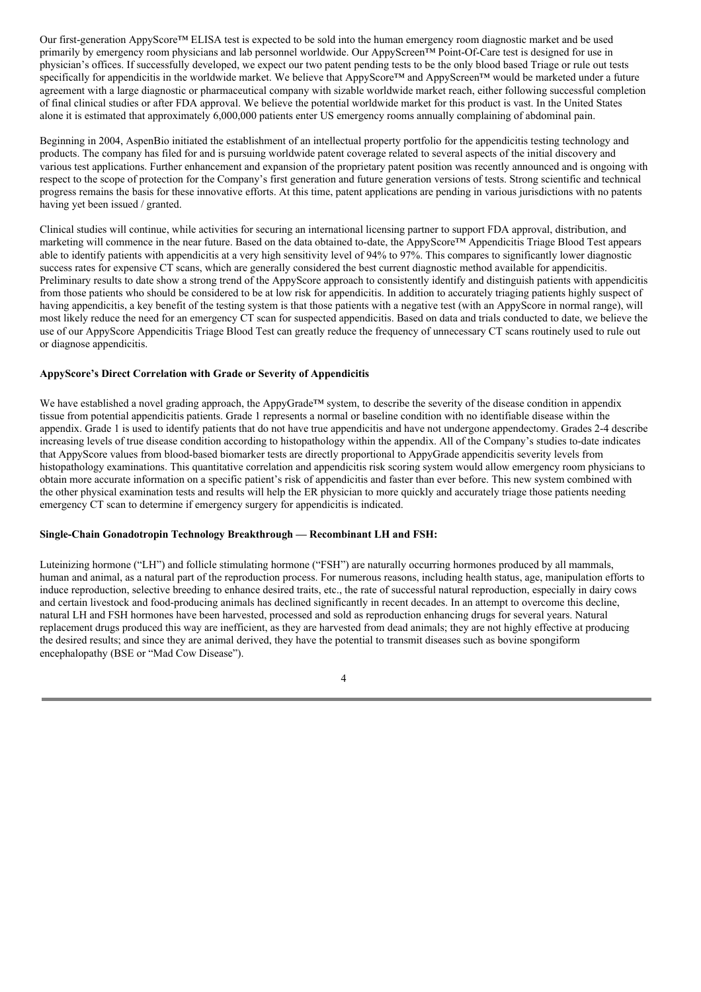Our first-generation AppyScore™ ELISA test is expected to be sold into the human emergency room diagnostic market and be used primarily by emergency room physicians and lab personnel worldwide. Our AppyScreen™ Point-Of-Care test is designed for use in physician's offices. If successfully developed, we expect our two patent pending tests to be the only blood based Triage or rule out tests specifically for appendicitis in the worldwide market. We believe that AppyScore™ and AppyScreen™ would be marketed under a future agreement with a large diagnostic or pharmaceutical company with sizable worldwide market reach, either following successful completion of final clinical studies or after FDA approval. We believe the potential worldwide market for this product is vast. In the United States alone it is estimated that approximately 6,000,000 patients enter US emergency rooms annually complaining of abdominal pain.

Beginning in 2004, AspenBio initiated the establishment of an intellectual property portfolio for the appendicitis testing technology and products. The company has filed for and is pursuing worldwide patent coverage related to several aspects of the initial discovery and various test applications. Further enhancement and expansion of the proprietary patent position was recently announced and is ongoing with respect to the scope of protection for the Company's first generation and future generation versions of tests. Strong scientific and technical progress remains the basis for these innovative efforts. At this time, patent applications are pending in various jurisdictions with no patents having yet been issued / granted.

Clinical studies will continue, while activities for securing an international licensing partner to support FDA approval, distribution, and marketing will commence in the near future. Based on the data obtained to-date, the AppyScore™ Appendicitis Triage Blood Test appears able to identify patients with appendicitis at a very high sensitivity level of 94% to 97%. This compares to significantly lower diagnostic success rates for expensive CT scans, which are generally considered the best current diagnostic method available for appendicitis. Preliminary results to date show a strong trend of the AppyScore approach to consistently identify and distinguish patients with appendicitis from those patients who should be considered to be at low risk for appendicitis. In addition to accurately triaging patients highly suspect of having appendicitis, a key benefit of the testing system is that those patients with a negative test (with an AppyScore in normal range), will most likely reduce the need for an emergency CT scan for suspected appendicitis. Based on data and trials conducted to date, we believe the use of our AppyScore Appendicitis Triage Blood Test can greatly reduce the frequency of unnecessary CT scans routinely used to rule out or diagnose appendicitis.

## **AppyScore's Direct Correlation with Grade or Severity of Appendicitis**

We have established a novel grading approach, the AppyGrade™ system, to describe the severity of the disease condition in appendix tissue from potential appendicitis patients. Grade 1 represents a normal or baseline condition with no identifiable disease within the appendix. Grade 1 is used to identify patients that do not have true appendicitis and have not undergone appendectomy. Grades 2-4 describe increasing levels of true disease condition according to histopathology within the appendix. All of the Company's studies to-date indicates that AppyScore values from blood-based biomarker tests are directly proportional to AppyGrade appendicitis severity levels from histopathology examinations. This quantitative correlation and appendicitis risk scoring system would allow emergency room physicians to obtain more accurate information on a specific patient's risk of appendicitis and faster than ever before. This new system combined with the other physical examination tests and results will help the ER physician to more quickly and accurately triage those patients needing emergency CT scan to determine if emergency surgery for appendicitis is indicated.

## **Single-Chain Gonadotropin Technology Breakthrough — Recombinant LH and FSH:**

Luteinizing hormone ("LH") and follicle stimulating hormone ("FSH") are naturally occurring hormones produced by all mammals, human and animal, as a natural part of the reproduction process. For numerous reasons, including health status, age, manipulation efforts to induce reproduction, selective breeding to enhance desired traits, etc., the rate of successful natural reproduction, especially in dairy cows and certain livestock and food-producing animals has declined significantly in recent decades. In an attempt to overcome this decline, natural LH and FSH hormones have been harvested, processed and sold as reproduction enhancing drugs for several years. Natural replacement drugs produced this way are inefficient, as they are harvested from dead animals; they are not highly effective at producing the desired results; and since they are animal derived, they have the potential to transmit diseases such as bovine spongiform encephalopathy (BSE or "Mad Cow Disease").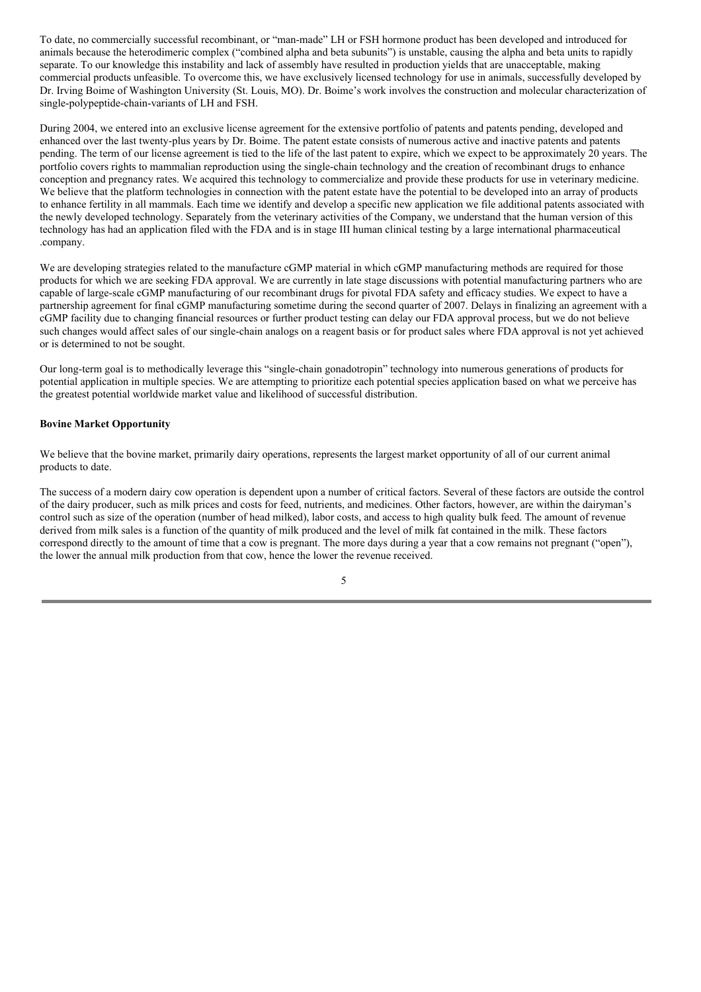To date, no commercially successful recombinant, or "man-made" LH or FSH hormone product has been developed and introduced for animals because the heterodimeric complex ("combined alpha and beta subunits") is unstable, causing the alpha and beta units to rapidly separate. To our knowledge this instability and lack of assembly have resulted in production yields that are unacceptable, making commercial products unfeasible. To overcome this, we have exclusively licensed technology for use in animals, successfully developed by Dr. Irving Boime of Washington University (St. Louis, MO). Dr. Boime's work involves the construction and molecular characterization of single-polypeptide-chain-variants of LH and FSH.

During 2004, we entered into an exclusive license agreement for the extensive portfolio of patents and patents pending, developed and enhanced over the last twenty-plus years by Dr. Boime. The patent estate consists of numerous active and inactive patents and patents pending. The term of our license agreement is tied to the life of the last patent to expire, which we expect to be approximately 20 years. The portfolio covers rights to mammalian reproduction using the single-chain technology and the creation of recombinant drugs to enhance conception and pregnancy rates. We acquired this technology to commercialize and provide these products for use in veterinary medicine. We believe that the platform technologies in connection with the patent estate have the potential to be developed into an array of products to enhance fertility in all mammals. Each time we identify and develop a specific new application we file additional patents associated with the newly developed technology. Separately from the veterinary activities of the Company, we understand that the human version of this technology has had an application filed with the FDA and is in stage III human clinical testing by a large international pharmaceutical .company.

We are developing strategies related to the manufacture cGMP material in which cGMP manufacturing methods are required for those products for which we are seeking FDA approval. We are currently in late stage discussions with potential manufacturing partners who are capable of large-scale cGMP manufacturing of our recombinant drugs for pivotal FDA safety and efficacy studies. We expect to have a partnership agreement for final cGMP manufacturing sometime during the second quarter of 2007. Delays in finalizing an agreement with a cGMP facility due to changing financial resources or further product testing can delay our FDA approval process, but we do not believe such changes would affect sales of our single-chain analogs on a reagent basis or for product sales where FDA approval is not yet achieved or is determined to not be sought.

Our long-term goal is to methodically leverage this "single-chain gonadotropin" technology into numerous generations of products for potential application in multiple species. We are attempting to prioritize each potential species application based on what we perceive has the greatest potential worldwide market value and likelihood of successful distribution.

## **Bovine Market Opportunity**

We believe that the bovine market, primarily dairy operations, represents the largest market opportunity of all of our current animal products to date.

The success of a modern dairy cow operation is dependent upon a number of critical factors. Several of these factors are outside the control of the dairy producer, such as milk prices and costs for feed, nutrients, and medicines. Other factors, however, are within the dairyman's control such as size of the operation (number of head milked), labor costs, and access to high quality bulk feed. The amount of revenue derived from milk sales is a function of the quantity of milk produced and the level of milk fat contained in the milk. These factors correspond directly to the amount of time that a cow is pregnant. The more days during a year that a cow remains not pregnant ("open"), the lower the annual milk production from that cow, hence the lower the revenue received.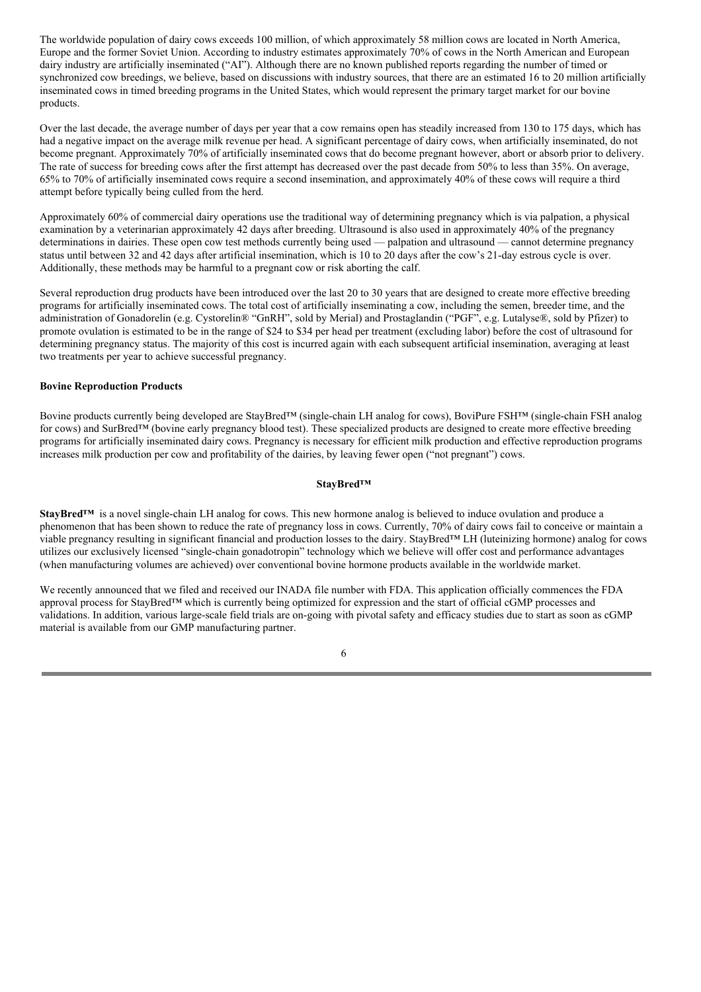The worldwide population of dairy cows exceeds 100 million, of which approximately 58 million cows are located in North America, Europe and the former Soviet Union. According to industry estimates approximately 70% of cows in the North American and European dairy industry are artificially inseminated ("AI"). Although there are no known published reports regarding the number of timed or synchronized cow breedings, we believe, based on discussions with industry sources, that there are an estimated 16 to 20 million artificially inseminated cows in timed breeding programs in the United States, which would represent the primary target market for our bovine products.

Over the last decade, the average number of days per year that a cow remains open has steadily increased from 130 to 175 days, which has had a negative impact on the average milk revenue per head. A significant percentage of dairy cows, when artificially inseminated, do not become pregnant. Approximately 70% of artificially inseminated cows that do become pregnant however, abort or absorb prior to delivery. The rate of success for breeding cows after the first attempt has decreased over the past decade from 50% to less than 35%. On average, 65% to 70% of artificially inseminated cows require a second insemination, and approximately 40% of these cows will require a third attempt before typically being culled from the herd.

Approximately 60% of commercial dairy operations use the traditional way of determining pregnancy which is via palpation, a physical examination by a veterinarian approximately 42 days after breeding. Ultrasound is also used in approximately 40% of the pregnancy determinations in dairies. These open cow test methods currently being used — palpation and ultrasound — cannot determine pregnancy status until between 32 and 42 days after artificial insemination, which is 10 to 20 days after the cow's 21-day estrous cycle is over. Additionally, these methods may be harmful to a pregnant cow or risk aborting the calf.

Several reproduction drug products have been introduced over the last 20 to 30 years that are designed to create more effective breeding programs for artificially inseminated cows. The total cost of artificially inseminating a cow, including the semen, breeder time, and the administration of Gonadorelin (e.g. Cystorelin® "GnRH", sold by Merial) and Prostaglandin ("PGF", e.g. Lutalyse®, sold by Pfizer) to promote ovulation is estimated to be in the range of \$24 to \$34 per head per treatment (excluding labor) before the cost of ultrasound for determining pregnancy status. The majority of this cost is incurred again with each subsequent artificial insemination, averaging at least two treatments per year to achieve successful pregnancy.

#### **Bovine Reproduction Products**

Bovine products currently being developed are StayBred™ (single-chain LH analog for cows), BoviPure FSH™ (single-chain FSH analog for cows) and SurBred™ (bovine early pregnancy blood test). These specialized products are designed to create more effective breeding programs for artificially inseminated dairy cows. Pregnancy is necessary for efficient milk production and effective reproduction programs increases milk production per cow and profitability of the dairies, by leaving fewer open ("not pregnant") cows.

## **StayBred™**

**StayBred™** is a novel single-chain LH analog for cows. This new hormone analog is believed to induce ovulation and produce a phenomenon that has been shown to reduce the rate of pregnancy loss in cows. Currently, 70% of dairy cows fail to conceive or maintain a viable pregnancy resulting in significant financial and production losses to the dairy. StayBred™ LH (luteinizing hormone) analog for cows utilizes our exclusively licensed "single-chain gonadotropin" technology which we believe will offer cost and performance advantages (when manufacturing volumes are achieved) over conventional bovine hormone products available in the worldwide market.

We recently announced that we filed and received our INADA file number with FDA. This application officially commences the FDA approval process for StayBred™ which is currently being optimized for expression and the start of official cGMP processes and validations. In addition, various large-scale field trials are on-going with pivotal safety and efficacy studies due to start as soon as cGMP material is available from our GMP manufacturing partner.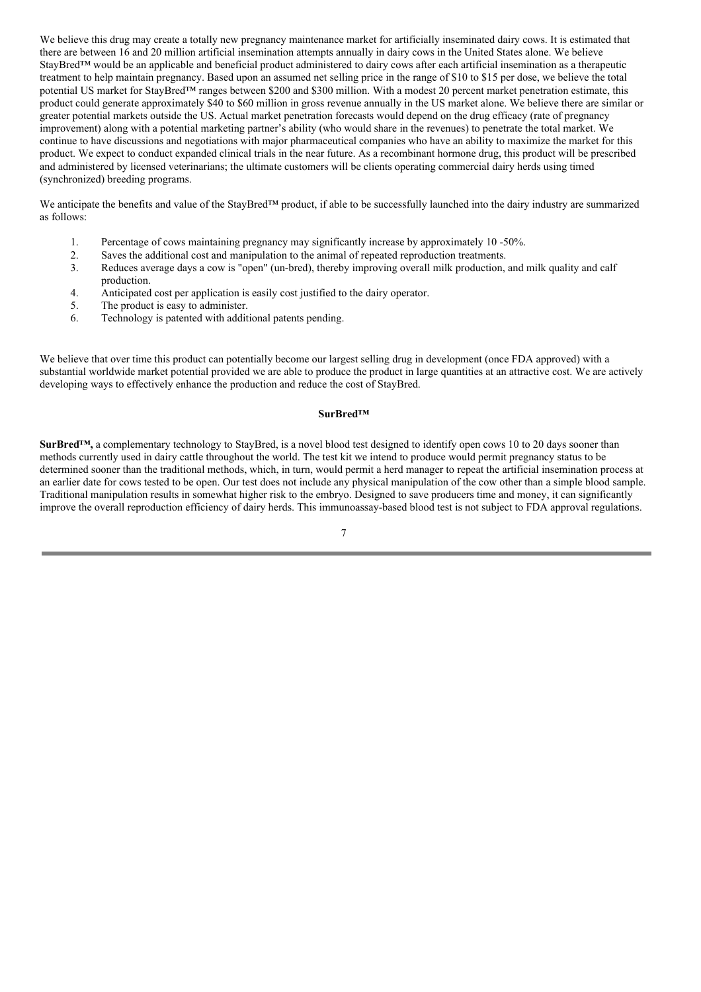We believe this drug may create a totally new pregnancy maintenance market for artificially inseminated dairy cows. It is estimated that there are between 16 and 20 million artificial insemination attempts annually in dairy cows in the United States alone. We believe StayBred™ would be an applicable and beneficial product administered to dairy cows after each artificial insemination as a therapeutic treatment to help maintain pregnancy. Based upon an assumed net selling price in the range of \$10 to \$15 per dose, we believe the total potential US market for StayBred™ ranges between \$200 and \$300 million. With a modest 20 percent market penetration estimate, this product could generate approximately \$40 to \$60 million in gross revenue annually in the US market alone. We believe there are similar or greater potential markets outside the US. Actual market penetration forecasts would depend on the drug efficacy (rate of pregnancy improvement) along with a potential marketing partner's ability (who would share in the revenues) to penetrate the total market. We continue to have discussions and negotiations with major pharmaceutical companies who have an ability to maximize the market for this product. We expect to conduct expanded clinical trials in the near future. As a recombinant hormone drug, this product will be prescribed and administered by licensed veterinarians; the ultimate customers will be clients operating commercial dairy herds using timed (synchronized) breeding programs.

We anticipate the benefits and value of the StayBred™ product, if able to be successfully launched into the dairy industry are summarized as follows:

- 1. Percentage of cows maintaining pregnancy may significantly increase by approximately 10 -50%.
- 2. Saves the additional cost and manipulation to the animal of repeated reproduction treatments.
- 3. Reduces average days a cow is "open" (un-bred), thereby improving overall milk production, and milk quality and calf production.
- 4. Anticipated cost per application is easily cost justified to the dairy operator.
- 5. The product is easy to administer.
- 6. Technology is patented with additional patents pending.

We believe that over time this product can potentially become our largest selling drug in development (once FDA approved) with a substantial worldwide market potential provided we are able to produce the product in large quantities at an attractive cost. We are actively developing ways to effectively enhance the production and reduce the cost of StayBred.

#### **SurBred™**

**SurBred™,** a complementary technology to StayBred, is a novel blood test designed to identify open cows 10 to 20 days sooner than methods currently used in dairy cattle throughout the world. The test kit we intend to produce would permit pregnancy status to be determined sooner than the traditional methods, which, in turn, would permit a herd manager to repeat the artificial insemination process at an earlier date for cows tested to be open. Our test does not include any physical manipulation of the cow other than a simple blood sample. Traditional manipulation results in somewhat higher risk to the embryo. Designed to save producers time and money, it can significantly improve the overall reproduction efficiency of dairy herds. This immunoassay-based blood test is not subject to FDA approval regulations.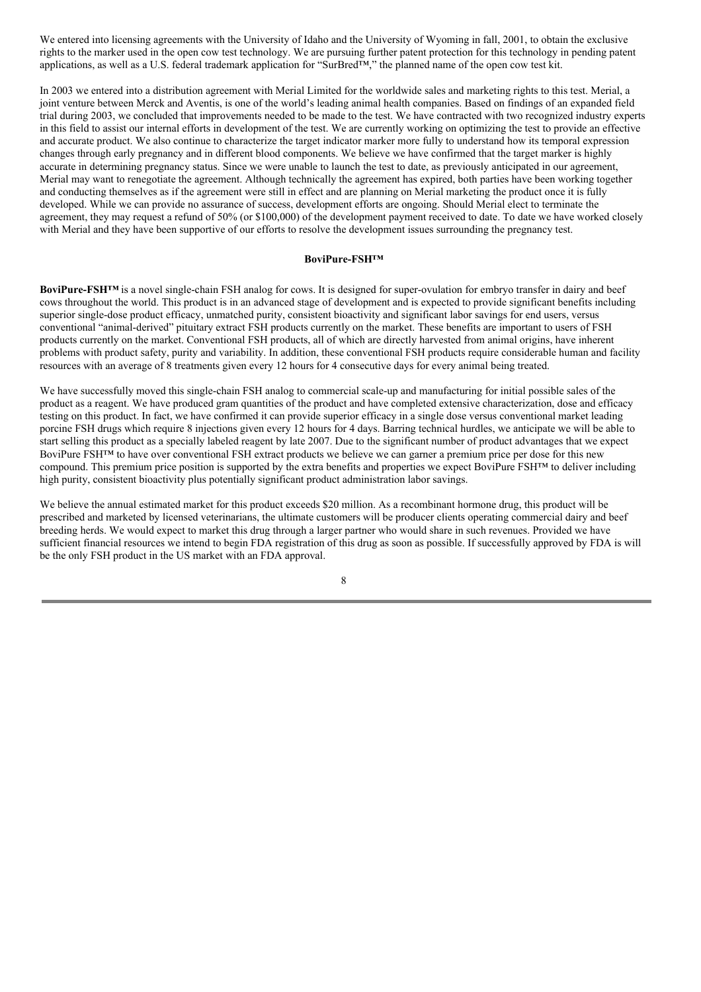We entered into licensing agreements with the University of Idaho and the University of Wyoming in fall, 2001, to obtain the exclusive rights to the marker used in the open cow test technology. We are pursuing further patent protection for this technology in pending patent applications, as well as a U.S. federal trademark application for "SurBred™," the planned name of the open cow test kit.

In 2003 we entered into a distribution agreement with Merial Limited for the worldwide sales and marketing rights to this test. Merial, a joint venture between Merck and Aventis, is one of the world's leading animal health companies. Based on findings of an expanded field trial during 2003, we concluded that improvements needed to be made to the test. We have contracted with two recognized industry experts in this field to assist our internal efforts in development of the test. We are currently working on optimizing the test to provide an effective and accurate product. We also continue to characterize the target indicator marker more fully to understand how its temporal expression changes through early pregnancy and in different blood components. We believe we have confirmed that the target marker is highly accurate in determining pregnancy status. Since we were unable to launch the test to date, as previously anticipated in our agreement, Merial may want to renegotiate the agreement. Although technically the agreement has expired, both parties have been working together and conducting themselves as if the agreement were still in effect and are planning on Merial marketing the product once it is fully developed. While we can provide no assurance of success, development efforts are ongoing. Should Merial elect to terminate the agreement, they may request a refund of 50% (or \$100,000) of the development payment received to date. To date we have worked closely with Merial and they have been supportive of our efforts to resolve the development issues surrounding the pregnancy test.

#### **BoviPure-FSH™**

**BoviPure-FSH™** is a novel single-chain FSH analog for cows. It is designed for super-ovulation for embryo transfer in dairy and beef cows throughout the world. This product is in an advanced stage of development and is expected to provide significant benefits including superior single-dose product efficacy, unmatched purity, consistent bioactivity and significant labor savings for end users, versus conventional "animal-derived" pituitary extract FSH products currently on the market. These benefits are important to users of FSH products currently on the market. Conventional FSH products, all of which are directly harvested from animal origins, have inherent problems with product safety, purity and variability. In addition, these conventional FSH products require considerable human and facility resources with an average of 8 treatments given every 12 hours for 4 consecutive days for every animal being treated.

We have successfully moved this single-chain FSH analog to commercial scale-up and manufacturing for initial possible sales of the product as a reagent. We have produced gram quantities of the product and have completed extensive characterization, dose and efficacy testing on this product. In fact, we have confirmed it can provide superior efficacy in a single dose versus conventional market leading porcine FSH drugs which require 8 injections given every 12 hours for 4 days. Barring technical hurdles, we anticipate we will be able to start selling this product as a specially labeled reagent by late 2007. Due to the significant number of product advantages that we expect BoviPure FSH™ to have over conventional FSH extract products we believe we can garner a premium price per dose for this new compound. This premium price position is supported by the extra benefits and properties we expect BoviPure FSH™ to deliver including high purity, consistent bioactivity plus potentially significant product administration labor savings.

We believe the annual estimated market for this product exceeds \$20 million. As a recombinant hormone drug, this product will be prescribed and marketed by licensed veterinarians, the ultimate customers will be producer clients operating commercial dairy and beef breeding herds. We would expect to market this drug through a larger partner who would share in such revenues. Provided we have sufficient financial resources we intend to begin FDA registration of this drug as soon as possible. If successfully approved by FDA is will be the only FSH product in the US market with an FDA approval.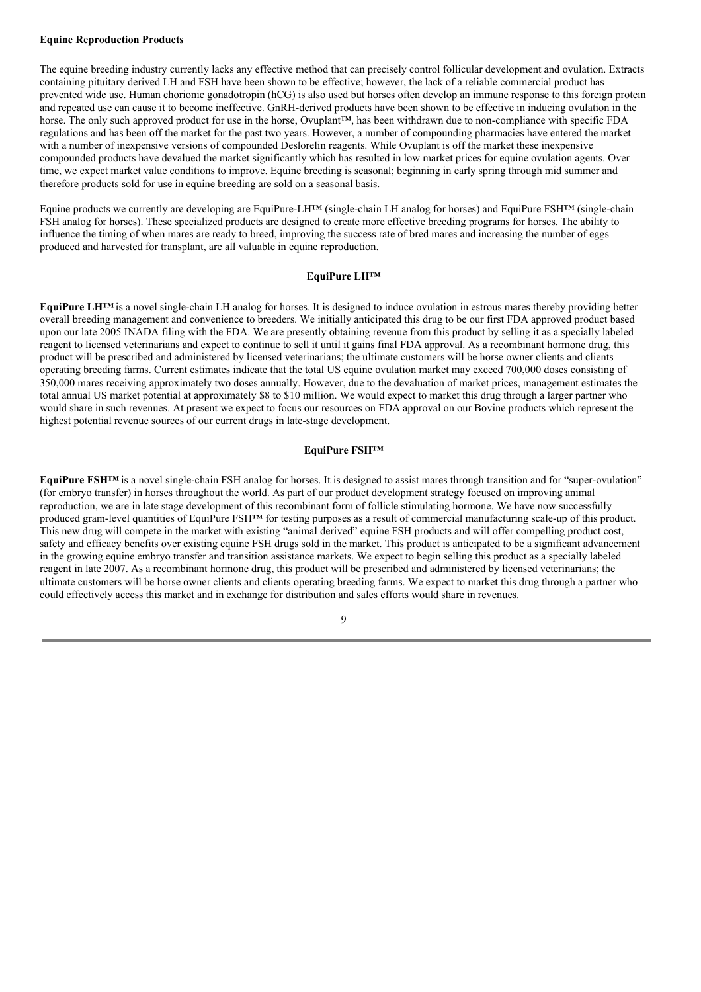#### **Equine Reproduction Products**

The equine breeding industry currently lacks any effective method that can precisely control follicular development and ovulation. Extracts containing pituitary derived LH and FSH have been shown to be effective; however, the lack of a reliable commercial product has prevented wide use. Human chorionic gonadotropin (hCG) is also used but horses often develop an immune response to this foreign protein and repeated use can cause it to become ineffective. GnRH-derived products have been shown to be effective in inducing ovulation in the horse. The only such approved product for use in the horse, Ovuplant™, has been withdrawn due to non-compliance with specific FDA regulations and has been off the market for the past two years. However, a number of compounding pharmacies have entered the market with a number of inexpensive versions of compounded Deslorelin reagents. While Ovuplant is off the market these inexpensive compounded products have devalued the market significantly which has resulted in low market prices for equine ovulation agents. Over time, we expect market value conditions to improve. Equine breeding is seasonal; beginning in early spring through mid summer and therefore products sold for use in equine breeding are sold on a seasonal basis.

Equine products we currently are developing are EquiPure-LH™ (single-chain LH analog for horses) and EquiPure FSH™ (single-chain FSH analog for horses). These specialized products are designed to create more effective breeding programs for horses. The ability to influence the timing of when mares are ready to breed, improving the success rate of bred mares and increasing the number of eggs produced and harvested for transplant, are all valuable in equine reproduction.

## **EquiPure LH™**

**EquiPure LH™** is a novel single-chain LH analog for horses. It is designed to induce ovulation in estrous mares thereby providing better overall breeding management and convenience to breeders. We initially anticipated this drug to be our first FDA approved product based upon our late 2005 INADA filing with the FDA. We are presently obtaining revenue from this product by selling it as a specially labeled reagent to licensed veterinarians and expect to continue to sell it until it gains final FDA approval. As a recombinant hormone drug, this product will be prescribed and administered by licensed veterinarians; the ultimate customers will be horse owner clients and clients operating breeding farms. Current estimates indicate that the total US equine ovulation market may exceed 700,000 doses consisting of 350,000 mares receiving approximately two doses annually. However, due to the devaluation of market prices, management estimates the total annual US market potential at approximately \$8 to \$10 million. We would expect to market this drug through a larger partner who would share in such revenues. At present we expect to focus our resources on FDA approval on our Bovine products which represent the highest potential revenue sources of our current drugs in late-stage development.

## **EquiPure FSH™**

**EquiPure FSH™** is a novel single-chain FSH analog for horses. It is designed to assist mares through transition and for "super-ovulation" (for embryo transfer) in horses throughout the world. As part of our product development strategy focused on improving animal reproduction, we are in late stage development of this recombinant form of follicle stimulating hormone. We have now successfully produced gram-level quantities of EquiPure FSH™ for testing purposes as a result of commercial manufacturing scale-up of this product. This new drug will compete in the market with existing "animal derived" equine FSH products and will offer compelling product cost, safety and efficacy benefits over existing equine FSH drugs sold in the market. This product is anticipated to be a significant advancement in the growing equine embryo transfer and transition assistance markets. We expect to begin selling this product as a specially labeled reagent in late 2007. As a recombinant hormone drug, this product will be prescribed and administered by licensed veterinarians; the ultimate customers will be horse owner clients and clients operating breeding farms. We expect to market this drug through a partner who could effectively access this market and in exchange for distribution and sales efforts would share in revenues.

 $\overline{Q}$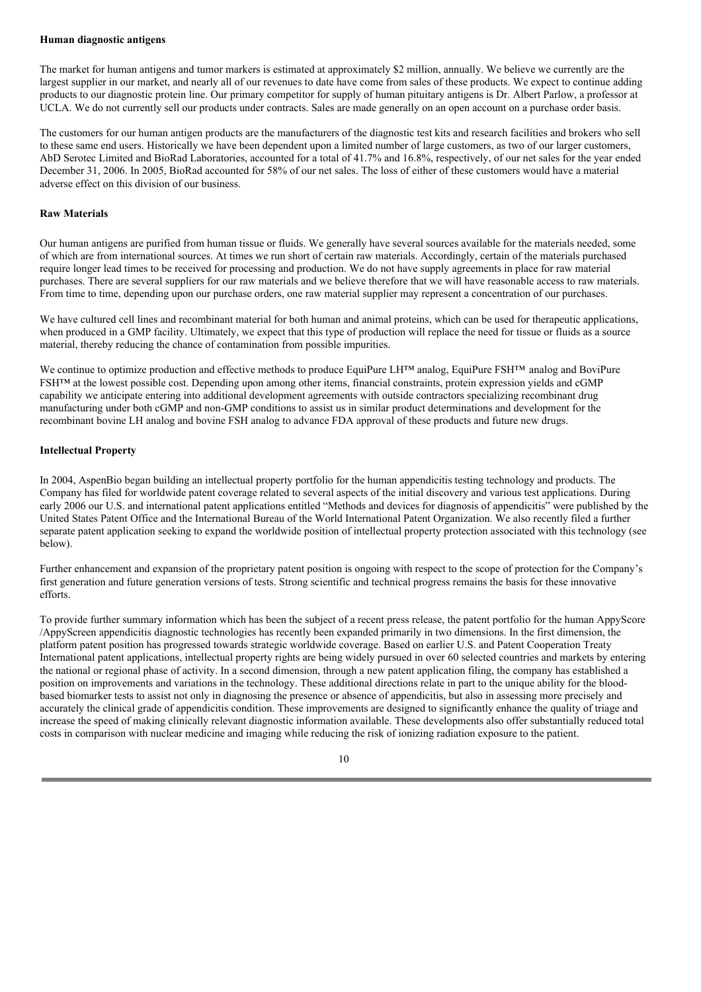#### **Human diagnostic antigens**

The market for human antigens and tumor markers is estimated at approximately \$2 million, annually. We believe we currently are the largest supplier in our market, and nearly all of our revenues to date have come from sales of these products. We expect to continue adding products to our diagnostic protein line. Our primary competitor for supply of human pituitary antigens is Dr. Albert Parlow, a professor at UCLA. We do not currently sell our products under contracts. Sales are made generally on an open account on a purchase order basis.

The customers for our human antigen products are the manufacturers of the diagnostic test kits and research facilities and brokers who sell to these same end users. Historically we have been dependent upon a limited number of large customers, as two of our larger customers, AbD Serotec Limited and BioRad Laboratories, accounted for a total of 41.7% and 16.8%, respectively, of our net sales for the year ended December 31, 2006. In 2005, BioRad accounted for 58% of our net sales. The loss of either of these customers would have a material adverse effect on this division of our business.

#### **Raw Materials**

Our human antigens are purified from human tissue or fluids. We generally have several sources available for the materials needed, some of which are from international sources. At times we run short of certain raw materials. Accordingly, certain of the materials purchased require longer lead times to be received for processing and production. We do not have supply agreements in place for raw material purchases. There are several suppliers for our raw materials and we believe therefore that we will have reasonable access to raw materials. From time to time, depending upon our purchase orders, one raw material supplier may represent a concentration of our purchases.

We have cultured cell lines and recombinant material for both human and animal proteins, which can be used for therapeutic applications, when produced in a GMP facility. Ultimately, we expect that this type of production will replace the need for tissue or fluids as a source material, thereby reducing the chance of contamination from possible impurities.

We continue to optimize production and effective methods to produce EquiPure LH<sup>™</sup> analog, EquiPure FSH™ analog and BoviPure FSH™ at the lowest possible cost. Depending upon among other items, financial constraints, protein expression yields and cGMP capability we anticipate entering into additional development agreements with outside contractors specializing recombinant drug manufacturing under both cGMP and non-GMP conditions to assist us in similar product determinations and development for the recombinant bovine LH analog and bovine FSH analog to advance FDA approval of these products and future new drugs.

### **Intellectual Property**

In 2004, AspenBio began building an intellectual property portfolio for the human appendicitis testing technology and products. The Company has filed for worldwide patent coverage related to several aspects of the initial discovery and various test applications. During early 2006 our U.S. and international patent applications entitled "Methods and devices for diagnosis of appendicitis" were published by the United States Patent Office and the International Bureau of the World International Patent Organization. We also recently filed a further separate patent application seeking to expand the worldwide position of intellectual property protection associated with this technology (see below).

Further enhancement and expansion of the proprietary patent position is ongoing with respect to the scope of protection for the Company's first generation and future generation versions of tests. Strong scientific and technical progress remains the basis for these innovative efforts.

To provide further summary information which has been the subject of a recent press release, the patent portfolio for the human AppyScore /AppyScreen appendicitis diagnostic technologies has recently been expanded primarily in two dimensions. In the first dimension, the platform patent position has progressed towards strategic worldwide coverage. Based on earlier U.S. and Patent Cooperation Treaty International patent applications, intellectual property rights are being widely pursued in over 60 selected countries and markets by entering the national or regional phase of activity. In a second dimension, through a new patent application filing, the company has established a position on improvements and variations in the technology. These additional directions relate in part to the unique ability for the bloodbased biomarker tests to assist not only in diagnosing the presence or absence of appendicitis, but also in assessing more precisely and accurately the clinical grade of appendicitis condition. These improvements are designed to significantly enhance the quality of triage and increase the speed of making clinically relevant diagnostic information available. These developments also offer substantially reduced total costs in comparison with nuclear medicine and imaging while reducing the risk of ionizing radiation exposure to the patient.

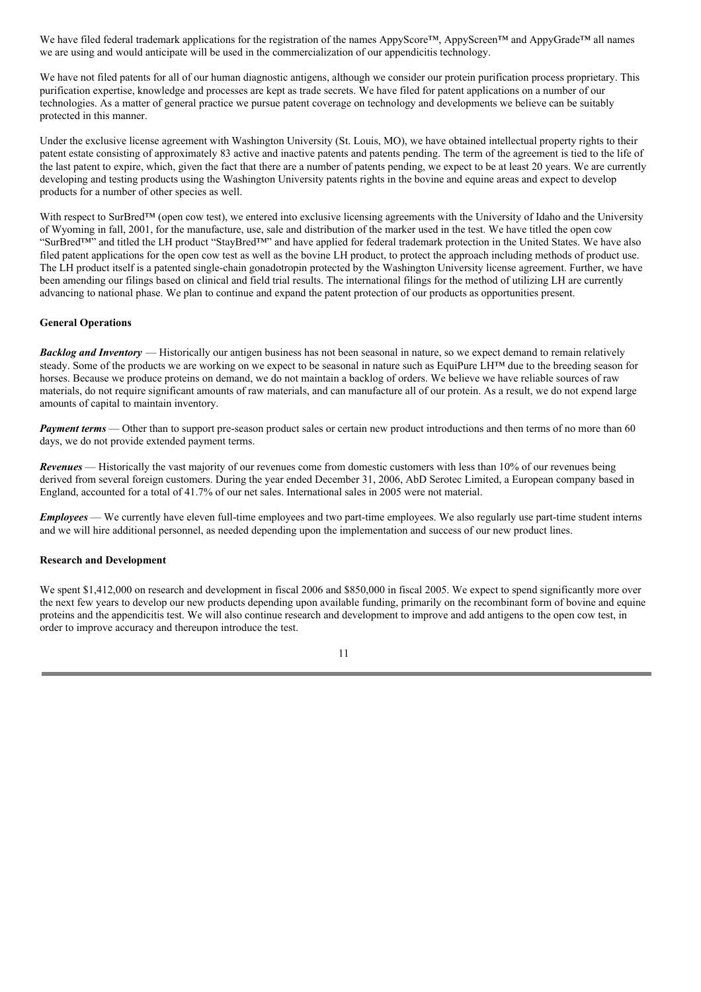We have filed federal trademark applications for the registration of the names AppyScore™, AppyScreen™ and AppyGrade™ all names we are using and would anticipate will be used in the commercialization of our appendicitis technology.

We have not filed patents for all of our human diagnostic antigens, although we consider our protein purification process proprietary. This purification expertise, knowledge and processes are kept as trade secrets. We have filed for patent applications on a number of our technologies. As a matter of general practice we pursue patent coverage on technology and developments we believe can be suitably protected in this manner.

Under the exclusive license agreement with Washington University (St. Louis, MO), we have obtained intellectual property rights to their patent estate consisting of approximately 83 active and inactive patents and patents pending. The term of the agreement is tied to the life of the last patent to expire, which, given the fact that there are a number of patents pending, we expect to be at least 20 years. We are currently developing and testing products using the Washington University patents rights in the bovine and equine areas and expect to develop products for a number of other species as well.

With respect to SurBred™ (open cow test), we entered into exclusive licensing agreements with the University of Idaho and the University of Wyoming in fall, 2001, for the manufacture, use, sale and distribution of the marker used in the test. We have titled the open cow "SurBred™" and titled the LH product "StayBred™" and have applied for federal trademark protection in the United States. We have also filed patent applications for the open cow test as well as the bovine LH product, to protect the approach including methods of product use. The LH product itself is a patented single-chain gonadotropin protected by the Washington University license agreement. Further, we have been amending our filings based on clinical and field trial results. The international filings for the method of utilizing LH are currently advancing to national phase. We plan to continue and expand the patent protection of our products as opportunities present.

## **General Operations**

*Backlog and Inventory* — Historically our antigen business has not been seasonal in nature, so we expect demand to remain relatively steady. Some of the products we are working on we expect to be seasonal in nature such as EquiPure LH™ due to the breeding season for horses. Because we produce proteins on demand, we do not maintain a backlog of orders. We believe we have reliable sources of raw materials, do not require significant amounts of raw materials, and can manufacture all of our protein. As a result, we do not expend large amounts of capital to maintain inventory.

*Payment terms* — Other than to support pre-season product sales or certain new product introductions and then terms of no more than 60 days, we do not provide extended payment terms.

*Revenues* — Historically the vast majority of our revenues come from domestic customers with less than 10% of our revenues being derived from several foreign customers. During the year ended December 31, 2006, AbD Serotec Limited, a European company based in England, accounted for a total of 41.7% of our net sales. International sales in 2005 were not material.

*Employees* — We currently have eleven full-time employees and two part-time employees. We also regularly use part-time student interns and we will hire additional personnel, as needed depending upon the implementation and success of our new product lines.

## **Research and Development**

We spent \$1,412,000 on research and development in fiscal 2006 and \$850,000 in fiscal 2005. We expect to spend significantly more over the next few years to develop our new products depending upon available funding, primarily on the recombinant form of bovine and equine proteins and the appendicitis test. We will also continue research and development to improve and add antigens to the open cow test, in order to improve accuracy and thereupon introduce the test.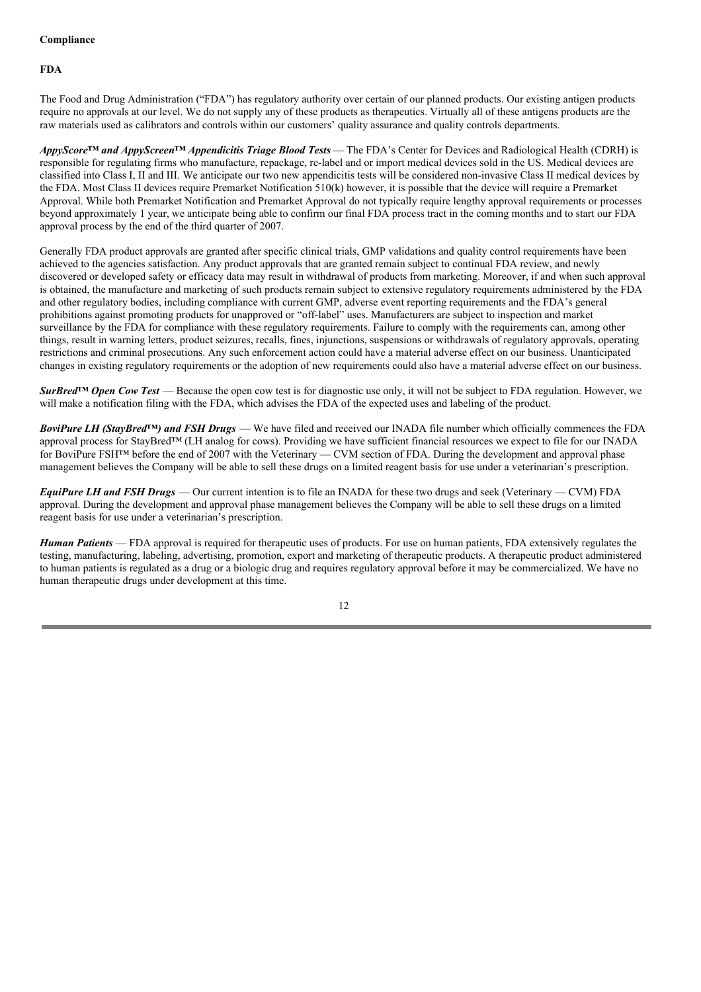## **Compliance**

## **FDA**

The Food and Drug Administration ("FDA") has regulatory authority over certain of our planned products. Our existing antigen products require no approvals at our level. We do not supply any of these products as therapeutics. Virtually all of these antigens products are the raw materials used as calibrators and controls within our customers' quality assurance and quality controls departments.

*AppyScore™ and AppyScreen™ Appendicitis Triage Blood Tests* — The FDA's Center for Devices and Radiological Health (CDRH) is responsible for regulating firms who manufacture, repackage, re-label and or import medical devices sold in the US. Medical devices are classified into Class I, II and III. We anticipate our two new appendicitis tests will be considered non-invasive Class II medical devices by the FDA. Most Class II devices require Premarket Notification 510(k) however, it is possible that the device will require a Premarket Approval. While both Premarket Notification and Premarket Approval do not typically require lengthy approval requirements or processes beyond approximately 1 year, we anticipate being able to confirm our final FDA process tract in the coming months and to start our FDA approval process by the end of the third quarter of 2007.

Generally FDA product approvals are granted after specific clinical trials, GMP validations and quality control requirements have been achieved to the agencies satisfaction. Any product approvals that are granted remain subject to continual FDA review, and newly discovered or developed safety or efficacy data may result in withdrawal of products from marketing. Moreover, if and when such approval is obtained, the manufacture and marketing of such products remain subject to extensive regulatory requirements administered by the FDA and other regulatory bodies, including compliance with current GMP, adverse event reporting requirements and the FDA's general prohibitions against promoting products for unapproved or "off-label" uses. Manufacturers are subject to inspection and market surveillance by the FDA for compliance with these regulatory requirements. Failure to comply with the requirements can, among other things, result in warning letters, product seizures, recalls, fines, injunctions, suspensions or withdrawals of regulatory approvals, operating restrictions and criminal prosecutions. Any such enforcement action could have a material adverse effect on our business. Unanticipated changes in existing regulatory requirements or the adoption of new requirements could also have a material adverse effect on our business.

*SurBred™ Open Cow Test* — Because the open cow test is for diagnostic use only, it will not be subject to FDA regulation. However, we will make a notification filing with the FDA, which advises the FDA of the expected uses and labeling of the product.

*BoviPure LH (StayBred™) and FSH Drugs* — We have filed and received our INADA file number which officially commences the FDA approval process for StayBred™ (LH analog for cows). Providing we have sufficient financial resources we expect to file for our INADA for BoviPure FSH™ before the end of 2007 with the Veterinary — CVM section of FDA. During the development and approval phase management believes the Company will be able to sell these drugs on a limited reagent basis for use under a veterinarian's prescription.

*EquiPure LH and FSH Drugs* — Our current intention is to file an INADA for these two drugs and seek (Veterinary — CVM) FDA approval. During the development and approval phase management believes the Company will be able to sell these drugs on a limited reagent basis for use under a veterinarian's prescription.

*Human Patients* — FDA approval is required for therapeutic uses of products. For use on human patients, FDA extensively regulates the testing, manufacturing, labeling, advertising, promotion, export and marketing of therapeutic products. A therapeutic product administered to human patients is regulated as a drug or a biologic drug and requires regulatory approval before it may be commercialized. We have no human therapeutic drugs under development at this time.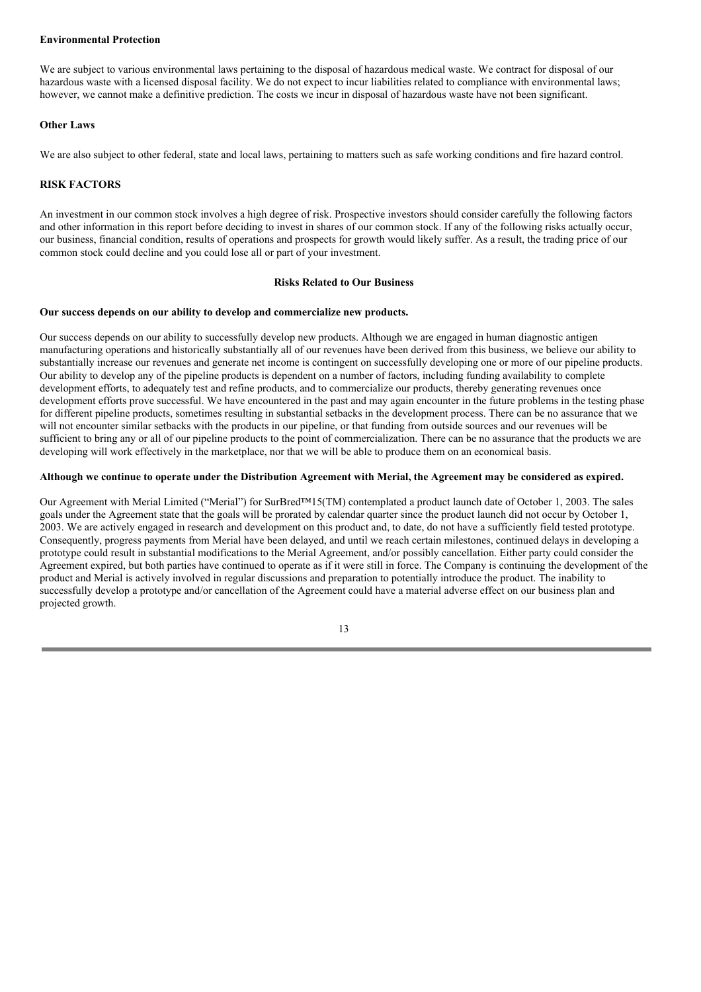#### **Environmental Protection**

We are subject to various environmental laws pertaining to the disposal of hazardous medical waste. We contract for disposal of our hazardous waste with a licensed disposal facility. We do not expect to incur liabilities related to compliance with environmental laws; however, we cannot make a definitive prediction. The costs we incur in disposal of hazardous waste have not been significant.

## **Other Laws**

We are also subject to other federal, state and local laws, pertaining to matters such as safe working conditions and fire hazard control.

## **RISK FACTORS**

An investment in our common stock involves a high degree of risk. Prospective investors should consider carefully the following factors and other information in this report before deciding to invest in shares of our common stock. If any of the following risks actually occur, our business, financial condition, results of operations and prospects for growth would likely suffer. As a result, the trading price of our common stock could decline and you could lose all or part of your investment.

## **Risks Related to Our Business**

#### **Our success depends on our ability to develop and commercialize new products.**

Our success depends on our ability to successfully develop new products. Although we are engaged in human diagnostic antigen manufacturing operations and historically substantially all of our revenues have been derived from this business, we believe our ability to substantially increase our revenues and generate net income is contingent on successfully developing one or more of our pipeline products. Our ability to develop any of the pipeline products is dependent on a number of factors, including funding availability to complete development efforts, to adequately test and refine products, and to commercialize our products, thereby generating revenues once development efforts prove successful. We have encountered in the past and may again encounter in the future problems in the testing phase for different pipeline products, sometimes resulting in substantial setbacks in the development process. There can be no assurance that we will not encounter similar setbacks with the products in our pipeline, or that funding from outside sources and our revenues will be sufficient to bring any or all of our pipeline products to the point of commercialization. There can be no assurance that the products we are developing will work effectively in the marketplace, nor that we will be able to produce them on an economical basis.

## Although we continue to operate under the Distribution Agreement with Merial, the Agreement may be considered as expired.

Our Agreement with Merial Limited ("Merial") for SurBred™15(TM) contemplated a product launch date of October 1, 2003. The sales goals under the Agreement state that the goals will be prorated by calendar quarter since the product launch did not occur by October 1, 2003. We are actively engaged in research and development on this product and, to date, do not have a sufficiently field tested prototype. Consequently, progress payments from Merial have been delayed, and until we reach certain milestones, continued delays in developing a prototype could result in substantial modifications to the Merial Agreement, and/or possibly cancellation. Either party could consider the Agreement expired, but both parties have continued to operate as if it were still in force. The Company is continuing the development of the product and Merial is actively involved in regular discussions and preparation to potentially introduce the product. The inability to successfully develop a prototype and/or cancellation of the Agreement could have a material adverse effect on our business plan and projected growth.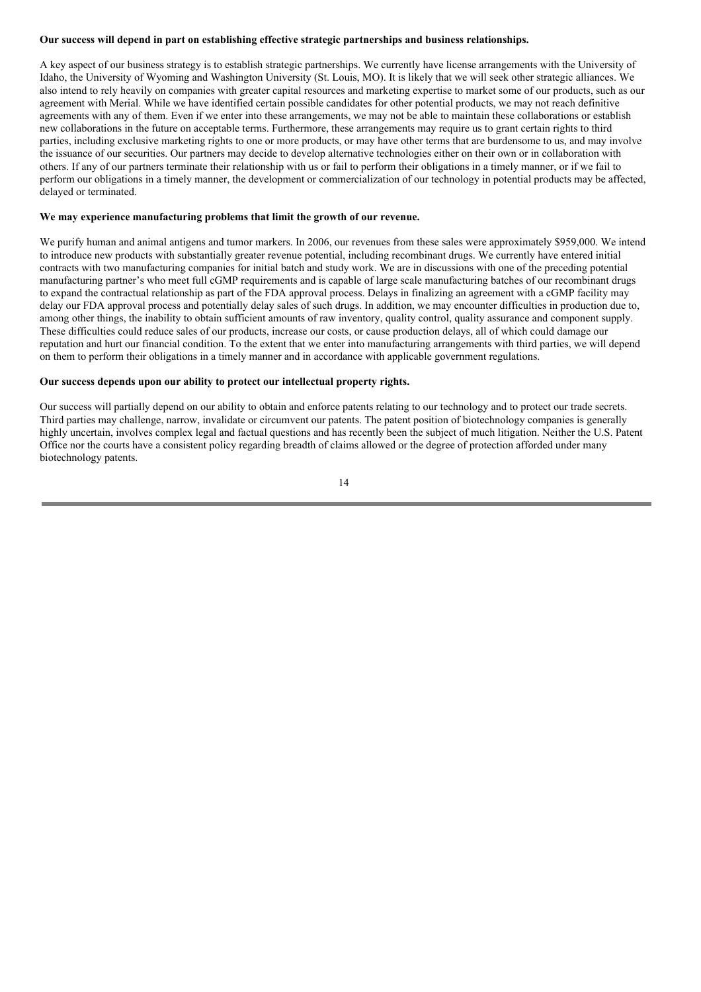### **Our success will depend in part on establishing effective strategic partnerships and business relationships.**

A key aspect of our business strategy is to establish strategic partnerships. We currently have license arrangements with the University of Idaho, the University of Wyoming and Washington University (St. Louis, MO). It is likely that we will seek other strategic alliances. We also intend to rely heavily on companies with greater capital resources and marketing expertise to market some of our products, such as our agreement with Merial. While we have identified certain possible candidates for other potential products, we may not reach definitive agreements with any of them. Even if we enter into these arrangements, we may not be able to maintain these collaborations or establish new collaborations in the future on acceptable terms. Furthermore, these arrangements may require us to grant certain rights to third parties, including exclusive marketing rights to one or more products, or may have other terms that are burdensome to us, and may involve the issuance of our securities. Our partners may decide to develop alternative technologies either on their own or in collaboration with others. If any of our partners terminate their relationship with us or fail to perform their obligations in a timely manner, or if we fail to perform our obligations in a timely manner, the development or commercialization of our technology in potential products may be affected, delayed or terminated.

#### **We may experience manufacturing problems that limit the growth of our revenue.**

We purify human and animal antigens and tumor markers. In 2006, our revenues from these sales were approximately \$959,000. We intend to introduce new products with substantially greater revenue potential, including recombinant drugs. We currently have entered initial contracts with two manufacturing companies for initial batch and study work. We are in discussions with one of the preceding potential manufacturing partner's who meet full cGMP requirements and is capable of large scale manufacturing batches of our recombinant drugs to expand the contractual relationship as part of the FDA approval process. Delays in finalizing an agreement with a cGMP facility may delay our FDA approval process and potentially delay sales of such drugs. In addition, we may encounter difficulties in production due to, among other things, the inability to obtain sufficient amounts of raw inventory, quality control, quality assurance and component supply. These difficulties could reduce sales of our products, increase our costs, or cause production delays, all of which could damage our reputation and hurt our financial condition. To the extent that we enter into manufacturing arrangements with third parties, we will depend on them to perform their obligations in a timely manner and in accordance with applicable government regulations.

## **Our success depends upon our ability to protect our intellectual property rights.**

Our success will partially depend on our ability to obtain and enforce patents relating to our technology and to protect our trade secrets. Third parties may challenge, narrow, invalidate or circumvent our patents. The patent position of biotechnology companies is generally highly uncertain, involves complex legal and factual questions and has recently been the subject of much litigation. Neither the U.S. Patent Office nor the courts have a consistent policy regarding breadth of claims allowed or the degree of protection afforded under many biotechnology patents.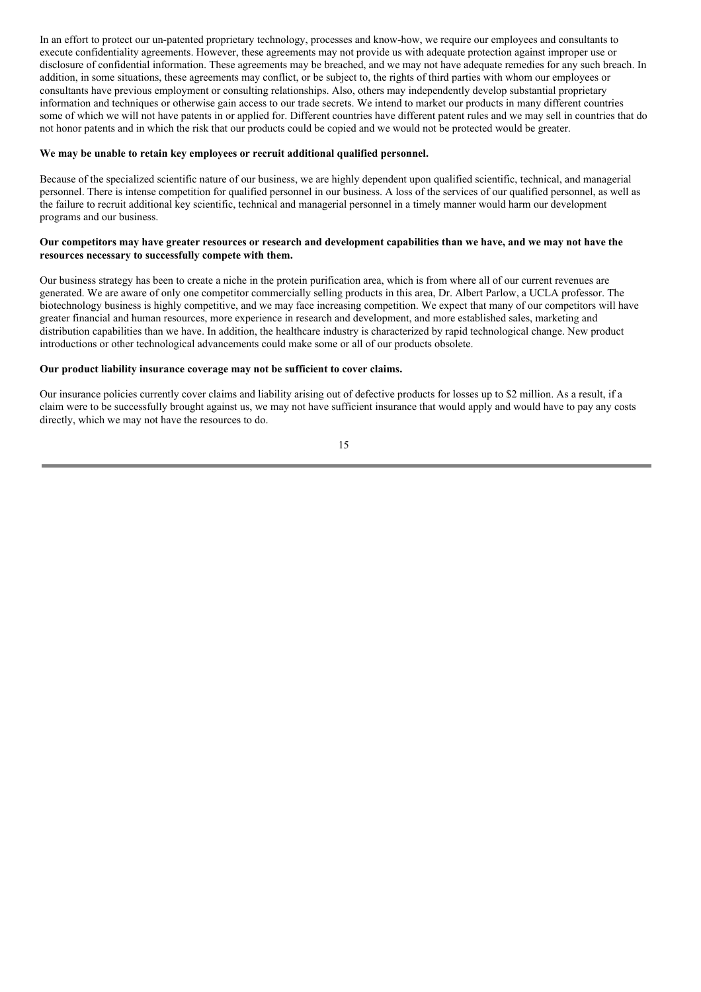In an effort to protect our un-patented proprietary technology, processes and know-how, we require our employees and consultants to execute confidentiality agreements. However, these agreements may not provide us with adequate protection against improper use or disclosure of confidential information. These agreements may be breached, and we may not have adequate remedies for any such breach. In addition, in some situations, these agreements may conflict, or be subject to, the rights of third parties with whom our employees or consultants have previous employment or consulting relationships. Also, others may independently develop substantial proprietary information and techniques or otherwise gain access to our trade secrets. We intend to market our products in many different countries some of which we will not have patents in or applied for. Different countries have different patent rules and we may sell in countries that do not honor patents and in which the risk that our products could be copied and we would not be protected would be greater.

#### **We may be unable to retain key employees or recruit additional qualified personnel.**

Because of the specialized scientific nature of our business, we are highly dependent upon qualified scientific, technical, and managerial personnel. There is intense competition for qualified personnel in our business. A loss of the services of our qualified personnel, as well as the failure to recruit additional key scientific, technical and managerial personnel in a timely manner would harm our development programs and our business.

## Our competitors may have greater resources or research and development capabilities than we have, and we may not have the **resources necessary to successfully compete with them.**

Our business strategy has been to create a niche in the protein purification area, which is from where all of our current revenues are generated. We are aware of only one competitor commercially selling products in this area, Dr. Albert Parlow, a UCLA professor. The biotechnology business is highly competitive, and we may face increasing competition. We expect that many of our competitors will have greater financial and human resources, more experience in research and development, and more established sales, marketing and distribution capabilities than we have. In addition, the healthcare industry is characterized by rapid technological change. New product introductions or other technological advancements could make some or all of our products obsolete.

## **Our product liability insurance coverage may not be sufficient to cover claims.**

Our insurance policies currently cover claims and liability arising out of defective products for losses up to \$2 million. As a result, if a claim were to be successfully brought against us, we may not have sufficient insurance that would apply and would have to pay any costs directly, which we may not have the resources to do.

15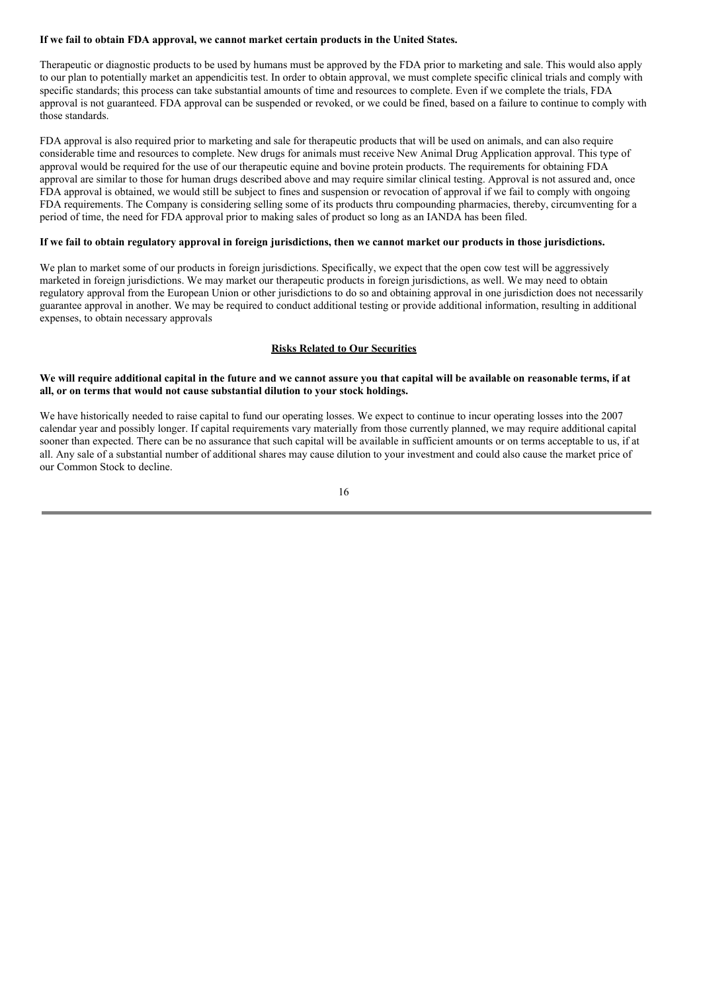## **If we fail to obtain FDA approval, we cannot market certain products in the United States.**

Therapeutic or diagnostic products to be used by humans must be approved by the FDA prior to marketing and sale. This would also apply to our plan to potentially market an appendicitis test. In order to obtain approval, we must complete specific clinical trials and comply with specific standards; this process can take substantial amounts of time and resources to complete. Even if we complete the trials, FDA approval is not guaranteed. FDA approval can be suspended or revoked, or we could be fined, based on a failure to continue to comply with those standards.

FDA approval is also required prior to marketing and sale for therapeutic products that will be used on animals, and can also require considerable time and resources to complete. New drugs for animals must receive New Animal Drug Application approval. This type of approval would be required for the use of our therapeutic equine and bovine protein products. The requirements for obtaining FDA approval are similar to those for human drugs described above and may require similar clinical testing. Approval is not assured and, once FDA approval is obtained, we would still be subject to fines and suspension or revocation of approval if we fail to comply with ongoing FDA requirements. The Company is considering selling some of its products thru compounding pharmacies, thereby, circumventing for a period of time, the need for FDA approval prior to making sales of product so long as an IANDA has been filed.

## If we fail to obtain regulatory approval in foreign jurisdictions, then we cannot market our products in those jurisdictions.

We plan to market some of our products in foreign jurisdictions. Specifically, we expect that the open cow test will be aggressively marketed in foreign jurisdictions. We may market our therapeutic products in foreign jurisdictions, as well. We may need to obtain regulatory approval from the European Union or other jurisdictions to do so and obtaining approval in one jurisdiction does not necessarily guarantee approval in another. We may be required to conduct additional testing or provide additional information, resulting in additional expenses, to obtain necessary approvals

## **Risks Related to Our Securities**

## We will require additional capital in the future and we cannot assure you that capital will be available on reasonable terms, if at **all, or on terms that would not cause substantial dilution to your stock holdings.**

We have historically needed to raise capital to fund our operating losses. We expect to continue to incur operating losses into the 2007 calendar year and possibly longer. If capital requirements vary materially from those currently planned, we may require additional capital sooner than expected. There can be no assurance that such capital will be available in sufficient amounts or on terms acceptable to us, if at all. Any sale of a substantial number of additional shares may cause dilution to your investment and could also cause the market price of our Common Stock to decline.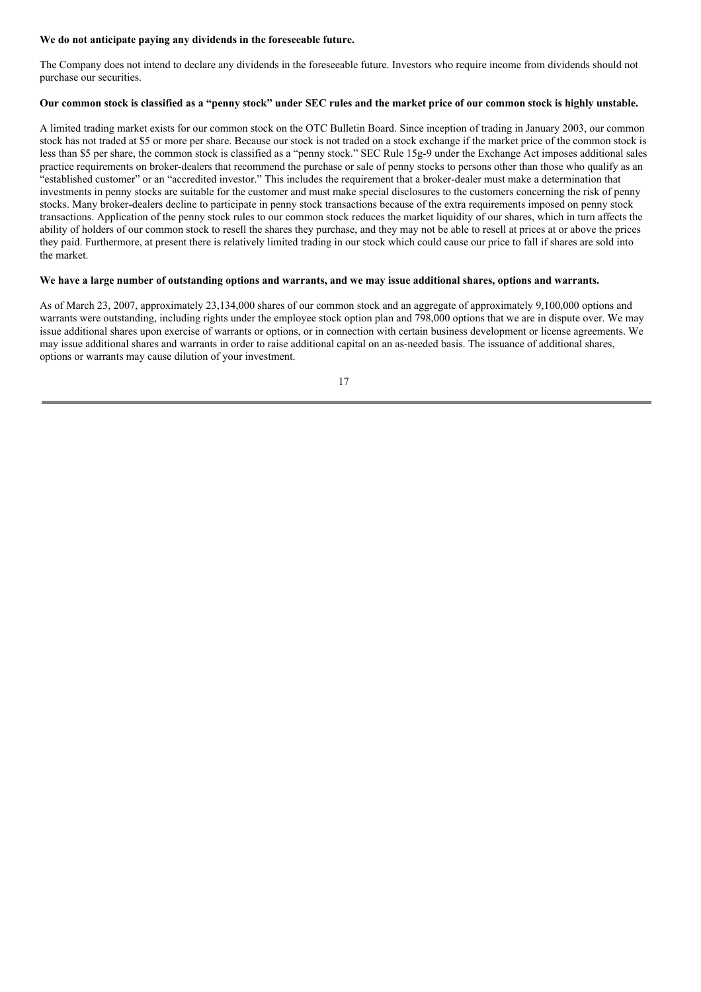### **We do not anticipate paying any dividends in the foreseeable future.**

The Company does not intend to declare any dividends in the foreseeable future. Investors who require income from dividends should not purchase our securities.

## Our common stock is classified as a "penny stock" under SEC rules and the market price of our common stock is highly unstable.

A limited trading market exists for our common stock on the OTC Bulletin Board. Since inception of trading in January 2003, our common stock has not traded at \$5 or more per share. Because our stock is not traded on a stock exchange if the market price of the common stock is less than \$5 per share, the common stock is classified as a "penny stock." SEC Rule 15g-9 under the Exchange Act imposes additional sales practice requirements on broker-dealers that recommend the purchase or sale of penny stocks to persons other than those who qualify as an "established customer" or an "accredited investor." This includes the requirement that a broker-dealer must make a determination that investments in penny stocks are suitable for the customer and must make special disclosures to the customers concerning the risk of penny stocks. Many broker-dealers decline to participate in penny stock transactions because of the extra requirements imposed on penny stock transactions. Application of the penny stock rules to our common stock reduces the market liquidity of our shares, which in turn affects the ability of holders of our common stock to resell the shares they purchase, and they may not be able to resell at prices at or above the prices they paid. Furthermore, at present there is relatively limited trading in our stock which could cause our price to fall if shares are sold into the market.

## We have a large number of outstanding options and warrants, and we may issue additional shares, options and warrants.

As of March 23, 2007, approximately 23,134,000 shares of our common stock and an aggregate of approximately 9,100,000 options and warrants were outstanding, including rights under the employee stock option plan and 798,000 options that we are in dispute over. We may issue additional shares upon exercise of warrants or options, or in connection with certain business development or license agreements. We may issue additional shares and warrants in order to raise additional capital on an as-needed basis. The issuance of additional shares, options or warrants may cause dilution of your investment.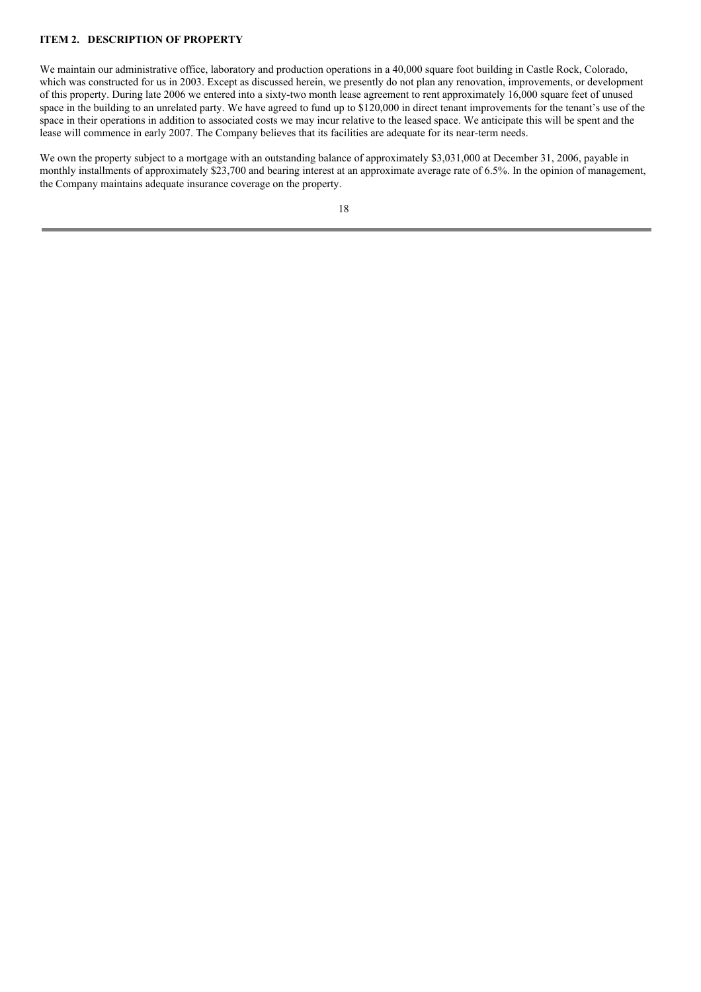## **ITEM 2. DESCRIPTION OF PROPERTY**

We maintain our administrative office, laboratory and production operations in a 40,000 square foot building in Castle Rock, Colorado, which was constructed for us in 2003. Except as discussed herein, we presently do not plan any renovation, improvements, or development of this property. During late 2006 we entered into a sixty-two month lease agreement to rent approximately 16,000 square feet of unused space in the building to an unrelated party. We have agreed to fund up to \$120,000 in direct tenant improvements for the tenant's use of the space in their operations in addition to associated costs we may incur relative to the leased space. We anticipate this will be spent and the lease will commence in early 2007. The Company believes that its facilities are adequate for its near-term needs.

We own the property subject to a mortgage with an outstanding balance of approximately \$3,031,000 at December 31, 2006, payable in monthly installments of approximately \$23,700 and bearing interest at an approximate average rate of 6.5%. In the opinion of management, the Company maintains adequate insurance coverage on the property.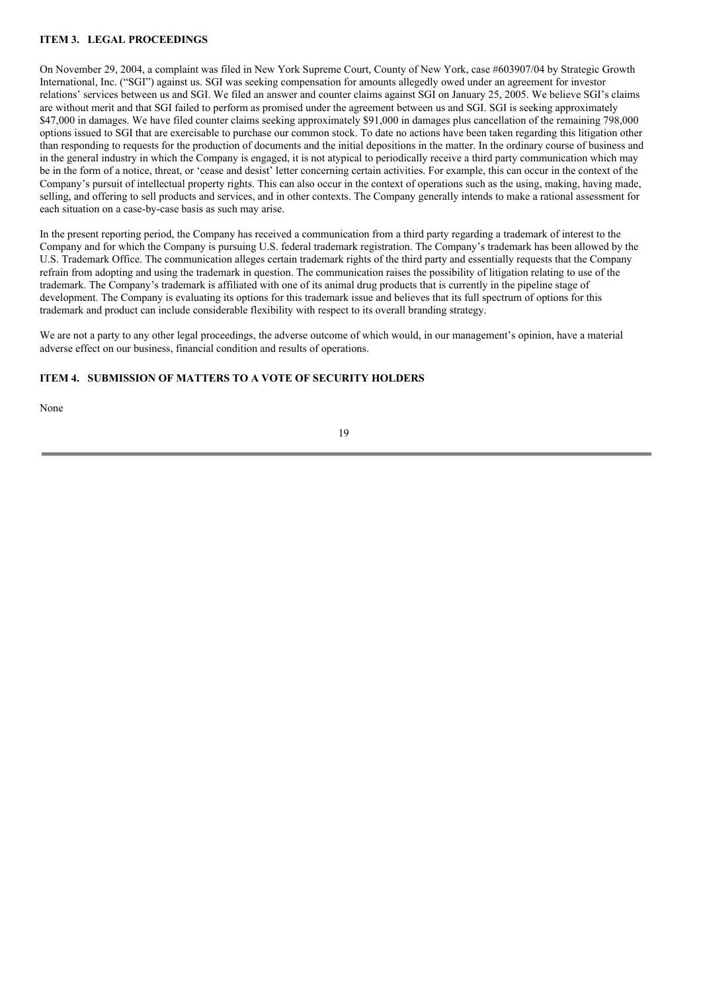## **ITEM 3. LEGAL PROCEEDINGS**

On November 29, 2004, a complaint was filed in New York Supreme Court, County of New York, case #603907/04 by Strategic Growth International, Inc. ("SGI") against us. SGI was seeking compensation for amounts allegedly owed under an agreement for investor relations' services between us and SGI. We filed an answer and counter claims against SGI on January 25, 2005. We believe SGI's claims are without merit and that SGI failed to perform as promised under the agreement between us and SGI. SGI is seeking approximately \$47,000 in damages. We have filed counter claims seeking approximately \$91,000 in damages plus cancellation of the remaining 798,000 options issued to SGI that are exercisable to purchase our common stock. To date no actions have been taken regarding this litigation other than responding to requests for the production of documents and the initial depositions in the matter. In the ordinary course of business and in the general industry in which the Company is engaged, it is not atypical to periodically receive a third party communication which may be in the form of a notice, threat, or 'cease and desist' letter concerning certain activities. For example, this can occur in the context of the Company's pursuit of intellectual property rights. This can also occur in the context of operations such as the using, making, having made, selling, and offering to sell products and services, and in other contexts. The Company generally intends to make a rational assessment for each situation on a case-by-case basis as such may arise.

In the present reporting period, the Company has received a communication from a third party regarding a trademark of interest to the Company and for which the Company is pursuing U.S. federal trademark registration. The Company's trademark has been allowed by the U.S. Trademark Office. The communication alleges certain trademark rights of the third party and essentially requests that the Company refrain from adopting and using the trademark in question. The communication raises the possibility of litigation relating to use of the trademark. The Company's trademark is affiliated with one of its animal drug products that is currently in the pipeline stage of development. The Company is evaluating its options for this trademark issue and believes that its full spectrum of options for this trademark and product can include considerable flexibility with respect to its overall branding strategy.

We are not a party to any other legal proceedings, the adverse outcome of which would, in our management's opinion, have a material adverse effect on our business, financial condition and results of operations.

## **ITEM 4. SUBMISSION OF MATTERS TO A VOTE OF SECURITY HOLDERS**

None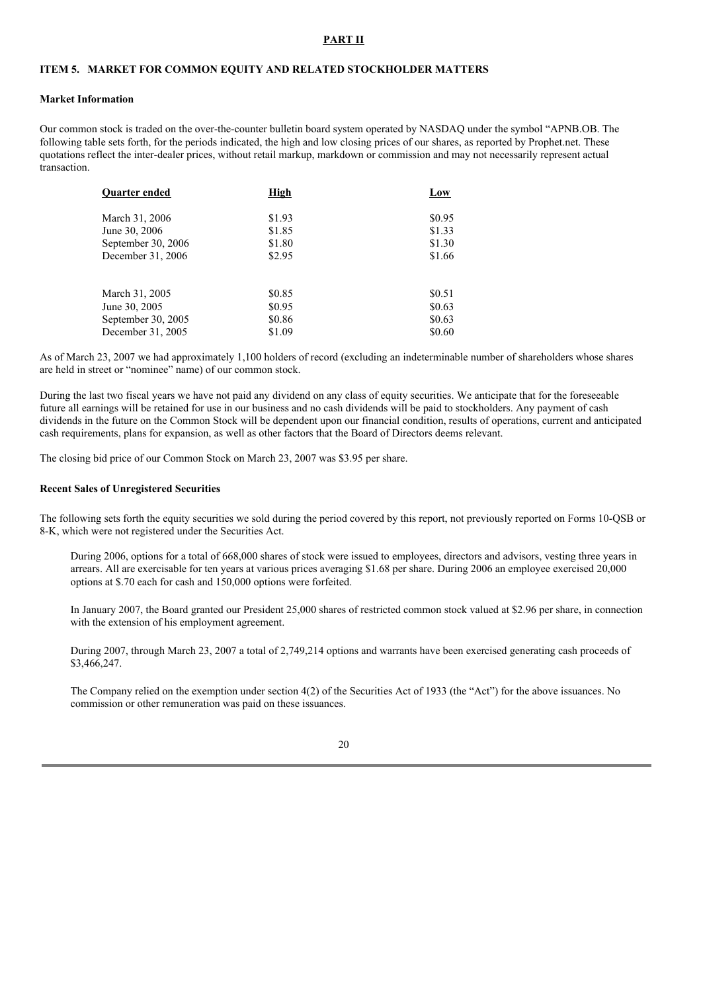### **PART II**

## **ITEM 5. MARKET FOR COMMON EQUITY AND RELATED STOCKHOLDER MATTERS**

#### **Market Information**

Our common stock is traded on the over-the-counter bulletin board system operated by NASDAQ under the symbol "APNB.OB. The following table sets forth, for the periods indicated, the high and low closing prices of our shares, as reported by Prophet.net. These quotations reflect the inter-dealer prices, without retail markup, markdown or commission and may not necessarily represent actual transaction.

| <b>Ouarter ended</b> | High   | Low    |
|----------------------|--------|--------|
| March 31, 2006       | \$1.93 | \$0.95 |
| June 30, 2006        | \$1.85 | \$1.33 |
| September 30, 2006   | \$1.80 | \$1.30 |
| December 31, 2006    | \$2.95 | \$1.66 |
| March 31, 2005       | \$0.85 | \$0.51 |
| June 30, 2005        | \$0.95 | \$0.63 |
| September 30, 2005   | \$0.86 | \$0.63 |
| December 31, 2005    | \$1.09 | \$0.60 |

As of March 23, 2007 we had approximately 1,100 holders of record (excluding an indeterminable number of shareholders whose shares are held in street or "nominee" name) of our common stock.

During the last two fiscal years we have not paid any dividend on any class of equity securities. We anticipate that for the foreseeable future all earnings will be retained for use in our business and no cash dividends will be paid to stockholders. Any payment of cash dividends in the future on the Common Stock will be dependent upon our financial condition, results of operations, current and anticipated cash requirements, plans for expansion, as well as other factors that the Board of Directors deems relevant.

The closing bid price of our Common Stock on March 23, 2007 was \$3.95 per share.

#### **Recent Sales of Unregistered Securities**

The following sets forth the equity securities we sold during the period covered by this report, not previously reported on Forms 10-QSB or 8-K, which were not registered under the Securities Act.

During 2006, options for a total of 668,000 shares of stock were issued to employees, directors and advisors, vesting three years in arrears. All are exercisable for ten years at various prices averaging \$1.68 per share. During 2006 an employee exercised 20,000 options at \$.70 each for cash and 150,000 options were forfeited.

In January 2007, the Board granted our President 25,000 shares of restricted common stock valued at \$2.96 per share, in connection with the extension of his employment agreement.

During 2007, through March 23, 2007 a total of 2,749,214 options and warrants have been exercised generating cash proceeds of \$3,466,247.

The Company relied on the exemption under section 4(2) of the Securities Act of 1933 (the "Act") for the above issuances. No commission or other remuneration was paid on these issuances.

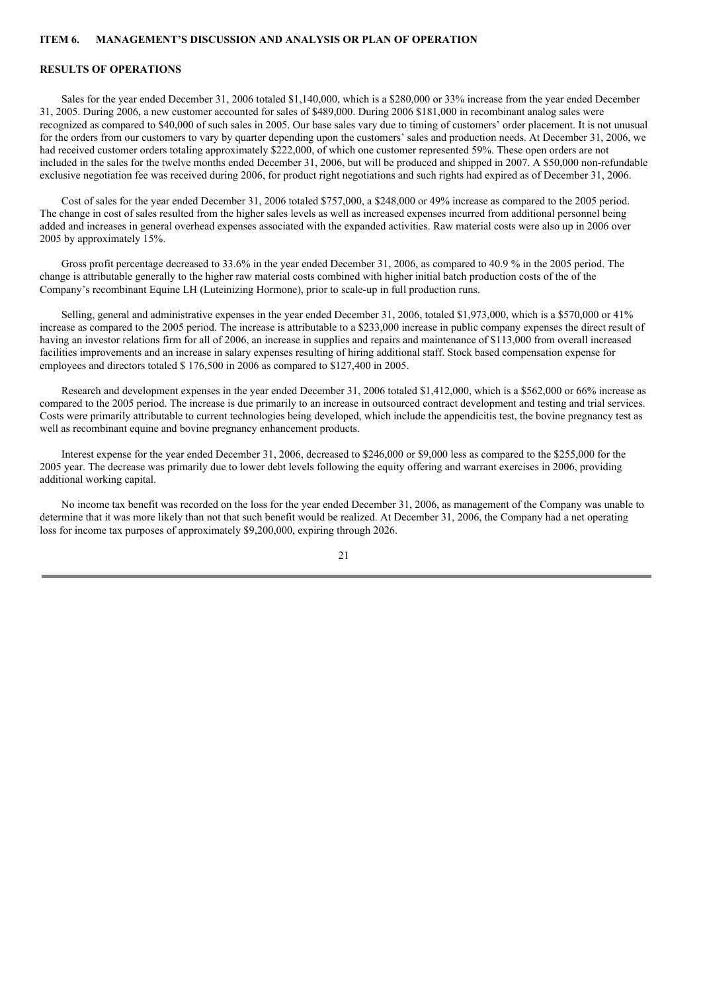#### **ITEM 6. MANAGEMENT'S DISCUSSION AND ANALYSIS OR PLAN OF OPERATION**

## **RESULTS OF OPERATIONS**

Sales for the year ended December 31, 2006 totaled \$1,140,000, which is a \$280,000 or 33% increase from the year ended December 31, 2005. During 2006, a new customer accounted for sales of \$489,000. During 2006 \$181,000 in recombinant analog sales were recognized as compared to \$40,000 of such sales in 2005. Our base sales vary due to timing of customers' order placement. It is not unusual for the orders from our customers to vary by quarter depending upon the customers' sales and production needs. At December 31, 2006, we had received customer orders totaling approximately \$222,000, of which one customer represented 59%. These open orders are not included in the sales for the twelve months ended December 31, 2006, but will be produced and shipped in 2007. A \$50,000 non-refundable exclusive negotiation fee was received during 2006, for product right negotiations and such rights had expired as of December 31, 2006.

Cost of sales for the year ended December 31, 2006 totaled \$757,000, a \$248,000 or 49% increase as compared to the 2005 period. The change in cost of sales resulted from the higher sales levels as well as increased expenses incurred from additional personnel being added and increases in general overhead expenses associated with the expanded activities. Raw material costs were also up in 2006 over 2005 by approximately 15%.

Gross profit percentage decreased to 33.6% in the year ended December 31, 2006, as compared to 40.9 % in the 2005 period. The change is attributable generally to the higher raw material costs combined with higher initial batch production costs of the of the Company's recombinant Equine LH (Luteinizing Hormone), prior to scale-up in full production runs.

Selling, general and administrative expenses in the year ended December 31, 2006, totaled \$1,973,000, which is a \$570,000 or 41% increase as compared to the 2005 period. The increase is attributable to a \$233,000 increase in public company expenses the direct result of having an investor relations firm for all of 2006, an increase in supplies and repairs and maintenance of \$113,000 from overall increased facilities improvements and an increase in salary expenses resulting of hiring additional staff. Stock based compensation expense for employees and directors totaled \$ 176,500 in 2006 as compared to \$127,400 in 2005.

Research and development expenses in the year ended December 31, 2006 totaled \$1,412,000, which is a \$562,000 or 66% increase as compared to the 2005 period. The increase is due primarily to an increase in outsourced contract development and testing and trial services. Costs were primarily attributable to current technologies being developed, which include the appendicitis test, the bovine pregnancy test as well as recombinant equine and bovine pregnancy enhancement products.

Interest expense for the year ended December 31, 2006, decreased to \$246,000 or \$9,000 less as compared to the \$255,000 for the 2005 year. The decrease was primarily due to lower debt levels following the equity offering and warrant exercises in 2006, providing additional working capital.

No income tax benefit was recorded on the loss for the year ended December 31, 2006, as management of the Company was unable to determine that it was more likely than not that such benefit would be realized. At December 31, 2006, the Company had a net operating loss for income tax purposes of approximately \$9,200,000, expiring through 2026.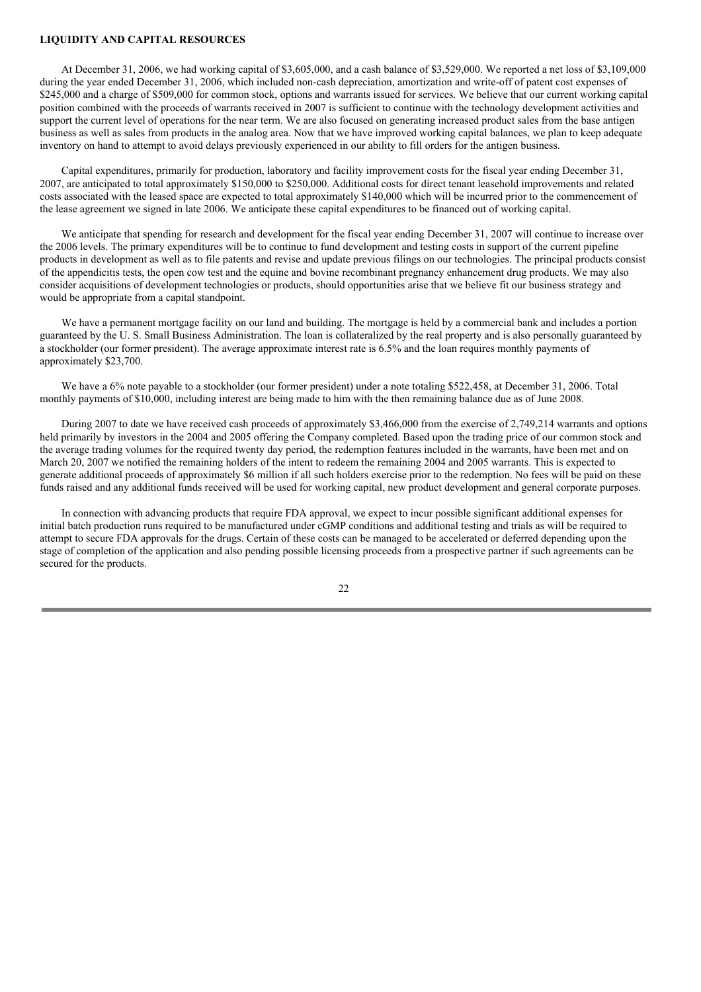## **LIQUIDITY AND CAPITAL RESOURCES**

At December 31, 2006, we had working capital of \$3,605,000, and a cash balance of \$3,529,000. We reported a net loss of \$3,109,000 during the year ended December 31, 2006, which included non-cash depreciation, amortization and write-off of patent cost expenses of \$245,000 and a charge of \$509,000 for common stock, options and warrants issued for services. We believe that our current working capital position combined with the proceeds of warrants received in 2007 is sufficient to continue with the technology development activities and support the current level of operations for the near term. We are also focused on generating increased product sales from the base antigen business as well as sales from products in the analog area. Now that we have improved working capital balances, we plan to keep adequate inventory on hand to attempt to avoid delays previously experienced in our ability to fill orders for the antigen business.

Capital expenditures, primarily for production, laboratory and facility improvement costs for the fiscal year ending December 31, 2007, are anticipated to total approximately \$150,000 to \$250,000. Additional costs for direct tenant leasehold improvements and related costs associated with the leased space are expected to total approximately \$140,000 which will be incurred prior to the commencement of the lease agreement we signed in late 2006. We anticipate these capital expenditures to be financed out of working capital.

We anticipate that spending for research and development for the fiscal year ending December 31, 2007 will continue to increase over the 2006 levels. The primary expenditures will be to continue to fund development and testing costs in support of the current pipeline products in development as well as to file patents and revise and update previous filings on our technologies. The principal products consist of the appendicitis tests, the open cow test and the equine and bovine recombinant pregnancy enhancement drug products. We may also consider acquisitions of development technologies or products, should opportunities arise that we believe fit our business strategy and would be appropriate from a capital standpoint.

We have a permanent mortgage facility on our land and building. The mortgage is held by a commercial bank and includes a portion guaranteed by the U. S. Small Business Administration. The loan is collateralized by the real property and is also personally guaranteed by a stockholder (our former president). The average approximate interest rate is 6.5% and the loan requires monthly payments of approximately \$23,700.

We have a 6% note payable to a stockholder (our former president) under a note totaling \$522,458, at December 31, 2006. Total monthly payments of \$10,000, including interest are being made to him with the then remaining balance due as of June 2008.

During 2007 to date we have received cash proceeds of approximately \$3,466,000 from the exercise of 2,749,214 warrants and options held primarily by investors in the 2004 and 2005 offering the Company completed. Based upon the trading price of our common stock and the average trading volumes for the required twenty day period, the redemption features included in the warrants, have been met and on March 20, 2007 we notified the remaining holders of the intent to redeem the remaining 2004 and 2005 warrants. This is expected to generate additional proceeds of approximately \$6 million if all such holders exercise prior to the redemption. No fees will be paid on these funds raised and any additional funds received will be used for working capital, new product development and general corporate purposes.

In connection with advancing products that require FDA approval, we expect to incur possible significant additional expenses for initial batch production runs required to be manufactured under cGMP conditions and additional testing and trials as will be required to attempt to secure FDA approvals for the drugs. Certain of these costs can be managed to be accelerated or deferred depending upon the stage of completion of the application and also pending possible licensing proceeds from a prospective partner if such agreements can be secured for the products.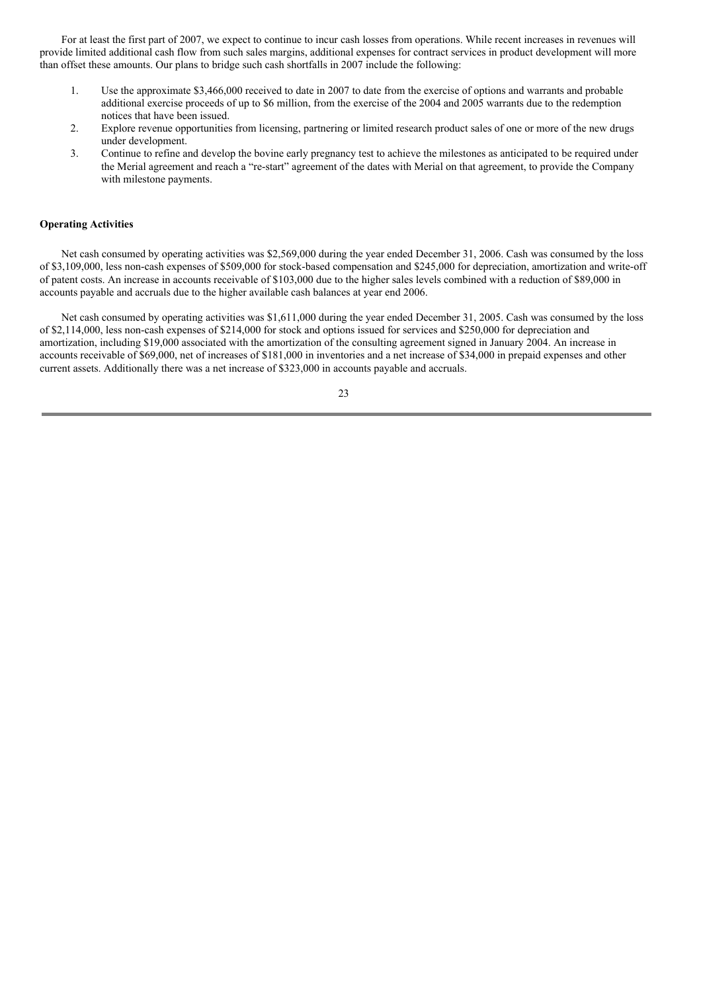For at least the first part of 2007, we expect to continue to incur cash losses from operations. While recent increases in revenues will provide limited additional cash flow from such sales margins, additional expenses for contract services in product development will more than offset these amounts. Our plans to bridge such cash shortfalls in 2007 include the following:

- 1. Use the approximate \$3,466,000 received to date in 2007 to date from the exercise of options and warrants and probable additional exercise proceeds of up to \$6 million, from the exercise of the 2004 and 2005 warrants due to the redemption notices that have been issued.
- 2. Explore revenue opportunities from licensing, partnering or limited research product sales of one or more of the new drugs under development.
- 3. Continue to refine and develop the bovine early pregnancy test to achieve the milestones as anticipated to be required under the Merial agreement and reach a "re-start" agreement of the dates with Merial on that agreement, to provide the Company with milestone payments.

### **Operating Activities**

Net cash consumed by operating activities was \$2,569,000 during the year ended December 31, 2006. Cash was consumed by the loss of \$3,109,000, less non-cash expenses of \$509,000 for stock-based compensation and \$245,000 for depreciation, amortization and write-off of patent costs. An increase in accounts receivable of \$103,000 due to the higher sales levels combined with a reduction of \$89,000 in accounts payable and accruals due to the higher available cash balances at year end 2006.

Net cash consumed by operating activities was \$1,611,000 during the year ended December 31, 2005. Cash was consumed by the loss of \$2,114,000, less non-cash expenses of \$214,000 for stock and options issued for services and \$250,000 for depreciation and amortization, including \$19,000 associated with the amortization of the consulting agreement signed in January 2004. An increase in accounts receivable of \$69,000, net of increases of \$181,000 in inventories and a net increase of \$34,000 in prepaid expenses and other current assets. Additionally there was a net increase of \$323,000 in accounts payable and accruals.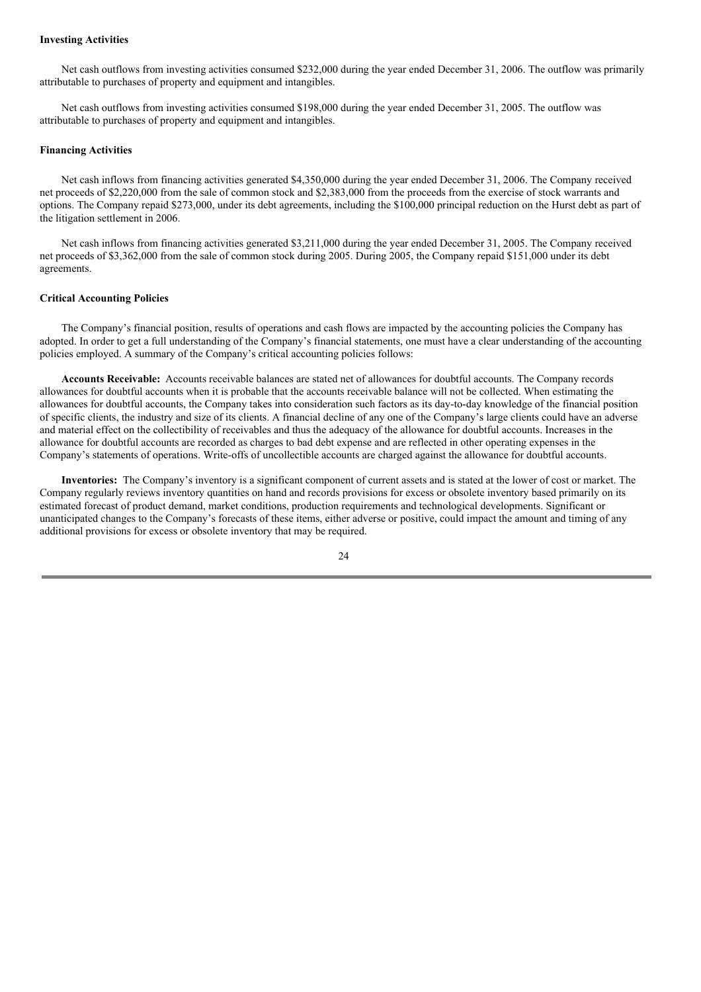#### **Investing Activities**

Net cash outflows from investing activities consumed \$232,000 during the year ended December 31, 2006. The outflow was primarily attributable to purchases of property and equipment and intangibles.

Net cash outflows from investing activities consumed \$198,000 during the year ended December 31, 2005. The outflow was attributable to purchases of property and equipment and intangibles.

#### **Financing Activities**

Net cash inflows from financing activities generated \$4,350,000 during the year ended December 31, 2006. The Company received net proceeds of \$2,220,000 from the sale of common stock and \$2,383,000 from the proceeds from the exercise of stock warrants and options. The Company repaid \$273,000, under its debt agreements, including the \$100,000 principal reduction on the Hurst debt as part of the litigation settlement in 2006.

Net cash inflows from financing activities generated \$3,211,000 during the year ended December 31, 2005. The Company received net proceeds of \$3,362,000 from the sale of common stock during 2005. During 2005, the Company repaid \$151,000 under its debt agreements.

#### **Critical Accounting Policies**

The Company's financial position, results of operations and cash flows are impacted by the accounting policies the Company has adopted. In order to get a full understanding of the Company's financial statements, one must have a clear understanding of the accounting policies employed. A summary of the Company's critical accounting policies follows:

**Accounts Receivable:** Accounts receivable balances are stated net of allowances for doubtful accounts. The Company records allowances for doubtful accounts when it is probable that the accounts receivable balance will not be collected. When estimating the allowances for doubtful accounts, the Company takes into consideration such factors as its day-to-day knowledge of the financial position of specific clients, the industry and size of its clients. A financial decline of any one of the Company's large clients could have an adverse and material effect on the collectibility of receivables and thus the adequacy of the allowance for doubtful accounts. Increases in the allowance for doubtful accounts are recorded as charges to bad debt expense and are reflected in other operating expenses in the Company's statements of operations. Write-offs of uncollectible accounts are charged against the allowance for doubtful accounts.

**Inventories:** The Company's inventory is a significant component of current assets and is stated at the lower of cost or market. The Company regularly reviews inventory quantities on hand and records provisions for excess or obsolete inventory based primarily on its estimated forecast of product demand, market conditions, production requirements and technological developments. Significant or unanticipated changes to the Company's forecasts of these items, either adverse or positive, could impact the amount and timing of any additional provisions for excess or obsolete inventory that may be required.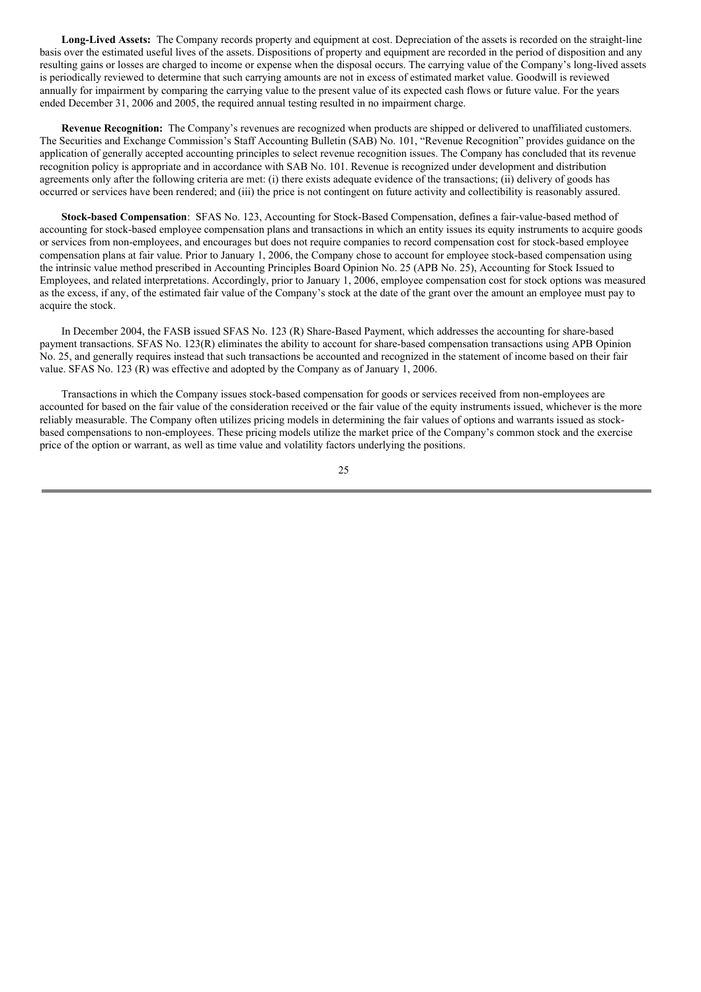**Long-Lived Assets:** The Company records property and equipment at cost. Depreciation of the assets is recorded on the straight-line basis over the estimated useful lives of the assets. Dispositions of property and equipment are recorded in the period of disposition and any resulting gains or losses are charged to income or expense when the disposal occurs. The carrying value of the Company's long-lived assets is periodically reviewed to determine that such carrying amounts are not in excess of estimated market value. Goodwill is reviewed annually for impairment by comparing the carrying value to the present value of its expected cash flows or future value. For the years ended December 31, 2006 and 2005, the required annual testing resulted in no impairment charge.

**Revenue Recognition:** The Company's revenues are recognized when products are shipped or delivered to unaffiliated customers. The Securities and Exchange Commission's Staff Accounting Bulletin (SAB) No. 101, "Revenue Recognition" provides guidance on the application of generally accepted accounting principles to select revenue recognition issues. The Company has concluded that its revenue recognition policy is appropriate and in accordance with SAB No. 101. Revenue is recognized under development and distribution agreements only after the following criteria are met: (i) there exists adequate evidence of the transactions; (ii) delivery of goods has occurred or services have been rendered; and (iii) the price is not contingent on future activity and collectibility is reasonably assured.

**Stock-based Compensation**: SFAS No. 123, Accounting for Stock-Based Compensation, defines a fair-value-based method of accounting for stock-based employee compensation plans and transactions in which an entity issues its equity instruments to acquire goods or services from non-employees, and encourages but does not require companies to record compensation cost for stock-based employee compensation plans at fair value. Prior to January 1, 2006, the Company chose to account for employee stock-based compensation using the intrinsic value method prescribed in Accounting Principles Board Opinion No. 25 (APB No. 25), Accounting for Stock Issued to Employees, and related interpretations. Accordingly, prior to January 1, 2006, employee compensation cost for stock options was measured as the excess, if any, of the estimated fair value of the Company's stock at the date of the grant over the amount an employee must pay to acquire the stock.

In December 2004, the FASB issued SFAS No. 123 (R) Share-Based Payment, which addresses the accounting for share-based payment transactions. SFAS No. 123(R) eliminates the ability to account for share-based compensation transactions using APB Opinion No. 25, and generally requires instead that such transactions be accounted and recognized in the statement of income based on their fair value. SFAS No. 123 (R) was effective and adopted by the Company as of January 1, 2006.

Transactions in which the Company issues stock-based compensation for goods or services received from non-employees are accounted for based on the fair value of the consideration received or the fair value of the equity instruments issued, whichever is the more reliably measurable. The Company often utilizes pricing models in determining the fair values of options and warrants issued as stockbased compensations to non-employees. These pricing models utilize the market price of the Company's common stock and the exercise price of the option or warrant, as well as time value and volatility factors underlying the positions.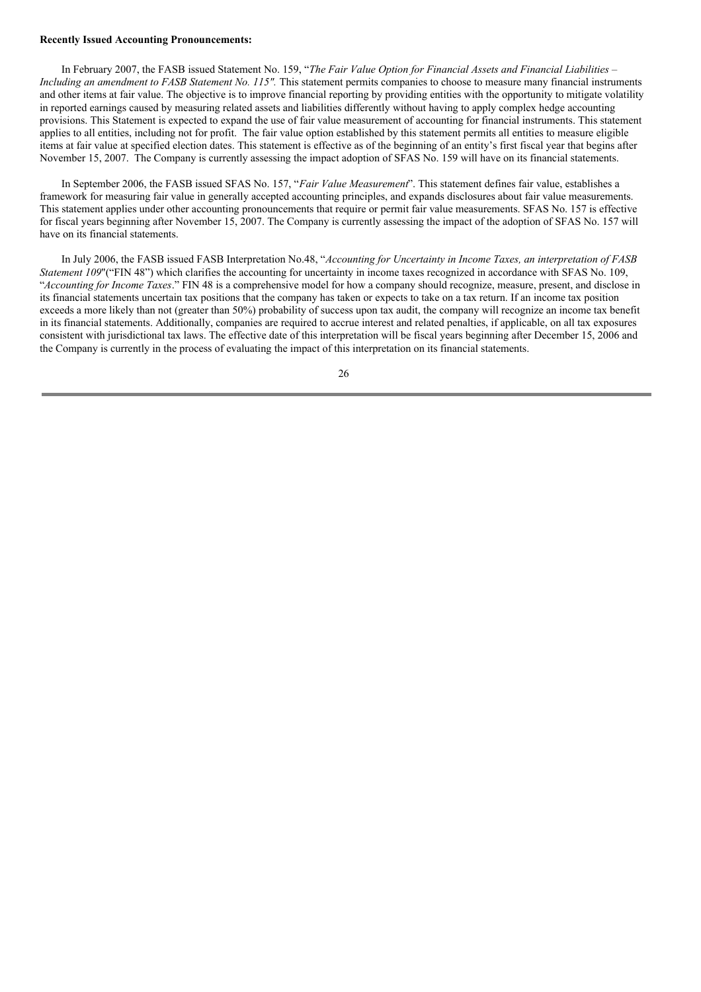#### **Recently Issued Accounting Pronouncements:**

In February 2007, the FASB issued Statement No. 159, "*The Fair Value Option for Financial Assets and Financial Liabilities – Including an amendment to FASB Statement No. 115".* This statement permits companies to choose to measure many financial instruments and other items at fair value. The objective is to improve financial reporting by providing entities with the opportunity to mitigate volatility in reported earnings caused by measuring related assets and liabilities differently without having to apply complex hedge accounting provisions. This Statement is expected to expand the use of fair value measurement of accounting for financial instruments. This statement applies to all entities, including not for profit. The fair value option established by this statement permits all entities to measure eligible items at fair value at specified election dates. This statement is effective as of the beginning of an entity's first fiscal year that begins after November 15, 2007. The Company is currently assessing the impact adoption of SFAS No. 159 will have on its financial statements.

In September 2006, the FASB issued SFAS No. 157, "*Fair Value Measurement*". This statement defines fair value, establishes a framework for measuring fair value in generally accepted accounting principles, and expands disclosures about fair value measurements. This statement applies under other accounting pronouncements that require or permit fair value measurements. SFAS No. 157 is effective for fiscal years beginning after November 15, 2007. The Company is currently assessing the impact of the adoption of SFAS No. 157 will have on its financial statements.

In July 2006, the FASB issued FASB Interpretation No.48, "*Accounting for Uncertainty in Income Taxes, an interpretation of FASB Statement 109*"("FIN 48") which clarifies the accounting for uncertainty in income taxes recognized in accordance with SFAS No. 109, "*Accounting for Income Taxes*." FIN 48 is a comprehensive model for how a company should recognize, measure, present, and disclose in its financial statements uncertain tax positions that the company has taken or expects to take on a tax return. If an income tax position exceeds a more likely than not (greater than 50%) probability of success upon tax audit, the company will recognize an income tax benefit in its financial statements. Additionally, companies are required to accrue interest and related penalties, if applicable, on all tax exposures consistent with jurisdictional tax laws. The effective date of this interpretation will be fiscal years beginning after December 15, 2006 and the Company is currently in the process of evaluating the impact of this interpretation on its financial statements.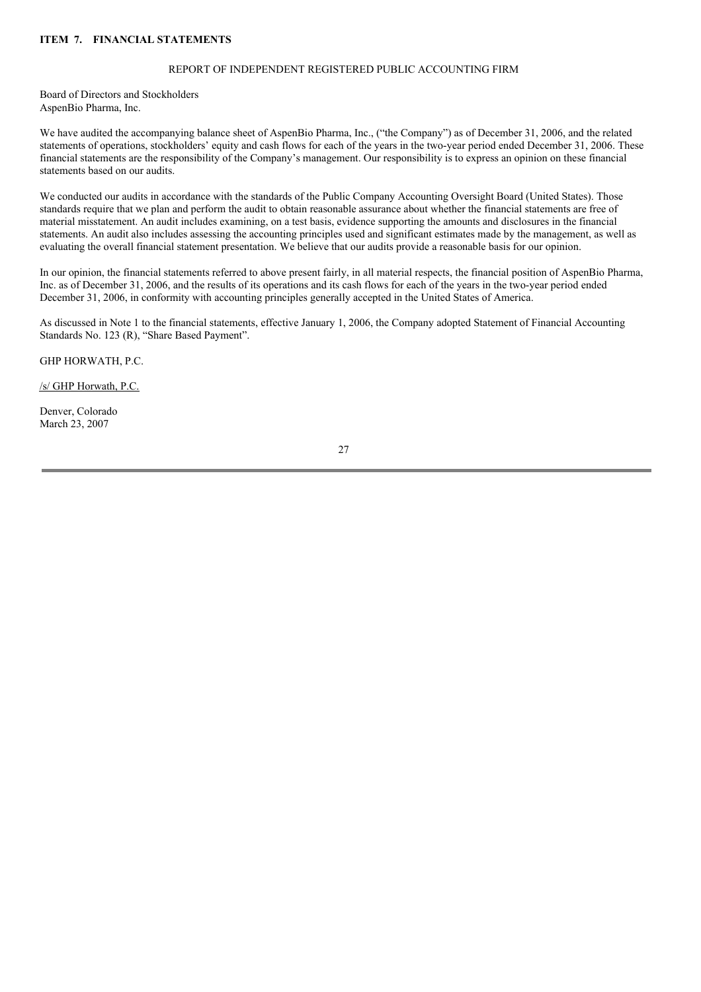## **ITEM 7. FINANCIAL STATEMENTS**

## REPORT OF INDEPENDENT REGISTERED PUBLIC ACCOUNTING FIRM

Board of Directors and Stockholders AspenBio Pharma, Inc.

We have audited the accompanying balance sheet of AspenBio Pharma, Inc., ("the Company") as of December 31, 2006, and the related statements of operations, stockholders' equity and cash flows for each of the years in the two-year period ended December 31, 2006. These financial statements are the responsibility of the Company's management. Our responsibility is to express an opinion on these financial statements based on our audits.

We conducted our audits in accordance with the standards of the Public Company Accounting Oversight Board (United States). Those standards require that we plan and perform the audit to obtain reasonable assurance about whether the financial statements are free of material misstatement. An audit includes examining, on a test basis, evidence supporting the amounts and disclosures in the financial statements. An audit also includes assessing the accounting principles used and significant estimates made by the management, as well as evaluating the overall financial statement presentation. We believe that our audits provide a reasonable basis for our opinion.

In our opinion, the financial statements referred to above present fairly, in all material respects, the financial position of AspenBio Pharma, Inc. as of December 31, 2006, and the results of its operations and its cash flows for each of the years in the two-year period ended December 31, 2006, in conformity with accounting principles generally accepted in the United States of America.

As discussed in Note 1 to the financial statements, effective January 1, 2006, the Company adopted Statement of Financial Accounting Standards No. 123 (R), "Share Based Payment".

GHP HORWATH, P.C.

/s/ GHP Horwath, P.C.

Denver, Colorado March 23, 2007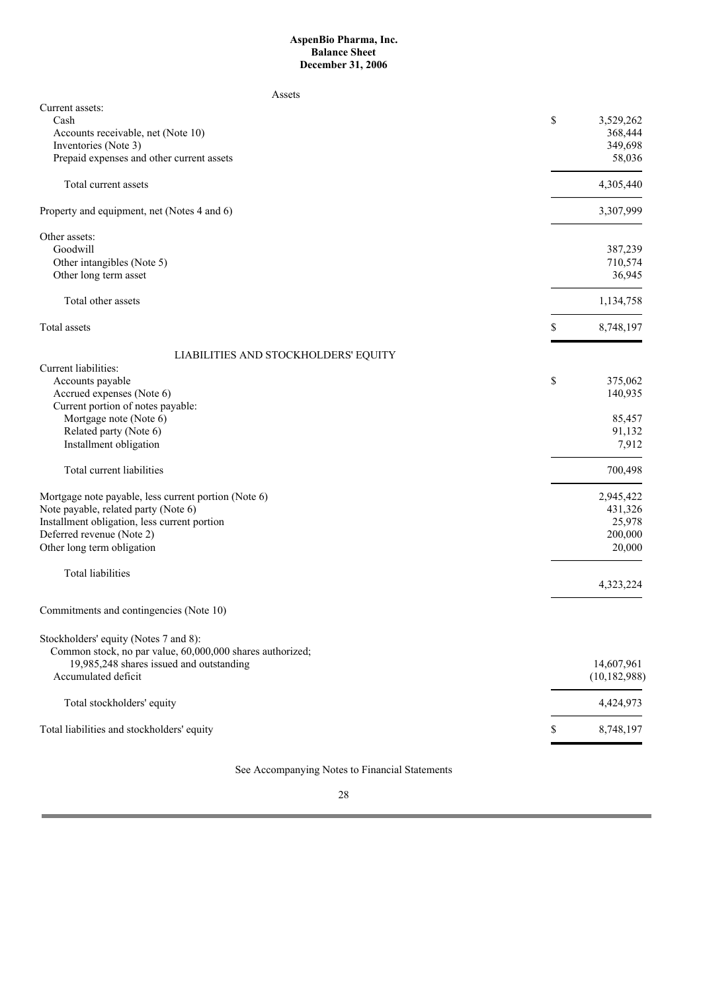### **AspenBio Pharma, Inc. Balance Sheet December 31, 2006**

| Assets                                                    |    |                |
|-----------------------------------------------------------|----|----------------|
| Current assets:<br>Cash                                   | \$ | 3,529,262      |
| Accounts receivable, net (Note 10)                        |    | 368,444        |
| Inventories (Note 3)                                      |    | 349,698        |
| Prepaid expenses and other current assets                 |    | 58,036         |
| Total current assets                                      |    | 4,305,440      |
| Property and equipment, net (Notes 4 and 6)               |    | 3,307,999      |
| Other assets:                                             |    |                |
| Goodwill                                                  |    | 387,239        |
| Other intangibles (Note 5)                                |    | 710,574        |
| Other long term asset                                     |    | 36,945         |
| Total other assets                                        |    | 1,134,758      |
| Total assets                                              | \$ | 8,748,197      |
| LIABILITIES AND STOCKHOLDERS' EQUITY                      |    |                |
| Current liabilities:                                      |    |                |
| Accounts payable                                          | \$ | 375,062        |
| Accrued expenses (Note 6)                                 |    | 140,935        |
| Current portion of notes payable:                         |    |                |
| Mortgage note (Note 6)                                    |    | 85,457         |
| Related party (Note 6)                                    |    | 91,132         |
| Installment obligation                                    |    | 7,912          |
| Total current liabilities                                 |    | 700,498        |
| Mortgage note payable, less current portion (Note 6)      |    | 2,945,422      |
| Note payable, related party (Note 6)                      |    | 431,326        |
| Installment obligation, less current portion              |    | 25,978         |
| Deferred revenue (Note 2)                                 |    | 200,000        |
| Other long term obligation                                |    | 20,000         |
| <b>Total liabilities</b>                                  |    | 4,323,224      |
| Commitments and contingencies (Note 10)                   |    |                |
| Stockholders' equity (Notes 7 and 8):                     |    |                |
| Common stock, no par value, 60,000,000 shares authorized; |    |                |
| 19,985,248 shares issued and outstanding                  |    | 14,607,961     |
| Accumulated deficit                                       |    | (10, 182, 988) |
| Total stockholders' equity                                |    | 4,424,973      |
| Total liabilities and stockholders' equity                | S  | 8,748,197      |
|                                                           |    |                |

See Accompanying Notes to Financial Statements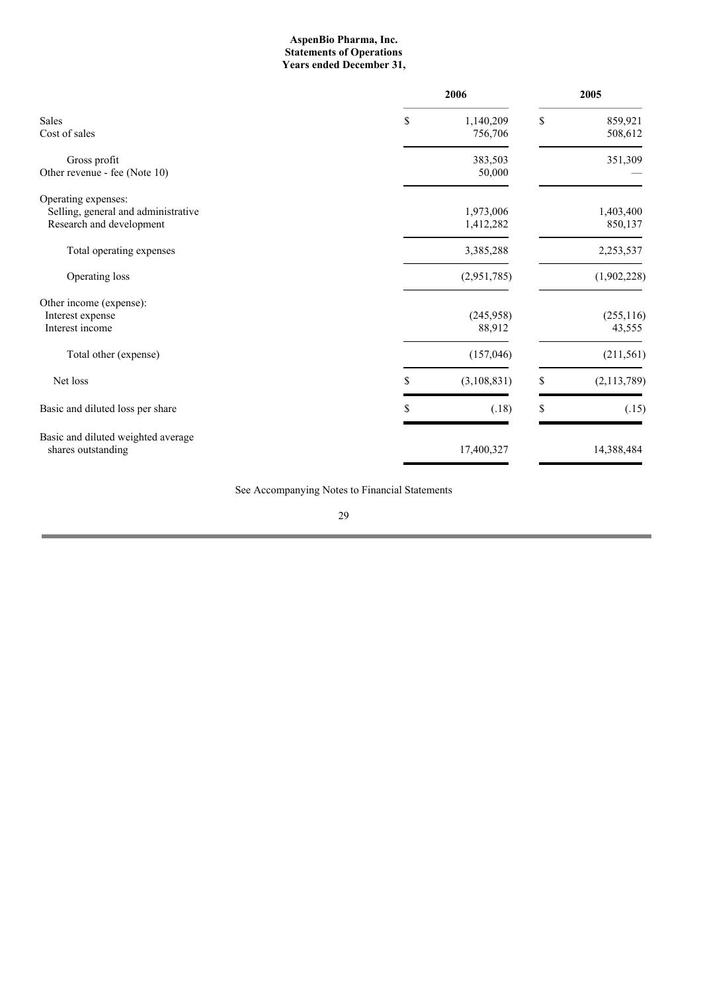#### **AspenBio Pharma, Inc. Statements of Operations Years ended December 31,**

|                                                                                        |                    | 2006                   |    |                      |
|----------------------------------------------------------------------------------------|--------------------|------------------------|----|----------------------|
| <b>Sales</b><br>Cost of sales                                                          | S                  | 1,140,209<br>756,706   | \$ | 859,921<br>508,612   |
| Gross profit<br>Other revenue - fee (Note 10)                                          |                    | 383,503<br>50,000      |    | 351,309              |
| Operating expenses:<br>Selling, general and administrative<br>Research and development |                    | 1,973,006<br>1,412,282 |    | 1,403,400<br>850,137 |
| Total operating expenses                                                               |                    | 3,385,288              |    | 2,253,537            |
| Operating loss                                                                         |                    | (2,951,785)            |    | (1,902,228)          |
| Other income (expense):<br>Interest expense<br>Interest income                         |                    | (245,958)<br>88,912    |    | (255, 116)<br>43,555 |
| Total other (expense)                                                                  |                    | (157, 046)             |    | (211, 561)           |
| Net loss                                                                               | $\mathbf{\hat{S}}$ | (3, 108, 831)          | \$ | (2, 113, 789)        |
| Basic and diluted loss per share                                                       | \$                 | (.18)                  | \$ | (.15)                |
| Basic and diluted weighted average<br>shares outstanding                               |                    | 17,400,327             |    | 14,388,484           |

See Accompanying Notes to Financial Statements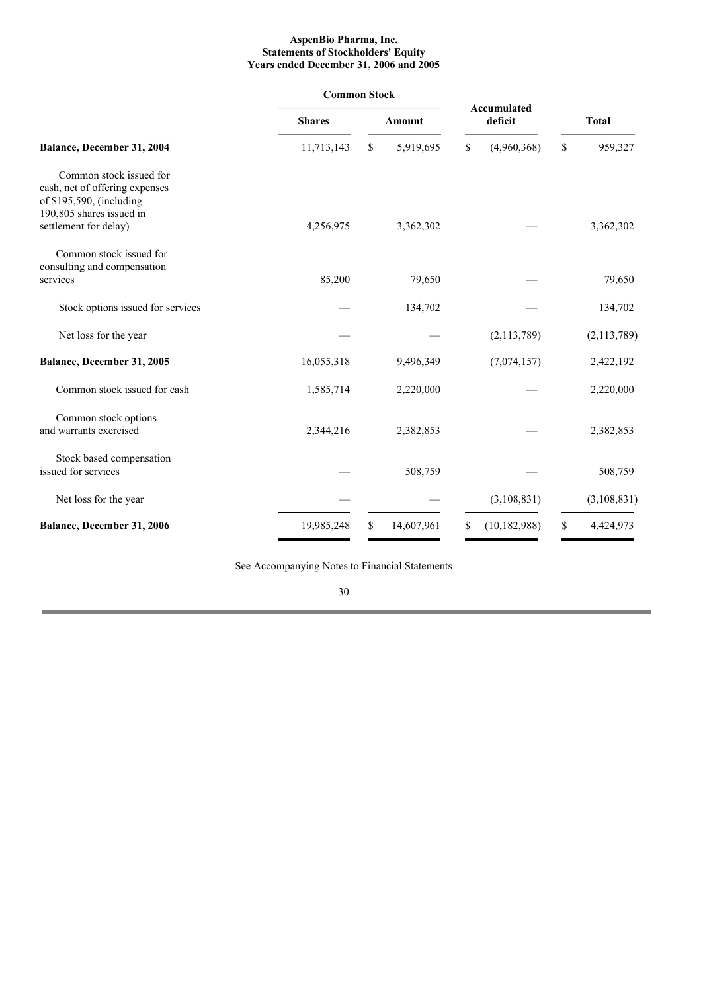#### **AspenBio Pharma, Inc. Statements of Stockholders' Equity Years ended December 31, 2006 and 2005**

|                                                                                                                                            | <b>Common Stock</b> |              |            |                        |    |               |
|--------------------------------------------------------------------------------------------------------------------------------------------|---------------------|--------------|------------|------------------------|----|---------------|
|                                                                                                                                            | <b>Shares</b>       |              | Amount     | Accumulated<br>deficit |    | <b>Total</b>  |
| Balance, December 31, 2004                                                                                                                 | 11,713,143          | $\mathbb{S}$ | 5,919,695  | \$<br>(4,960,368)      | \$ | 959,327       |
| Common stock issued for<br>cash, net of offering expenses<br>of \$195,590, (including<br>190,805 shares issued in<br>settlement for delay) | 4,256,975           |              | 3,362,302  |                        |    | 3,362,302     |
| Common stock issued for<br>consulting and compensation<br>services                                                                         | 85,200              |              | 79,650     |                        |    | 79,650        |
| Stock options issued for services                                                                                                          |                     |              | 134,702    |                        |    | 134,702       |
| Net loss for the year                                                                                                                      |                     |              |            | (2, 113, 789)          |    | (2, 113, 789) |
| Balance, December 31, 2005                                                                                                                 | 16,055,318          |              | 9,496,349  | (7,074,157)            |    | 2,422,192     |
| Common stock issued for cash                                                                                                               | 1,585,714           |              | 2,220,000  |                        |    | 2,220,000     |
| Common stock options<br>and warrants exercised                                                                                             | 2,344,216           |              | 2,382,853  |                        |    | 2,382,853     |
| Stock based compensation<br>issued for services                                                                                            |                     |              | 508,759    |                        |    | 508,759       |
| Net loss for the year                                                                                                                      |                     |              |            | (3,108,831)            |    | (3,108,831)   |
| Balance, December 31, 2006                                                                                                                 | 19,985,248          | \$           | 14,607,961 | \$<br>(10, 182, 988)   | \$ | 4,424,973     |

See Accompanying Notes to Financial Statements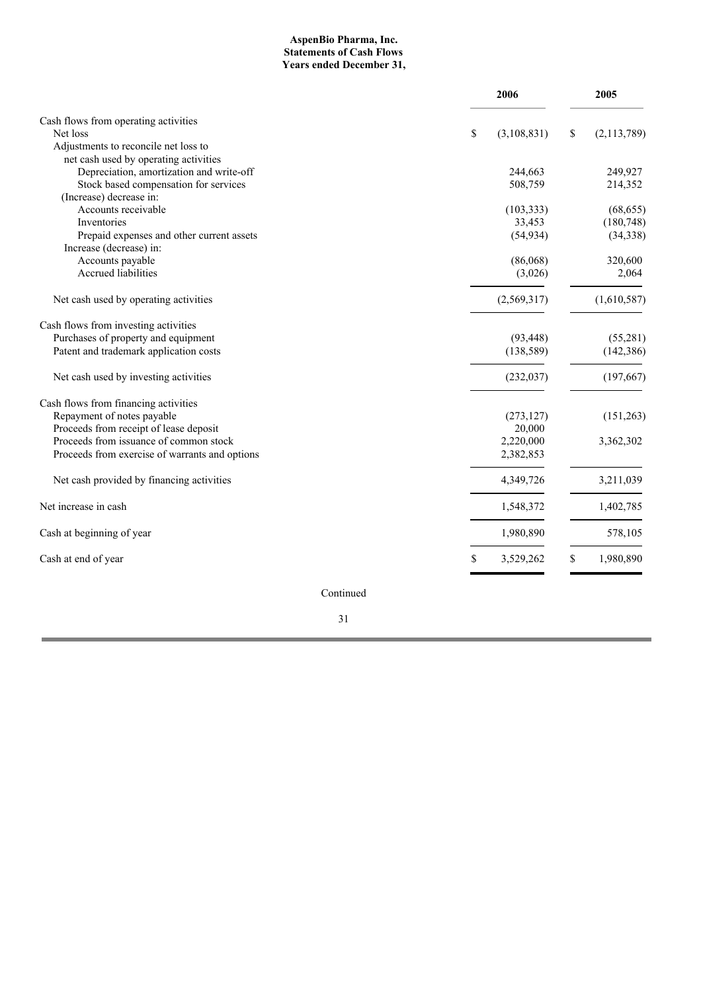## **AspenBio Pharma, Inc. Statements of Cash Flows Years ended December 31,**

|                                                |           | 2006        | 2005              |
|------------------------------------------------|-----------|-------------|-------------------|
| Cash flows from operating activities           |           |             |                   |
| Net loss                                       | \$        | (3,108,831) | \$<br>(2,113,789) |
| Adjustments to reconcile net loss to           |           |             |                   |
| net cash used by operating activities          |           |             |                   |
| Depreciation, amortization and write-off       |           | 244,663     | 249,927           |
| Stock based compensation for services          |           | 508,759     | 214,352           |
| (Increase) decrease in:                        |           |             |                   |
| Accounts receivable                            |           | (103, 333)  | (68, 655)         |
| Inventories                                    |           | 33,453      | (180, 748)        |
| Prepaid expenses and other current assets      |           | (54, 934)   | (34, 338)         |
| Increase (decrease) in:                        |           |             |                   |
| Accounts payable                               |           | (86,068)    | 320,600           |
| Accrued liabilities                            |           | (3,026)     | 2,064             |
| Net cash used by operating activities          |           | (2,569,317) | (1,610,587)       |
| Cash flows from investing activities           |           |             |                   |
| Purchases of property and equipment            |           | (93, 448)   | (55,281)          |
| Patent and trademark application costs         |           | (138, 589)  | (142, 386)        |
| Net cash used by investing activities          |           | (232, 037)  | (197, 667)        |
| Cash flows from financing activities           |           |             |                   |
| Repayment of notes payable                     |           | (273, 127)  | (151, 263)        |
| Proceeds from receipt of lease deposit         |           | 20,000      |                   |
| Proceeds from issuance of common stock         |           | 2,220,000   | 3,362,302         |
| Proceeds from exercise of warrants and options |           | 2,382,853   |                   |
| Net cash provided by financing activities      |           | 4,349,726   | 3,211,039         |
| Net increase in cash                           |           | 1,548,372   | 1,402,785         |
| Cash at beginning of year                      |           | 1,980,890   | 578,105           |
| Cash at end of year                            | \$        | 3,529,262   | \$<br>1,980,890   |
|                                                | Continued |             |                   |

31

i.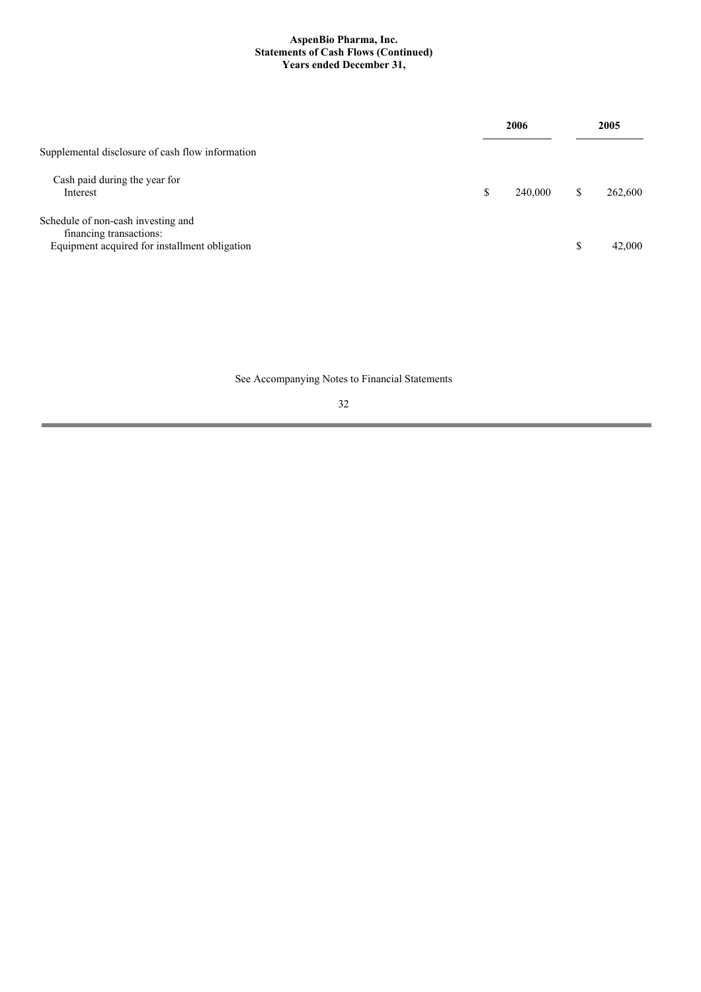#### **AspenBio Pharma, Inc. Statements of Cash Flows (Continued) Years ended December 31,**

|                                                                                                                |    | 2006    |   | 2005    |
|----------------------------------------------------------------------------------------------------------------|----|---------|---|---------|
| Supplemental disclosure of cash flow information                                                               |    |         |   |         |
| Cash paid during the year for<br>Interest                                                                      | \$ | 240,000 | S | 262,600 |
| Schedule of non-cash investing and<br>financing transactions:<br>Equipment acquired for installment obligation |    |         | S | 42,000  |

See Accompanying Notes to Financial Statements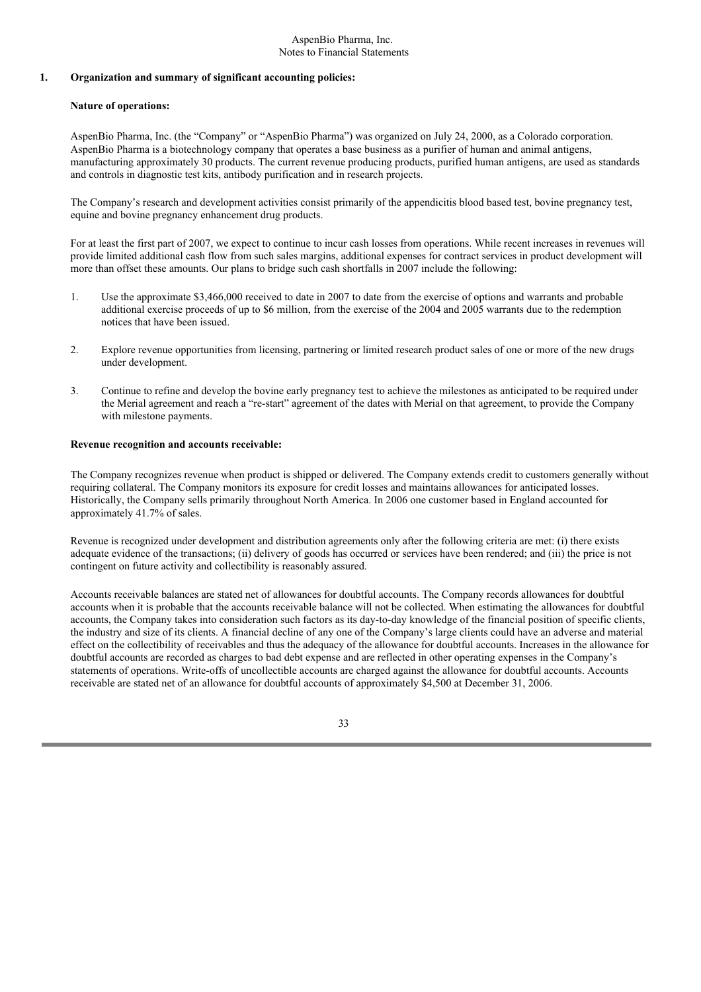## **1. Organization and summary of significant accounting policies:**

#### **Nature of operations:**

AspenBio Pharma, Inc. (the "Company" or "AspenBio Pharma") was organized on July 24, 2000, as a Colorado corporation. AspenBio Pharma is a biotechnology company that operates a base business as a purifier of human and animal antigens, manufacturing approximately 30 products. The current revenue producing products, purified human antigens, are used as standards and controls in diagnostic test kits, antibody purification and in research projects.

The Company's research and development activities consist primarily of the appendicitis blood based test, bovine pregnancy test, equine and bovine pregnancy enhancement drug products.

For at least the first part of 2007, we expect to continue to incur cash losses from operations. While recent increases in revenues will provide limited additional cash flow from such sales margins, additional expenses for contract services in product development will more than offset these amounts. Our plans to bridge such cash shortfalls in 2007 include the following:

- 1. Use the approximate \$3,466,000 received to date in 2007 to date from the exercise of options and warrants and probable additional exercise proceeds of up to \$6 million, from the exercise of the 2004 and 2005 warrants due to the redemption notices that have been issued.
- 2. Explore revenue opportunities from licensing, partnering or limited research product sales of one or more of the new drugs under development.
- 3. Continue to refine and develop the bovine early pregnancy test to achieve the milestones as anticipated to be required under the Merial agreement and reach a "re-start" agreement of the dates with Merial on that agreement, to provide the Company with milestone payments.

#### **Revenue recognition and accounts receivable:**

The Company recognizes revenue when product is shipped or delivered. The Company extends credit to customers generally without requiring collateral. The Company monitors its exposure for credit losses and maintains allowances for anticipated losses. Historically, the Company sells primarily throughout North America. In 2006 one customer based in England accounted for approximately 41.7% of sales.

Revenue is recognized under development and distribution agreements only after the following criteria are met: (i) there exists adequate evidence of the transactions; (ii) delivery of goods has occurred or services have been rendered; and (iii) the price is not contingent on future activity and collectibility is reasonably assured.

Accounts receivable balances are stated net of allowances for doubtful accounts. The Company records allowances for doubtful accounts when it is probable that the accounts receivable balance will not be collected. When estimating the allowances for doubtful accounts, the Company takes into consideration such factors as its day-to-day knowledge of the financial position of specific clients, the industry and size of its clients. A financial decline of any one of the Company's large clients could have an adverse and material effect on the collectibility of receivables and thus the adequacy of the allowance for doubtful accounts. Increases in the allowance for doubtful accounts are recorded as charges to bad debt expense and are reflected in other operating expenses in the Company's statements of operations. Write-offs of uncollectible accounts are charged against the allowance for doubtful accounts. Accounts receivable are stated net of an allowance for doubtful accounts of approximately \$4,500 at December 31, 2006.

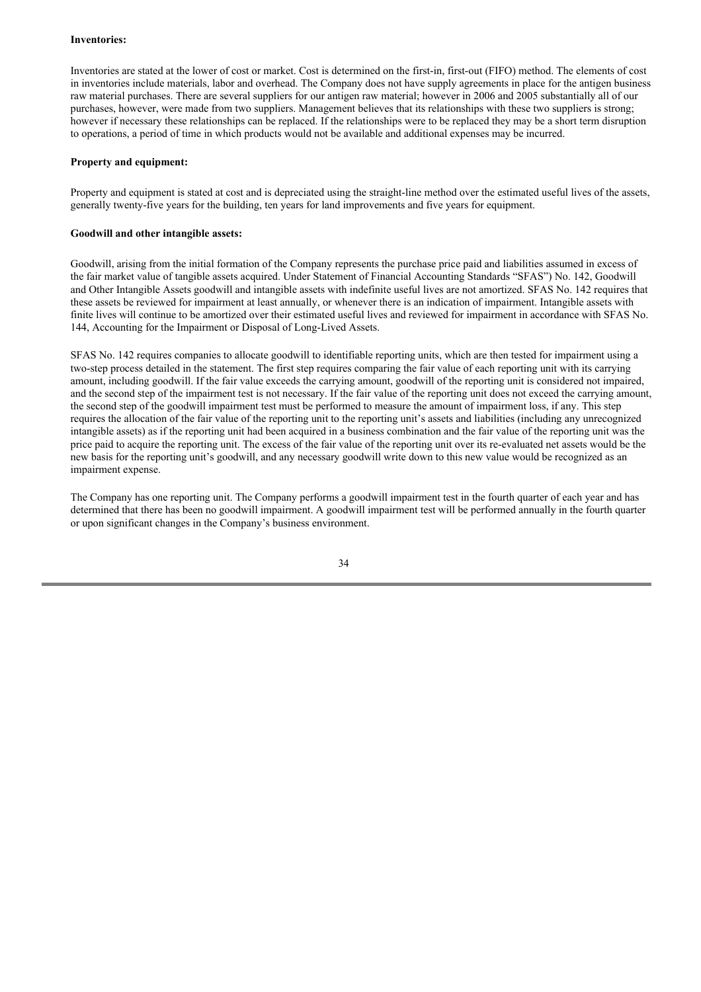#### **Inventories:**

Inventories are stated at the lower of cost or market. Cost is determined on the first-in, first-out (FIFO) method. The elements of cost in inventories include materials, labor and overhead. The Company does not have supply agreements in place for the antigen business raw material purchases. There are several suppliers for our antigen raw material; however in 2006 and 2005 substantially all of our purchases, however, were made from two suppliers. Management believes that its relationships with these two suppliers is strong; however if necessary these relationships can be replaced. If the relationships were to be replaced they may be a short term disruption to operations, a period of time in which products would not be available and additional expenses may be incurred.

## **Property and equipment:**

Property and equipment is stated at cost and is depreciated using the straight-line method over the estimated useful lives of the assets, generally twenty-five years for the building, ten years for land improvements and five years for equipment.

#### **Goodwill and other intangible assets:**

Goodwill, arising from the initial formation of the Company represents the purchase price paid and liabilities assumed in excess of the fair market value of tangible assets acquired. Under Statement of Financial Accounting Standards "SFAS") No. 142, Goodwill and Other Intangible Assets goodwill and intangible assets with indefinite useful lives are not amortized. SFAS No. 142 requires that these assets be reviewed for impairment at least annually, or whenever there is an indication of impairment. Intangible assets with finite lives will continue to be amortized over their estimated useful lives and reviewed for impairment in accordance with SFAS No. 144, Accounting for the Impairment or Disposal of Long-Lived Assets.

SFAS No. 142 requires companies to allocate goodwill to identifiable reporting units, which are then tested for impairment using a two-step process detailed in the statement. The first step requires comparing the fair value of each reporting unit with its carrying amount, including goodwill. If the fair value exceeds the carrying amount, goodwill of the reporting unit is considered not impaired, and the second step of the impairment test is not necessary. If the fair value of the reporting unit does not exceed the carrying amount, the second step of the goodwill impairment test must be performed to measure the amount of impairment loss, if any. This step requires the allocation of the fair value of the reporting unit to the reporting unit's assets and liabilities (including any unrecognized intangible assets) as if the reporting unit had been acquired in a business combination and the fair value of the reporting unit was the price paid to acquire the reporting unit. The excess of the fair value of the reporting unit over its re-evaluated net assets would be the new basis for the reporting unit's goodwill, and any necessary goodwill write down to this new value would be recognized as an impairment expense.

The Company has one reporting unit. The Company performs a goodwill impairment test in the fourth quarter of each year and has determined that there has been no goodwill impairment. A goodwill impairment test will be performed annually in the fourth quarter or upon significant changes in the Company's business environment.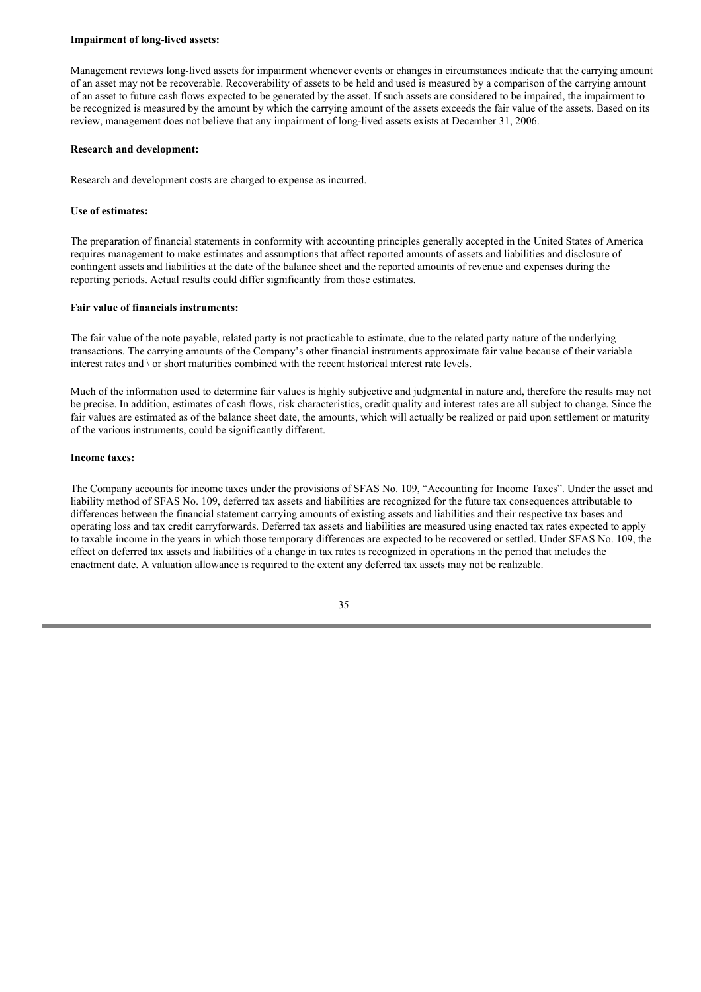#### **Impairment of long-lived assets:**

Management reviews long-lived assets for impairment whenever events or changes in circumstances indicate that the carrying amount of an asset may not be recoverable. Recoverability of assets to be held and used is measured by a comparison of the carrying amount of an asset to future cash flows expected to be generated by the asset. If such assets are considered to be impaired, the impairment to be recognized is measured by the amount by which the carrying amount of the assets exceeds the fair value of the assets. Based on its review, management does not believe that any impairment of long-lived assets exists at December 31, 2006.

### **Research and development:**

Research and development costs are charged to expense as incurred.

### **Use of estimates:**

The preparation of financial statements in conformity with accounting principles generally accepted in the United States of America requires management to make estimates and assumptions that affect reported amounts of assets and liabilities and disclosure of contingent assets and liabilities at the date of the balance sheet and the reported amounts of revenue and expenses during the reporting periods. Actual results could differ significantly from those estimates.

### **Fair value of financials instruments:**

The fair value of the note payable, related party is not practicable to estimate, due to the related party nature of the underlying transactions. The carrying amounts of the Company's other financial instruments approximate fair value because of their variable interest rates and \ or short maturities combined with the recent historical interest rate levels.

Much of the information used to determine fair values is highly subjective and judgmental in nature and, therefore the results may not be precise. In addition, estimates of cash flows, risk characteristics, credit quality and interest rates are all subject to change. Since the fair values are estimated as of the balance sheet date, the amounts, which will actually be realized or paid upon settlement or maturity of the various instruments, could be significantly different.

### **Income taxes:**

The Company accounts for income taxes under the provisions of SFAS No. 109, "Accounting for Income Taxes". Under the asset and liability method of SFAS No. 109, deferred tax assets and liabilities are recognized for the future tax consequences attributable to differences between the financial statement carrying amounts of existing assets and liabilities and their respective tax bases and operating loss and tax credit carryforwards. Deferred tax assets and liabilities are measured using enacted tax rates expected to apply to taxable income in the years in which those temporary differences are expected to be recovered or settled. Under SFAS No. 109, the effect on deferred tax assets and liabilities of a change in tax rates is recognized in operations in the period that includes the enactment date. A valuation allowance is required to the extent any deferred tax assets may not be realizable.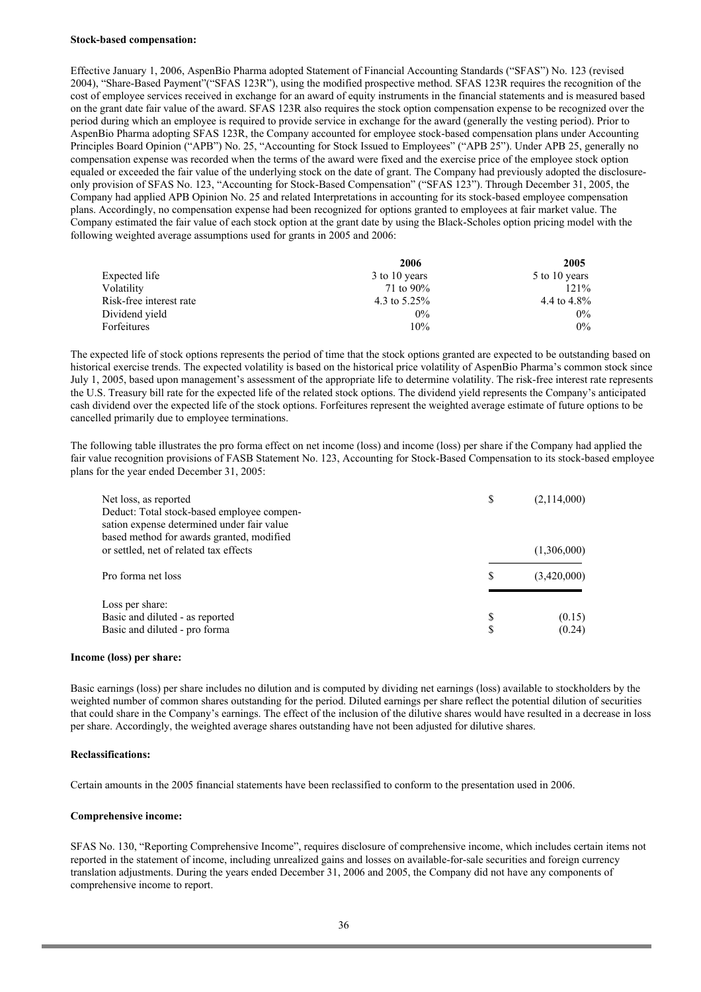#### **Stock-based compensation:**

Effective January 1, 2006, AspenBio Pharma adopted Statement of Financial Accounting Standards ("SFAS") No. 123 (revised 2004), "Share-Based Payment"("SFAS 123R"), using the modified prospective method. SFAS 123R requires the recognition of the cost of employee services received in exchange for an award of equity instruments in the financial statements and is measured based on the grant date fair value of the award. SFAS 123R also requires the stock option compensation expense to be recognized over the period during which an employee is required to provide service in exchange for the award (generally the vesting period). Prior to AspenBio Pharma adopting SFAS 123R, the Company accounted for employee stock-based compensation plans under Accounting Principles Board Opinion ("APB") No. 25, "Accounting for Stock Issued to Employees" ("APB 25"). Under APB 25, generally no compensation expense was recorded when the terms of the award were fixed and the exercise price of the employee stock option equaled or exceeded the fair value of the underlying stock on the date of grant. The Company had previously adopted the disclosureonly provision of SFAS No. 123, "Accounting for Stock-Based Compensation" ("SFAS 123"). Through December 31, 2005, the Company had applied APB Opinion No. 25 and related Interpretations in accounting for its stock-based employee compensation plans. Accordingly, no compensation expense had been recognized for options granted to employees at fair market value. The Company estimated the fair value of each stock option at the grant date by using the Black-Scholes option pricing model with the following weighted average assumptions used for grants in 2005 and 2006:

| 2006            | 2005           |
|-----------------|----------------|
| 3 to 10 years   | 5 to 10 years  |
| 71 to $90\%$    | 121%           |
| 4.3 to $5.25\%$ | 4.4 to $4.8\%$ |
| $0\%$           | $0\%$          |
| 10%             | $0\%$          |
|                 |                |

The expected life of stock options represents the period of time that the stock options granted are expected to be outstanding based on historical exercise trends. The expected volatility is based on the historical price volatility of AspenBio Pharma's common stock since July 1, 2005, based upon management's assessment of the appropriate life to determine volatility. The risk-free interest rate represents the U.S. Treasury bill rate for the expected life of the related stock options. The dividend yield represents the Company's anticipated cash dividend over the expected life of the stock options. Forfeitures represent the weighted average estimate of future options to be cancelled primarily due to employee terminations.

The following table illustrates the pro forma effect on net income (loss) and income (loss) per share if the Company had applied the fair value recognition provisions of FASB Statement No. 123, Accounting for Stock-Based Compensation to its stock-based employee plans for the year ended December 31, 2005:

| Net loss, as reported                      | \$ | (2,114,000) |
|--------------------------------------------|----|-------------|
| Deduct: Total stock-based employee compen- |    |             |
| sation expense determined under fair value |    |             |
| based method for awards granted, modified  |    |             |
| or settled, net of related tax effects     |    | (1,306,000) |
| Pro forma net loss                         | \$ | (3,420,000) |
| Loss per share:                            |    |             |
| Basic and diluted - as reported            | S  | (0.15)      |
| Basic and diluted - pro forma              | \$ | (0.24)      |
|                                            |    |             |

#### **Income (loss) per share:**

Basic earnings (loss) per share includes no dilution and is computed by dividing net earnings (loss) available to stockholders by the weighted number of common shares outstanding for the period. Diluted earnings per share reflect the potential dilution of securities that could share in the Company's earnings. The effect of the inclusion of the dilutive shares would have resulted in a decrease in loss per share. Accordingly, the weighted average shares outstanding have not been adjusted for dilutive shares.

## **Reclassifications:**

Certain amounts in the 2005 financial statements have been reclassified to conform to the presentation used in 2006.

## **Comprehensive income:**

SFAS No. 130, "Reporting Comprehensive Income", requires disclosure of comprehensive income, which includes certain items not reported in the statement of income, including unrealized gains and losses on available-for-sale securities and foreign currency translation adjustments. During the years ended December 31, 2006 and 2005, the Company did not have any components of comprehensive income to report.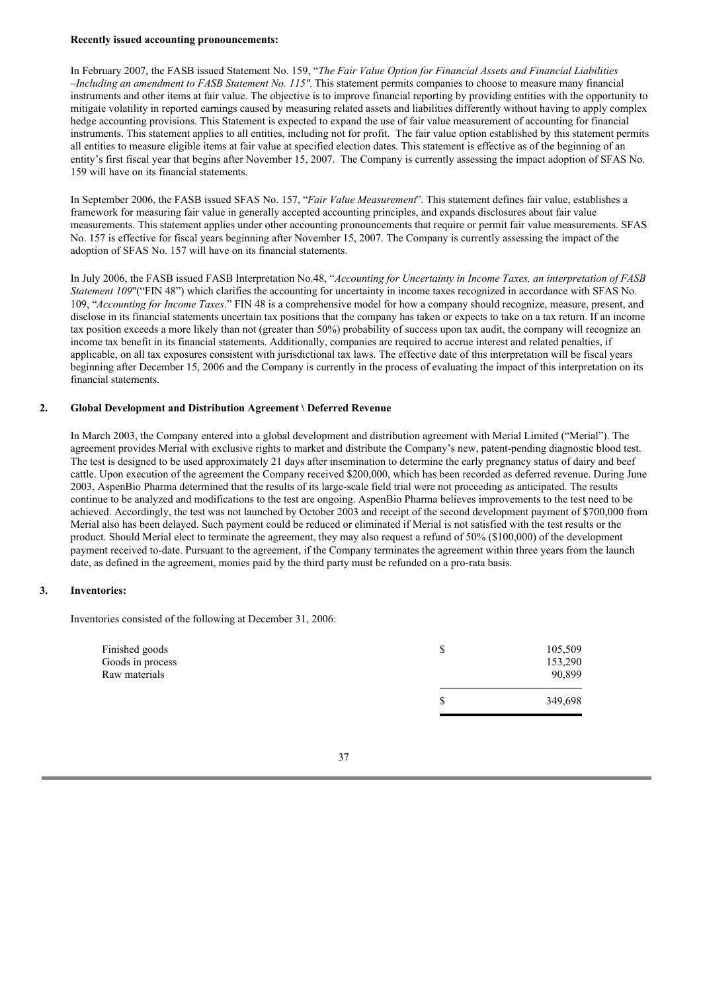#### **Recently issued accounting pronouncements:**

In February 2007, the FASB issued Statement No. 159, "*The Fair Value Option for Financial Assets and Financial Liabilities –Including an amendment to FASB Statement No. 115".* This statement permits companies to choose to measure many financial instruments and other items at fair value. The objective is to improve financial reporting by providing entities with the opportunity to mitigate volatility in reported earnings caused by measuring related assets and liabilities differently without having to apply complex hedge accounting provisions. This Statement is expected to expand the use of fair value measurement of accounting for financial instruments. This statement applies to all entities, including not for profit. The fair value option established by this statement permits all entities to measure eligible items at fair value at specified election dates. This statement is effective as of the beginning of an entity's first fiscal year that begins after November 15, 2007. The Company is currently assessing the impact adoption of SFAS No. 159 will have on its financial statements.

In September 2006, the FASB issued SFAS No. 157, "*Fair Value Measurement*". This statement defines fair value, establishes a framework for measuring fair value in generally accepted accounting principles, and expands disclosures about fair value measurements. This statement applies under other accounting pronouncements that require or permit fair value measurements. SFAS No. 157 is effective for fiscal years beginning after November 15, 2007. The Company is currently assessing the impact of the adoption of SFAS No. 157 will have on its financial statements.

In July 2006, the FASB issued FASB Interpretation No.48, "*Accounting for Uncertainty in Income Taxes, an interpretation of FASB Statement 109*"("FIN 48") which clarifies the accounting for uncertainty in income taxes recognized in accordance with SFAS No. 109, "*Accounting for Income Taxes*." FIN 48 is a comprehensive model for how a company should recognize, measure, present, and disclose in its financial statements uncertain tax positions that the company has taken or expects to take on a tax return. If an income tax position exceeds a more likely than not (greater than 50%) probability of success upon tax audit, the company will recognize an income tax benefit in its financial statements. Additionally, companies are required to accrue interest and related penalties, if applicable, on all tax exposures consistent with jurisdictional tax laws. The effective date of this interpretation will be fiscal years beginning after December 15, 2006 and the Company is currently in the process of evaluating the impact of this interpretation on its financial statements.

## **2. Global Development and Distribution Agreement \ Deferred Revenue**

In March 2003, the Company entered into a global development and distribution agreement with Merial Limited ("Merial"). The agreement provides Merial with exclusive rights to market and distribute the Company's new, patent-pending diagnostic blood test. The test is designed to be used approximately 21 days after insemination to determine the early pregnancy status of dairy and beef cattle. Upon execution of the agreement the Company received \$200,000, which has been recorded as deferred revenue. During June 2003, AspenBio Pharma determined that the results of its large-scale field trial were not proceeding as anticipated. The results continue to be analyzed and modifications to the test are ongoing. AspenBio Pharma believes improvements to the test need to be achieved. Accordingly, the test was not launched by October 2003 and receipt of the second development payment of \$700,000 from Merial also has been delayed. Such payment could be reduced or eliminated if Merial is not satisfied with the test results or the product. Should Merial elect to terminate the agreement, they may also request a refund of 50% (\$100,000) of the development payment received to-date. Pursuant to the agreement, if the Company terminates the agreement within three years from the launch date, as defined in the agreement, monies paid by the third party must be refunded on a pro-rata basis.

## **3. Inventories:**

Inventories consisted of the following at December 31, 2006:

| Finished goods<br>Goods in process<br>Raw materials |     | 105,509<br>153,290<br>90,899 |
|-----------------------------------------------------|-----|------------------------------|
|                                                     | \$. | 349,698                      |

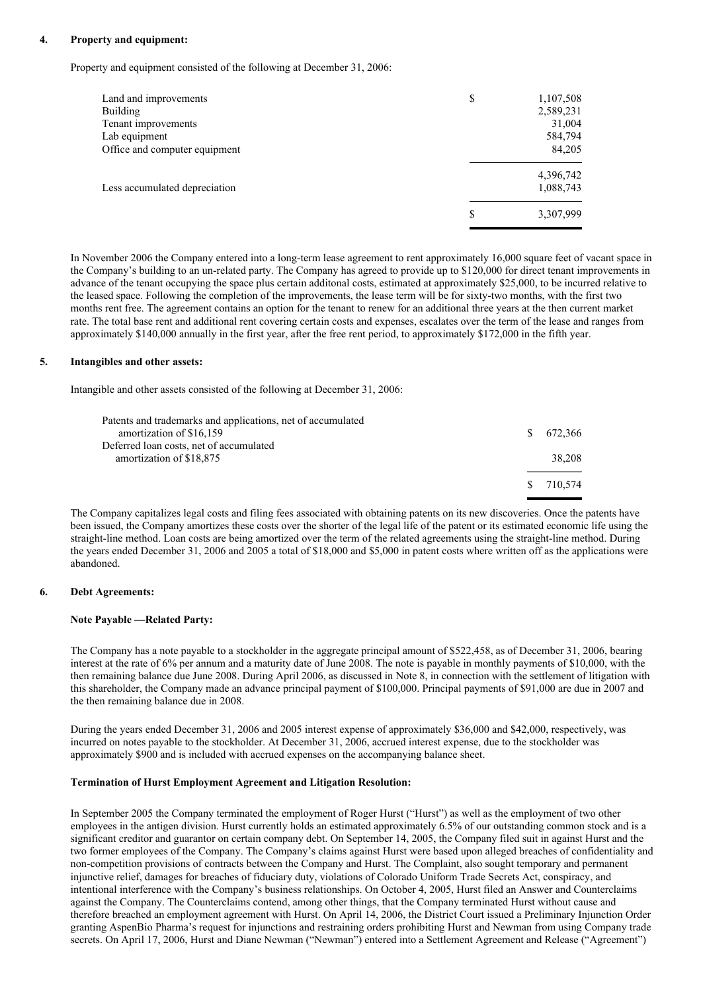## **4. Property and equipment:**

Property and equipment consisted of the following at December 31, 2006:

| Land and improvements         | \$<br>1,107,508 |
|-------------------------------|-----------------|
| <b>Building</b>               | 2,589,231       |
| Tenant improvements           | 31,004          |
| Lab equipment                 | 584,794         |
| Office and computer equipment | 84,205          |
|                               | 4,396,742       |
| Less accumulated depreciation | 1,088,743       |
|                               | \$<br>3,307,999 |
|                               |                 |

In November 2006 the Company entered into a long-term lease agreement to rent approximately 16,000 square feet of vacant space in the Company's building to an un-related party. The Company has agreed to provide up to \$120,000 for direct tenant improvements in advance of the tenant occupying the space plus certain additonal costs, estimated at approximately \$25,000, to be incurred relative to the leased space. Following the completion of the improvements, the lease term will be for sixty-two months, with the first two months rent free. The agreement contains an option for the tenant to renew for an additional three years at the then current market rate. The total base rent and additional rent covering certain costs and expenses, escalates over the term of the lease and ranges from approximately \$140,000 annually in the first year, after the free rent period, to approximately \$172,000 in the fifth year.

## **5. Intangibles and other assets:**

Intangible and other assets consisted of the following at December 31, 2006:

| Patents and trademarks and applications, net of accumulated |    |         |
|-------------------------------------------------------------|----|---------|
| amortization of \$16,159                                    | S. | 672.366 |
| Deferred loan costs, net of accumulated                     |    |         |
| amortization of \$18,875                                    |    | 38,208  |
|                                                             |    |         |
|                                                             | S. | 710.574 |

The Company capitalizes legal costs and filing fees associated with obtaining patents on its new discoveries. Once the patents have been issued, the Company amortizes these costs over the shorter of the legal life of the patent or its estimated economic life using the straight-line method. Loan costs are being amortized over the term of the related agreements using the straight-line method. During the years ended December 31, 2006 and 2005 a total of \$18,000 and \$5,000 in patent costs where written off as the applications were abandoned.

## **6. Debt Agreements:**

## **Note Payable —Related Party:**

The Company has a note payable to a stockholder in the aggregate principal amount of \$522,458, as of December 31, 2006, bearing interest at the rate of 6% per annum and a maturity date of June 2008. The note is payable in monthly payments of \$10,000, with the then remaining balance due June 2008. During April 2006, as discussed in Note 8, in connection with the settlement of litigation with this shareholder, the Company made an advance principal payment of \$100,000. Principal payments of \$91,000 are due in 2007 and the then remaining balance due in 2008.

During the years ended December 31, 2006 and 2005 interest expense of approximately \$36,000 and \$42,000, respectively, was incurred on notes payable to the stockholder. At December 31, 2006, accrued interest expense, due to the stockholder was approximately \$900 and is included with accrued expenses on the accompanying balance sheet.

## **Termination of Hurst Employment Agreement and Litigation Resolution:**

In September 2005 the Company terminated the employment of Roger Hurst ("Hurst") as well as the employment of two other employees in the antigen division. Hurst currently holds an estimated approximately 6.5% of our outstanding common stock and is a significant creditor and guarantor on certain company debt. On September 14, 2005, the Company filed suit in against Hurst and the two former employees of the Company. The Company's claims against Hurst were based upon alleged breaches of confidentiality and non-competition provisions of contracts between the Company and Hurst. The Complaint, also sought temporary and permanent injunctive relief, damages for breaches of fiduciary duty, violations of Colorado Uniform Trade Secrets Act, conspiracy, and intentional interference with the Company's business relationships. On October 4, 2005, Hurst filed an Answer and Counterclaims against the Company. The Counterclaims contend, among other things, that the Company terminated Hurst without cause and therefore breached an employment agreement with Hurst. On April 14, 2006, the District Court issued a Preliminary Injunction Order granting AspenBio Pharma's request for injunctions and restraining orders prohibiting Hurst and Newman from using Company trade secrets. On April 17, 2006, Hurst and Diane Newman ("Newman") entered into a Settlement Agreement and Release ("Agreement")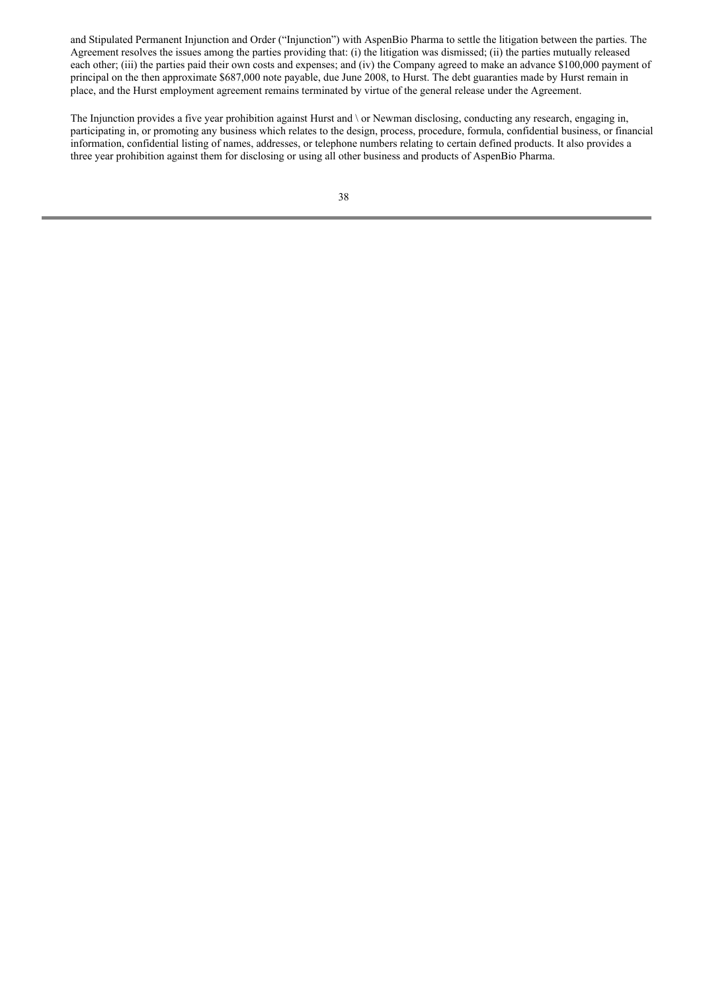and Stipulated Permanent Injunction and Order ("Injunction") with AspenBio Pharma to settle the litigation between the parties. The Agreement resolves the issues among the parties providing that: (i) the litigation was dismissed; (ii) the parties mutually released each other; (iii) the parties paid their own costs and expenses; and (iv) the Company agreed to make an advance \$100,000 payment of principal on the then approximate \$687,000 note payable, due June 2008, to Hurst. The debt guaranties made by Hurst remain in place, and the Hurst employment agreement remains terminated by virtue of the general release under the Agreement.

The Injunction provides a five year prohibition against Hurst and \ or Newman disclosing, conducting any research, engaging in, participating in, or promoting any business which relates to the design, process, procedure, formula, confidential business, or financial information, confidential listing of names, addresses, or telephone numbers relating to certain defined products. It also provides a three year prohibition against them for disclosing or using all other business and products of AspenBio Pharma.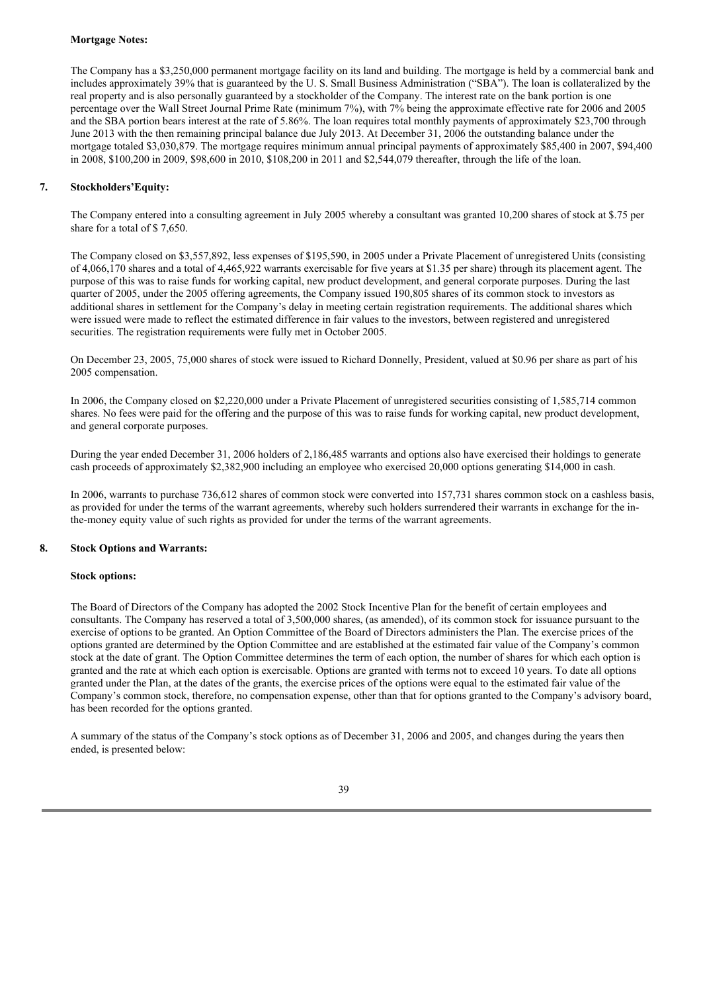#### **Mortgage Notes:**

The Company has a \$3,250,000 permanent mortgage facility on its land and building. The mortgage is held by a commercial bank and includes approximately 39% that is guaranteed by the U. S. Small Business Administration ("SBA"). The loan is collateralized by the real property and is also personally guaranteed by a stockholder of the Company. The interest rate on the bank portion is one percentage over the Wall Street Journal Prime Rate (minimum 7%), with 7% being the approximate effective rate for 2006 and 2005 and the SBA portion bears interest at the rate of 5.86%. The loan requires total monthly payments of approximately \$23,700 through June 2013 with the then remaining principal balance due July 2013. At December 31, 2006 the outstanding balance under the mortgage totaled \$3,030,879. The mortgage requires minimum annual principal payments of approximately \$85,400 in 2007, \$94,400 in 2008, \$100,200 in 2009, \$98,600 in 2010, \$108,200 in 2011 and \$2,544,079 thereafter, through the life of the loan.

## **7. Stockholders'Equity:**

The Company entered into a consulting agreement in July 2005 whereby a consultant was granted 10,200 shares of stock at \$.75 per share for a total of \$ 7,650.

The Company closed on \$3,557,892, less expenses of \$195,590, in 2005 under a Private Placement of unregistered Units (consisting of 4,066,170 shares and a total of 4,465,922 warrants exercisable for five years at \$1.35 per share) through its placement agent. The purpose of this was to raise funds for working capital, new product development, and general corporate purposes. During the last quarter of 2005, under the 2005 offering agreements, the Company issued 190,805 shares of its common stock to investors as additional shares in settlement for the Company's delay in meeting certain registration requirements. The additional shares which were issued were made to reflect the estimated difference in fair values to the investors, between registered and unregistered securities. The registration requirements were fully met in October 2005.

On December 23, 2005, 75,000 shares of stock were issued to Richard Donnelly, President, valued at \$0.96 per share as part of his 2005 compensation.

In 2006, the Company closed on \$2,220,000 under a Private Placement of unregistered securities consisting of 1,585,714 common shares. No fees were paid for the offering and the purpose of this was to raise funds for working capital, new product development, and general corporate purposes.

During the year ended December 31, 2006 holders of 2,186,485 warrants and options also have exercised their holdings to generate cash proceeds of approximately \$2,382,900 including an employee who exercised 20,000 options generating \$14,000 in cash.

In 2006, warrants to purchase 736,612 shares of common stock were converted into 157,731 shares common stock on a cashless basis, as provided for under the terms of the warrant agreements, whereby such holders surrendered their warrants in exchange for the inthe-money equity value of such rights as provided for under the terms of the warrant agreements.

## **8. Stock Options and Warrants:**

#### **Stock options:**

The Board of Directors of the Company has adopted the 2002 Stock Incentive Plan for the benefit of certain employees and consultants. The Company has reserved a total of 3,500,000 shares, (as amended), of its common stock for issuance pursuant to the exercise of options to be granted. An Option Committee of the Board of Directors administers the Plan. The exercise prices of the options granted are determined by the Option Committee and are established at the estimated fair value of the Company's common stock at the date of grant. The Option Committee determines the term of each option, the number of shares for which each option is granted and the rate at which each option is exercisable. Options are granted with terms not to exceed 10 years. To date all options granted under the Plan, at the dates of the grants, the exercise prices of the options were equal to the estimated fair value of the Company's common stock, therefore, no compensation expense, other than that for options granted to the Company's advisory board, has been recorded for the options granted.

A summary of the status of the Company's stock options as of December 31, 2006 and 2005, and changes during the years then ended, is presented below:

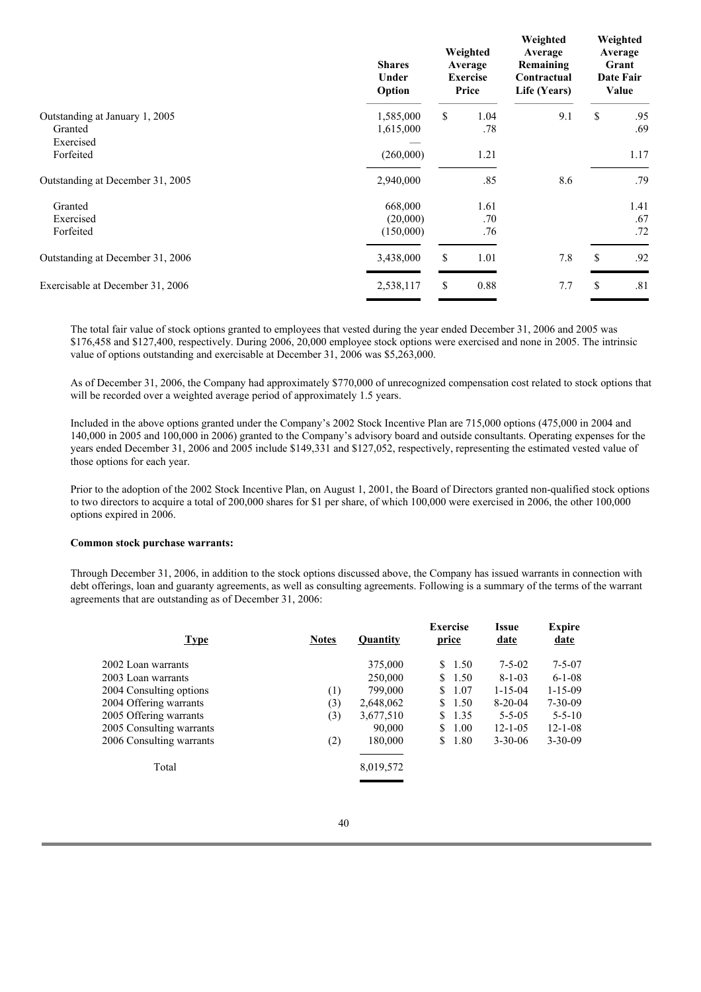| <b>Shares</b><br>Under<br>Option |           |      | Weighted<br>Average<br>Remaining<br>Contractual<br>Life (Years) | Weighted<br>Average<br>Grant<br>Date Fair<br>Value |      |
|----------------------------------|-----------|------|-----------------------------------------------------------------|----------------------------------------------------|------|
| 1,585,000                        | \$        | 1.04 | 9.1                                                             | \$                                                 | .95  |
|                                  |           |      |                                                                 |                                                    | .69  |
| (260,000)                        |           | 1.21 |                                                                 |                                                    | 1.17 |
| 2,940,000                        |           | .85  | 8.6                                                             |                                                    | .79  |
| 668,000                          |           | 1.61 |                                                                 |                                                    | 1.41 |
| (20,000)                         |           | .70  |                                                                 |                                                    | .67  |
| (150,000)                        |           | .76  |                                                                 |                                                    | .72  |
| 3,438,000                        | \$        | 1.01 | 7.8                                                             | $\mathbb{S}$                                       | .92  |
| 2,538,117                        | \$        | 0.88 | 7.7                                                             | <sup>\$</sup>                                      | .81  |
|                                  | 1,615,000 |      | Weighted<br>Average<br><b>Exercise</b><br>Price<br>.78          |                                                    |      |

The total fair value of stock options granted to employees that vested during the year ended December 31, 2006 and 2005 was \$176,458 and \$127,400, respectively. During 2006, 20,000 employee stock options were exercised and none in 2005. The intrinsic value of options outstanding and exercisable at December 31, 2006 was \$5,263,000.

As of December 31, 2006, the Company had approximately \$770,000 of unrecognized compensation cost related to stock options that will be recorded over a weighted average period of approximately 1.5 years.

Included in the above options granted under the Company's 2002 Stock Incentive Plan are 715,000 options (475,000 in 2004 and 140,000 in 2005 and 100,000 in 2006) granted to the Company's advisory board and outside consultants. Operating expenses for the years ended December 31, 2006 and 2005 include \$149,331 and \$127,052, respectively, representing the estimated vested value of those options for each year.

Prior to the adoption of the 2002 Stock Incentive Plan, on August 1, 2001, the Board of Directors granted non-qualified stock options to two directors to acquire a total of 200,000 shares for \$1 per share, of which 100,000 were exercised in 2006, the other 100,000 options expired in 2006.

#### **Common stock purchase warrants:**

Through December 31, 2006, in addition to the stock options discussed above, the Company has issued warrants in connection with debt offerings, loan and guaranty agreements, as well as consulting agreements. Following is a summary of the terms of the warrant agreements that are outstanding as of December 31, 2006:

| <b>Type</b>              | <b>Notes</b> | <b>Ouantity</b> | <b>Exercise</b><br>price | <b>Issue</b><br><u>date</u> | <b>Expire</b><br><u>date</u> |
|--------------------------|--------------|-----------------|--------------------------|-----------------------------|------------------------------|
| 2002 Loan warrants       |              | 375,000         | \$1.50                   | $7 - 5 - 02$                | $7 - 5 - 07$                 |
| 2003 Loan warrants       |              | 250,000         | \$1.50                   | $8 - 1 - 03$                | $6 - 1 - 08$                 |
| 2004 Consulting options  | (1)          | 799,000         | 1.07<br>S.               | $1 - 15 - 04$               | $1 - 15 - 09$                |
| 2004 Offering warrants   | (3)          | 2,648,062       | 1.50<br>S.               | $8-20-04$                   | $7 - 30 - 09$                |
| 2005 Offering warrants   | (3)          | 3,677,510       | 1.35<br>S.               | $5 - 5 - 05$                | $5 - 5 - 10$                 |
| 2005 Consulting warrants |              | 90,000          | 1.00<br>S.               | $12 - 1 - 05$               | $12 - 1 - 08$                |
| 2006 Consulting warrants | (2)          | 180,000         | 1.80<br>S.               | $3 - 30 - 06$               | $3 - 30 - 09$                |
|                          |              |                 |                          |                             |                              |
| Total                    |              | 8,019,572       |                          |                             |                              |
|                          |              |                 |                          |                             |                              |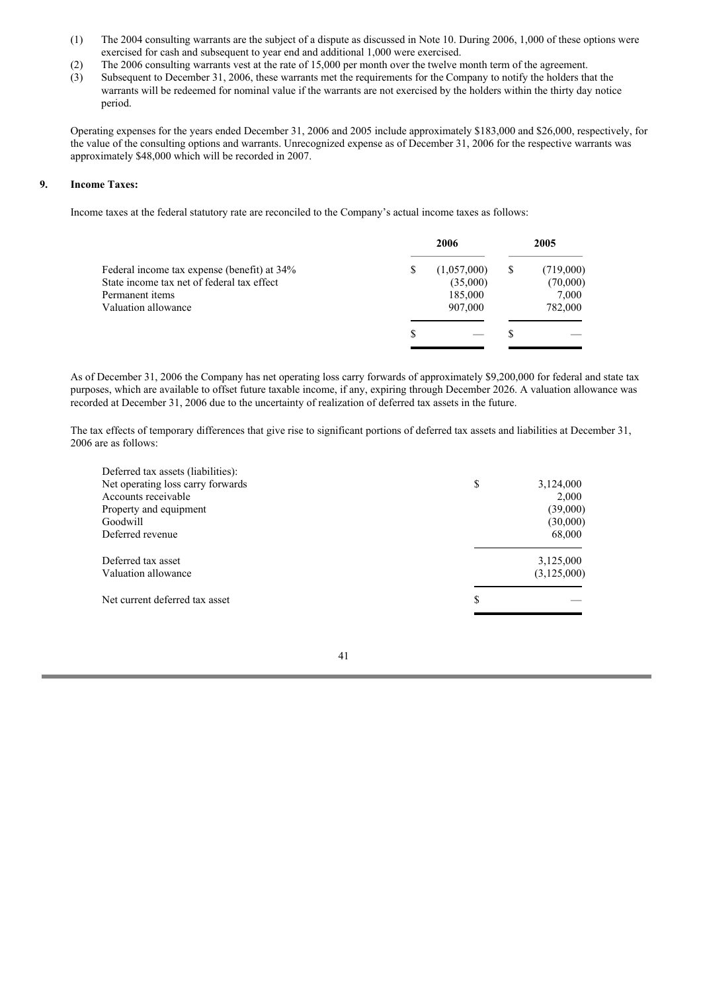- (1) The 2004 consulting warrants are the subject of a dispute as discussed in Note 10. During 2006, 1,000 of these options were exercised for cash and subsequent to year end and additional 1,000 were exercised.
- (2) The 2006 consulting warrants vest at the rate of 15,000 per month over the twelve month term of the agreement.
- (3) Subsequent to December 31, 2006, these warrants met the requirements for the Company to notify the holders that the warrants will be redeemed for nominal value if the warrants are not exercised by the holders within the thirty day notice period.

Operating expenses for the years ended December 31, 2006 and 2005 include approximately \$183,000 and \$26,000, respectively, for the value of the consulting options and warrants. Unrecognized expense as of December 31, 2006 for the respective warrants was approximately \$48,000 which will be recorded in 2007.

#### **9. Income Taxes:**

Income taxes at the federal statutory rate are reconciled to the Company's actual income taxes as follows:

|                                             |   | 2006        |   | 2005      |  |  |
|---------------------------------------------|---|-------------|---|-----------|--|--|
| Federal income tax expense (benefit) at 34% |   | (1,057,000) | S | (719,000) |  |  |
| State income tax net of federal tax effect  |   | (35,000)    |   | (70,000)  |  |  |
| Permanent items                             |   | 185,000     |   | 7,000     |  |  |
| Valuation allowance                         |   | 907,000     |   | 782,000   |  |  |
|                                             | S |             |   |           |  |  |

As of December 31, 2006 the Company has net operating loss carry forwards of approximately \$9,200,000 for federal and state tax purposes, which are available to offset future taxable income, if any, expiring through December 2026. A valuation allowance was recorded at December 31, 2006 due to the uncertainty of realization of deferred tax assets in the future.

The tax effects of temporary differences that give rise to significant portions of deferred tax assets and liabilities at December 31, 2006 are as follows:

| Deferred tax assets (liabilities): |                 |
|------------------------------------|-----------------|
| Net operating loss carry forwards  | \$<br>3,124,000 |
| Accounts receivable                | 2,000           |
| Property and equipment             | (39,000)        |
| Goodwill                           | (30,000)        |
| Deferred revenue                   | 68,000          |
| Deferred tax asset                 | 3,125,000       |
| Valuation allowance                | (3, 125, 000)   |
| Net current deferred tax asset     | \$              |
|                                    |                 |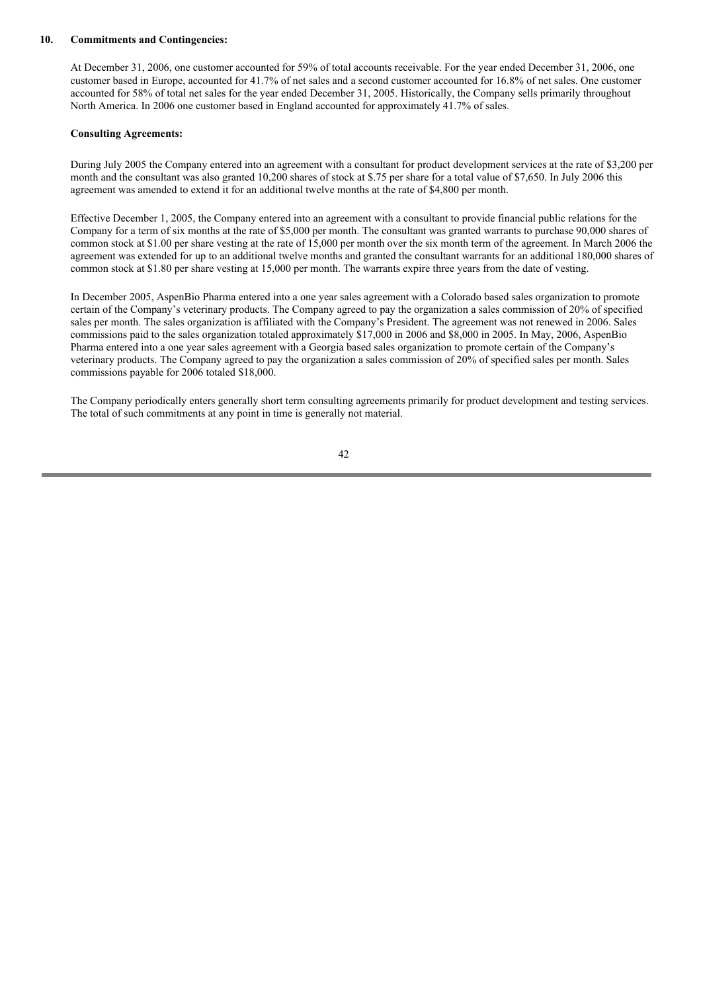#### **10. Commitments and Contingencies:**

At December 31, 2006, one customer accounted for 59% of total accounts receivable. For the year ended December 31, 2006, one customer based in Europe, accounted for 41.7% of net sales and a second customer accounted for 16.8% of net sales. One customer accounted for 58% of total net sales for the year ended December 31, 2005. Historically, the Company sells primarily throughout North America. In 2006 one customer based in England accounted for approximately 41.7% of sales.

#### **Consulting Agreements:**

During July 2005 the Company entered into an agreement with a consultant for product development services at the rate of \$3,200 per month and the consultant was also granted 10,200 shares of stock at \$.75 per share for a total value of \$7,650. In July 2006 this agreement was amended to extend it for an additional twelve months at the rate of \$4,800 per month.

Effective December 1, 2005, the Company entered into an agreement with a consultant to provide financial public relations for the Company for a term of six months at the rate of \$5,000 per month. The consultant was granted warrants to purchase 90,000 shares of common stock at \$1.00 per share vesting at the rate of 15,000 per month over the six month term of the agreement. In March 2006 the agreement was extended for up to an additional twelve months and granted the consultant warrants for an additional 180,000 shares of common stock at \$1.80 per share vesting at 15,000 per month. The warrants expire three years from the date of vesting.

In December 2005, AspenBio Pharma entered into a one year sales agreement with a Colorado based sales organization to promote certain of the Company's veterinary products. The Company agreed to pay the organization a sales commission of 20% of specified sales per month. The sales organization is affiliated with the Company's President. The agreement was not renewed in 2006. Sales commissions paid to the sales organization totaled approximately \$17,000 in 2006 and \$8,000 in 2005. In May, 2006, AspenBio Pharma entered into a one year sales agreement with a Georgia based sales organization to promote certain of the Company's veterinary products. The Company agreed to pay the organization a sales commission of 20% of specified sales per month. Sales commissions payable for 2006 totaled \$18,000.

The Company periodically enters generally short term consulting agreements primarily for product development and testing services. The total of such commitments at any point in time is generally not material.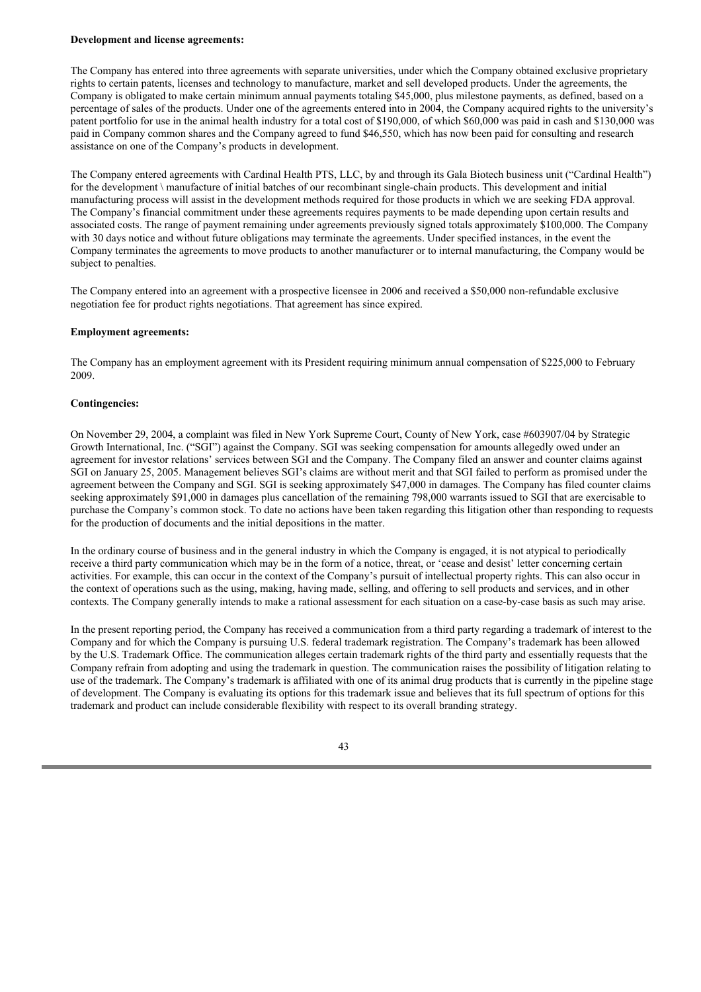#### **Development and license agreements:**

The Company has entered into three agreements with separate universities, under which the Company obtained exclusive proprietary rights to certain patents, licenses and technology to manufacture, market and sell developed products. Under the agreements, the Company is obligated to make certain minimum annual payments totaling \$45,000, plus milestone payments, as defined, based on a percentage of sales of the products. Under one of the agreements entered into in 2004, the Company acquired rights to the university's patent portfolio for use in the animal health industry for a total cost of \$190,000, of which \$60,000 was paid in cash and \$130,000 was paid in Company common shares and the Company agreed to fund \$46,550, which has now been paid for consulting and research assistance on one of the Company's products in development.

The Company entered agreements with Cardinal Health PTS, LLC, by and through its Gala Biotech business unit ("Cardinal Health") for the development \ manufacture of initial batches of our recombinant single-chain products. This development and initial manufacturing process will assist in the development methods required for those products in which we are seeking FDA approval. The Company's financial commitment under these agreements requires payments to be made depending upon certain results and associated costs. The range of payment remaining under agreements previously signed totals approximately \$100,000. The Company with 30 days notice and without future obligations may terminate the agreements. Under specified instances, in the event the Company terminates the agreements to move products to another manufacturer or to internal manufacturing, the Company would be subject to penalties.

The Company entered into an agreement with a prospective licensee in 2006 and received a \$50,000 non-refundable exclusive negotiation fee for product rights negotiations. That agreement has since expired.

### **Employment agreements:**

The Company has an employment agreement with its President requiring minimum annual compensation of \$225,000 to February 2009.

#### **Contingencies:**

On November 29, 2004, a complaint was filed in New York Supreme Court, County of New York, case #603907/04 by Strategic Growth International, Inc. ("SGI") against the Company. SGI was seeking compensation for amounts allegedly owed under an agreement for investor relations' services between SGI and the Company. The Company filed an answer and counter claims against SGI on January 25, 2005. Management believes SGI's claims are without merit and that SGI failed to perform as promised under the agreement between the Company and SGI. SGI is seeking approximately \$47,000 in damages. The Company has filed counter claims seeking approximately \$91,000 in damages plus cancellation of the remaining 798,000 warrants issued to SGI that are exercisable to purchase the Company's common stock. To date no actions have been taken regarding this litigation other than responding to requests for the production of documents and the initial depositions in the matter.

In the ordinary course of business and in the general industry in which the Company is engaged, it is not atypical to periodically receive a third party communication which may be in the form of a notice, threat, or 'cease and desist' letter concerning certain activities. For example, this can occur in the context of the Company's pursuit of intellectual property rights. This can also occur in the context of operations such as the using, making, having made, selling, and offering to sell products and services, and in other contexts. The Company generally intends to make a rational assessment for each situation on a case-by-case basis as such may arise.

In the present reporting period, the Company has received a communication from a third party regarding a trademark of interest to the Company and for which the Company is pursuing U.S. federal trademark registration. The Company's trademark has been allowed by the U.S. Trademark Office. The communication alleges certain trademark rights of the third party and essentially requests that the Company refrain from adopting and using the trademark in question. The communication raises the possibility of litigation relating to use of the trademark. The Company's trademark is affiliated with one of its animal drug products that is currently in the pipeline stage of development. The Company is evaluating its options for this trademark issue and believes that its full spectrum of options for this trademark and product can include considerable flexibility with respect to its overall branding strategy.

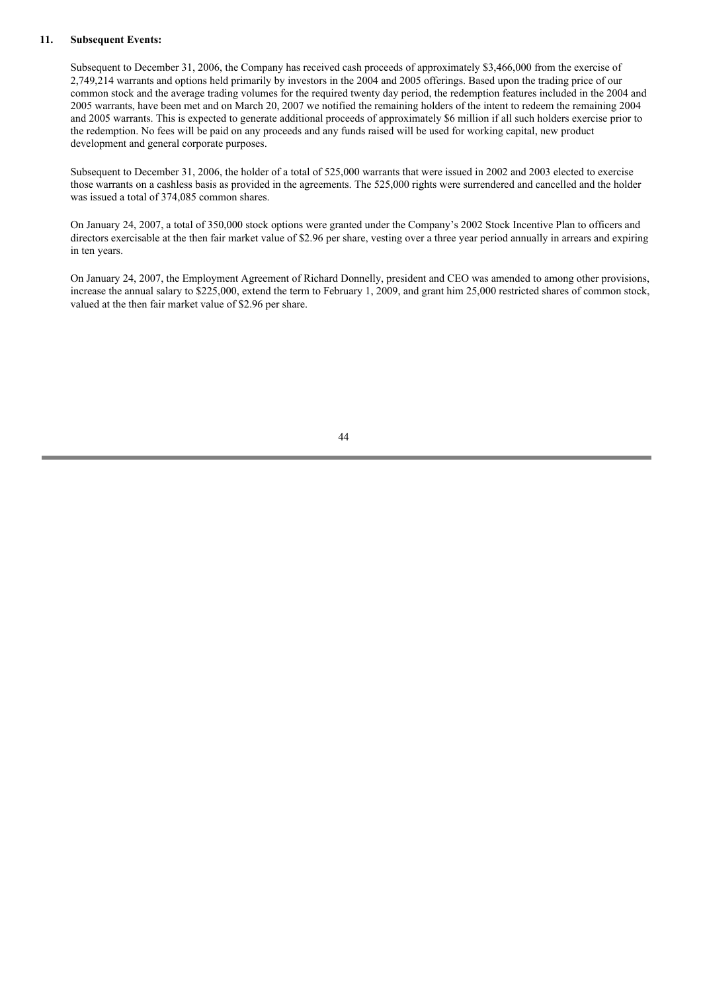## **11. Subsequent Events:**

Subsequent to December 31, 2006, the Company has received cash proceeds of approximately \$3,466,000 from the exercise of 2,749,214 warrants and options held primarily by investors in the 2004 and 2005 offerings. Based upon the trading price of our common stock and the average trading volumes for the required twenty day period, the redemption features included in the 2004 and 2005 warrants, have been met and on March 20, 2007 we notified the remaining holders of the intent to redeem the remaining 2004 and 2005 warrants. This is expected to generate additional proceeds of approximately \$6 million if all such holders exercise prior to the redemption. No fees will be paid on any proceeds and any funds raised will be used for working capital, new product development and general corporate purposes.

Subsequent to December 31, 2006, the holder of a total of 525,000 warrants that were issued in 2002 and 2003 elected to exercise those warrants on a cashless basis as provided in the agreements. The 525,000 rights were surrendered and cancelled and the holder was issued a total of 374,085 common shares.

On January 24, 2007, a total of 350,000 stock options were granted under the Company's 2002 Stock Incentive Plan to officers and directors exercisable at the then fair market value of \$2.96 per share, vesting over a three year period annually in arrears and expiring in ten years.

On January 24, 2007, the Employment Agreement of Richard Donnelly, president and CEO was amended to among other provisions, increase the annual salary to \$225,000, extend the term to February 1, 2009, and grant him 25,000 restricted shares of common stock, valued at the then fair market value of \$2.96 per share.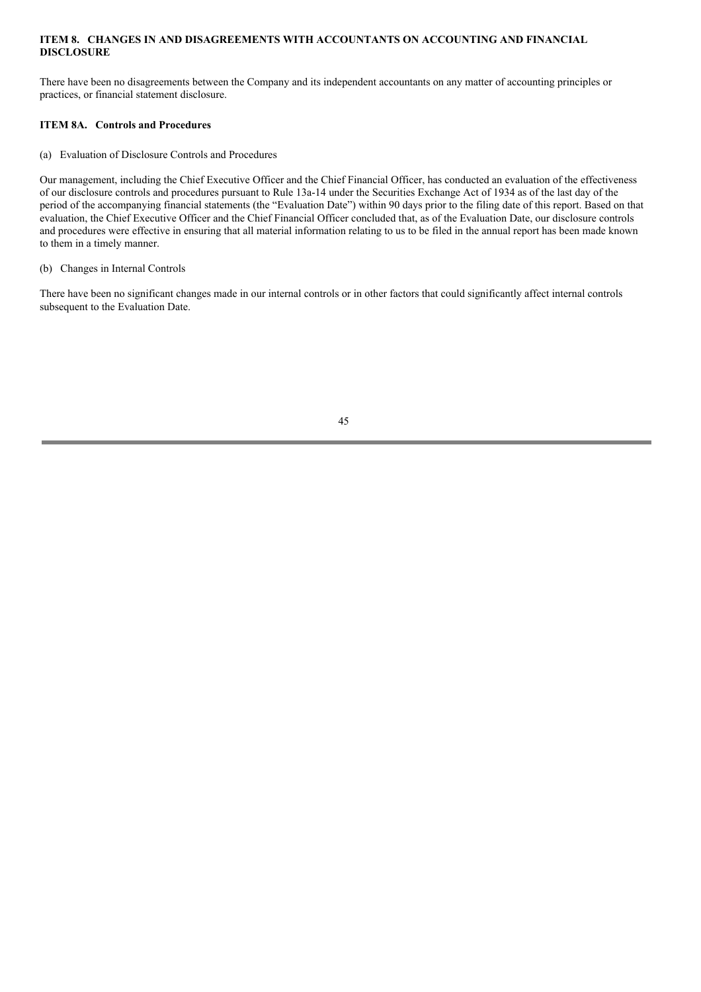## **ITEM 8. CHANGES IN AND DISAGREEMENTS WITH ACCOUNTANTS ON ACCOUNTING AND FINANCIAL DISCLOSURE**

There have been no disagreements between the Company and its independent accountants on any matter of accounting principles or practices, or financial statement disclosure.

## **ITEM 8A. Controls and Procedures**

(a) Evaluation of Disclosure Controls and Procedures

Our management, including the Chief Executive Officer and the Chief Financial Officer, has conducted an evaluation of the effectiveness of our disclosure controls and procedures pursuant to Rule 13a-14 under the Securities Exchange Act of 1934 as of the last day of the period of the accompanying financial statements (the "Evaluation Date") within 90 days prior to the filing date of this report. Based on that evaluation, the Chief Executive Officer and the Chief Financial Officer concluded that, as of the Evaluation Date, our disclosure controls and procedures were effective in ensuring that all material information relating to us to be filed in the annual report has been made known to them in a timely manner.

## (b) Changes in Internal Controls

There have been no significant changes made in our internal controls or in other factors that could significantly affect internal controls subsequent to the Evaluation Date.

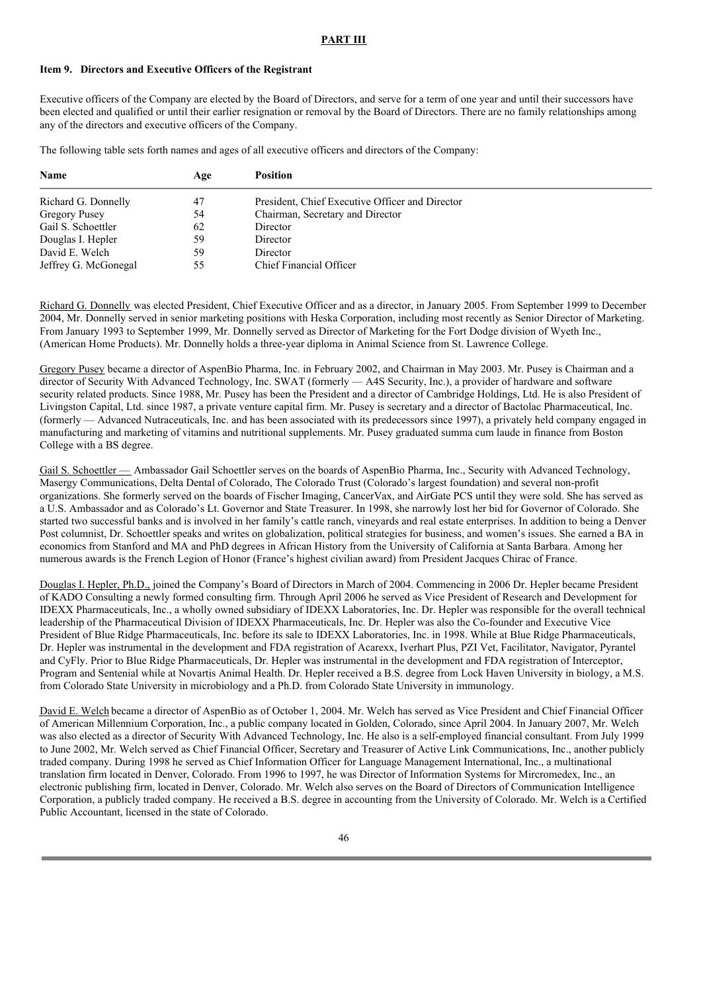#### **PART III**

### **Item 9. Directors and Executive Officers of the Registrant**

Executive officers of the Company are elected by the Board of Directors, and serve for a term of one year and until their successors have been elected and qualified or until their earlier resignation or removal by the Board of Directors. There are no family relationships among any of the directors and executive officers of the Company.

The following table sets forth names and ages of all executive officers and directors of the Company:

| <b>Name</b>          | Age | <b>Position</b>                                 |
|----------------------|-----|-------------------------------------------------|
| Richard G. Donnelly  | 47  | President, Chief Executive Officer and Director |
| Gregory Pusey        | 54  | Chairman, Secretary and Director                |
| Gail S. Schoettler   | 62  | Director                                        |
| Douglas I. Hepler    | 59  | Director                                        |
| David E. Welch       | 59  | Director                                        |
| Jeffrey G. McGonegal | 55  | Chief Financial Officer                         |

Richard G. Donnelly was elected President, Chief Executive Officer and as a director, in January 2005. From September 1999 to December 2004, Mr. Donnelly served in senior marketing positions with Heska Corporation, including most recently as Senior Director of Marketing. From January 1993 to September 1999, Mr. Donnelly served as Director of Marketing for the Fort Dodge division of Wyeth Inc., (American Home Products). Mr. Donnelly holds a three-year diploma in Animal Science from St. Lawrence College.

Gregory Pusey became a director of AspenBio Pharma, Inc. in February 2002, and Chairman in May 2003. Mr. Pusey is Chairman and a director of Security With Advanced Technology, Inc. SWAT (formerly — A4S Security, Inc.), a provider of hardware and software security related products. Since 1988, Mr. Pusey has been the President and a director of Cambridge Holdings, Ltd. He is also President of Livingston Capital, Ltd. since 1987, a private venture capital firm. Mr. Pusey is secretary and a director of Bactolac Pharmaceutical, Inc. (formerly — Advanced Nutraceuticals, Inc. and has been associated with its predecessors since 1997), a privately held company engaged in manufacturing and marketing of vitamins and nutritional supplements. Mr. Pusey graduated summa cum laude in finance from Boston College with a BS degree.

Gail S. Schoettler — Ambassador Gail Schoettler serves on the boards of AspenBio Pharma, Inc., Security with Advanced Technology, Masergy Communications, Delta Dental of Colorado, The Colorado Trust (Colorado's largest foundation) and several non-profit organizations. She formerly served on the boards of Fischer Imaging, CancerVax, and AirGate PCS until they were sold. She has served as a U.S. Ambassador and as Colorado's Lt. Governor and State Treasurer. In 1998, she narrowly lost her bid for Governor of Colorado. She started two successful banks and is involved in her family's cattle ranch, vineyards and real estate enterprises. In addition to being a Denver Post columnist, Dr. Schoettler speaks and writes on globalization, political strategies for business, and women's issues. She earned a BA in economics from Stanford and MA and PhD degrees in African History from the University of California at Santa Barbara. Among her numerous awards is the French Legion of Honor (France's highest civilian award) from President Jacques Chirac of France.

Douglas I. Hepler, Ph.D., joined the Company's Board of Directors in March of 2004. Commencing in 2006 Dr. Hepler became President of KADO Consulting a newly formed consulting firm. Through April 2006 he served as Vice President of Research and Development for IDEXX Pharmaceuticals, Inc., a wholly owned subsidiary of IDEXX Laboratories, Inc. Dr. Hepler was responsible for the overall technical leadership of the Pharmaceutical Division of IDEXX Pharmaceuticals, Inc. Dr. Hepler was also the Co-founder and Executive Vice President of Blue Ridge Pharmaceuticals, Inc. before its sale to IDEXX Laboratories, Inc. in 1998. While at Blue Ridge Pharmaceuticals, Dr. Hepler was instrumental in the development and FDA registration of Acarexx, Iverhart Plus, PZI Vet, Facilitator, Navigator, Pyrantel and CyFly. Prior to Blue Ridge Pharmaceuticals, Dr. Hepler was instrumental in the development and FDA registration of Interceptor, Program and Sentenial while at Novartis Animal Health. Dr. Hepler received a B.S. degree from Lock Haven University in biology, a M.S. from Colorado State University in microbiology and a Ph.D. from Colorado State University in immunology.

David E. Welch became a director of AspenBio as of October 1, 2004. Mr. Welch has served as Vice President and Chief Financial Officer of American Millennium Corporation, Inc., a public company located in Golden, Colorado, since April 2004. In January 2007, Mr. Welch was also elected as a director of Security With Advanced Technology, Inc. He also is a self-employed financial consultant. From July 1999 to June 2002, Mr. Welch served as Chief Financial Officer, Secretary and Treasurer of Active Link Communications, Inc., another publicly traded company. During 1998 he served as Chief Information Officer for Language Management International, Inc., a multinational translation firm located in Denver, Colorado. From 1996 to 1997, he was Director of Information Systems for Mircromedex, Inc., an electronic publishing firm, located in Denver, Colorado. Mr. Welch also serves on the Board of Directors of Communication Intelligence Corporation, a publicly traded company. He received a B.S. degree in accounting from the University of Colorado. Mr. Welch is a Certified Public Accountant, licensed in the state of Colorado.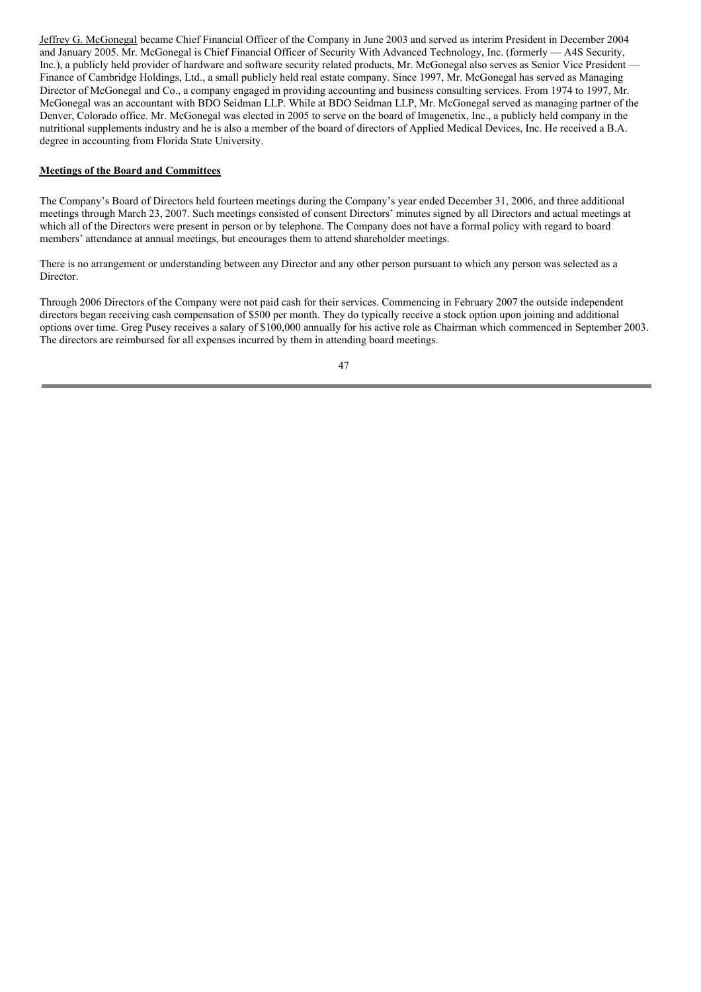Jeffrey G. McGonegal became Chief Financial Officer of the Company in June 2003 and served as interim President in December 2004 and January 2005. Mr. McGonegal is Chief Financial Officer of Security With Advanced Technology, Inc. (formerly — A4S Security, Inc.), a publicly held provider of hardware and software security related products, Mr. McGonegal also serves as Senior Vice President -Finance of Cambridge Holdings, Ltd., a small publicly held real estate company. Since 1997, Mr. McGonegal has served as Managing Director of McGonegal and Co., a company engaged in providing accounting and business consulting services. From 1974 to 1997, Mr. McGonegal was an accountant with BDO Seidman LLP. While at BDO Seidman LLP, Mr. McGonegal served as managing partner of the Denver, Colorado office. Mr. McGonegal was elected in 2005 to serve on the board of Imagenetix, Inc., a publicly held company in the nutritional supplements industry and he is also a member of the board of directors of Applied Medical Devices, Inc. He received a B.A. degree in accounting from Florida State University.

## **Meetings of the Board and Committees**

The Company's Board of Directors held fourteen meetings during the Company's year ended December 31, 2006, and three additional meetings through March 23, 2007. Such meetings consisted of consent Directors' minutes signed by all Directors and actual meetings at which all of the Directors were present in person or by telephone. The Company does not have a formal policy with regard to board members' attendance at annual meetings, but encourages them to attend shareholder meetings.

There is no arrangement or understanding between any Director and any other person pursuant to which any person was selected as a Director.

Through 2006 Directors of the Company were not paid cash for their services. Commencing in February 2007 the outside independent directors began receiving cash compensation of \$500 per month. They do typically receive a stock option upon joining and additional options over time. Greg Pusey receives a salary of \$100,000 annually for his active role as Chairman which commenced in September 2003. The directors are reimbursed for all expenses incurred by them in attending board meetings.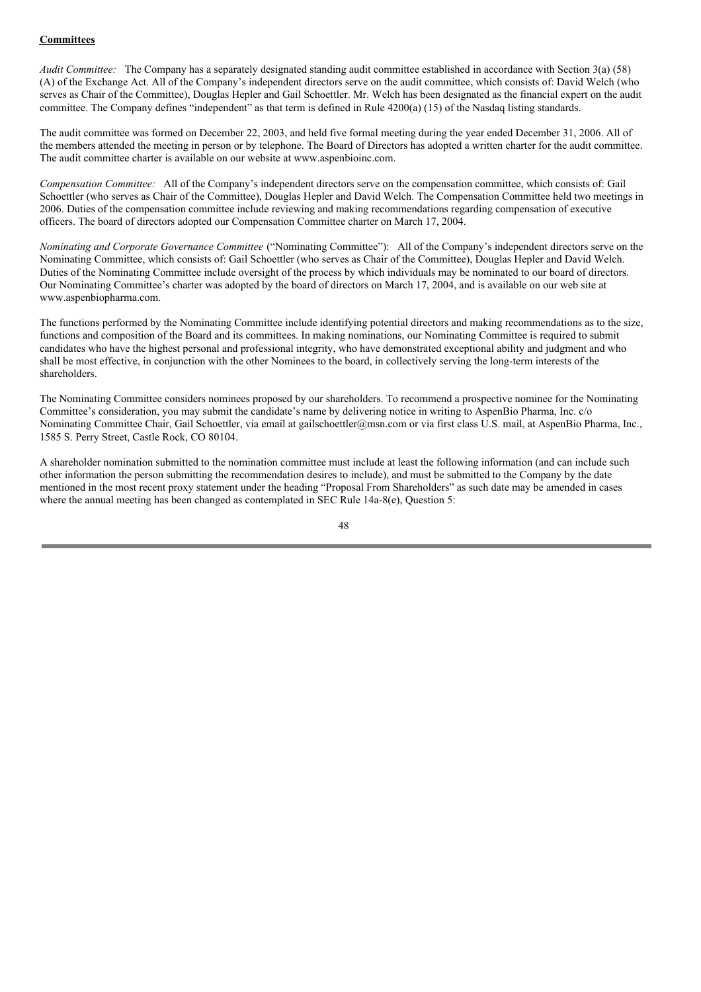## **Committees**

*Audit Committee:* The Company has a separately designated standing audit committee established in accordance with Section 3(a) (58) (A) of the Exchange Act. All of the Company's independent directors serve on the audit committee, which consists of: David Welch (who serves as Chair of the Committee), Douglas Hepler and Gail Schoettler. Mr. Welch has been designated as the financial expert on the audit committee. The Company defines "independent" as that term is defined in Rule 4200(a) (15) of the Nasdaq listing standards.

The audit committee was formed on December 22, 2003, and held five formal meeting during the year ended December 31, 2006. All of the members attended the meeting in person or by telephone. The Board of Directors has adopted a written charter for the audit committee. The audit committee charter is available on our website at www.aspenbioinc.com.

*Compensation Committee:* All of the Company's independent directors serve on the compensation committee, which consists of: Gail Schoettler (who serves as Chair of the Committee), Douglas Hepler and David Welch. The Compensation Committee held two meetings in 2006. Duties of the compensation committee include reviewing and making recommendations regarding compensation of executive officers. The board of directors adopted our Compensation Committee charter on March 17, 2004.

*Nominating and Corporate Governance Committee* ("Nominating Committee"): All of the Company's independent directors serve on the Nominating Committee, which consists of: Gail Schoettler (who serves as Chair of the Committee), Douglas Hepler and David Welch. Duties of the Nominating Committee include oversight of the process by which individuals may be nominated to our board of directors. Our Nominating Committee's charter was adopted by the board of directors on March 17, 2004, and is available on our web site at www.aspenbiopharma.com.

The functions performed by the Nominating Committee include identifying potential directors and making recommendations as to the size, functions and composition of the Board and its committees. In making nominations, our Nominating Committee is required to submit candidates who have the highest personal and professional integrity, who have demonstrated exceptional ability and judgment and who shall be most effective, in conjunction with the other Nominees to the board, in collectively serving the long-term interests of the shareholders.

The Nominating Committee considers nominees proposed by our shareholders. To recommend a prospective nominee for the Nominating Committee's consideration, you may submit the candidate's name by delivering notice in writing to AspenBio Pharma, Inc. c/o Nominating Committee Chair, Gail Schoettler, via email at gailschoettler@msn.com or via first class U.S. mail, at AspenBio Pharma, Inc., 1585 S. Perry Street, Castle Rock, CO 80104.

A shareholder nomination submitted to the nomination committee must include at least the following information (and can include such other information the person submitting the recommendation desires to include), and must be submitted to the Company by the date mentioned in the most recent proxy statement under the heading "Proposal From Shareholders" as such date may be amended in cases where the annual meeting has been changed as contemplated in SEC Rule 14a-8(e), Ouestion 5: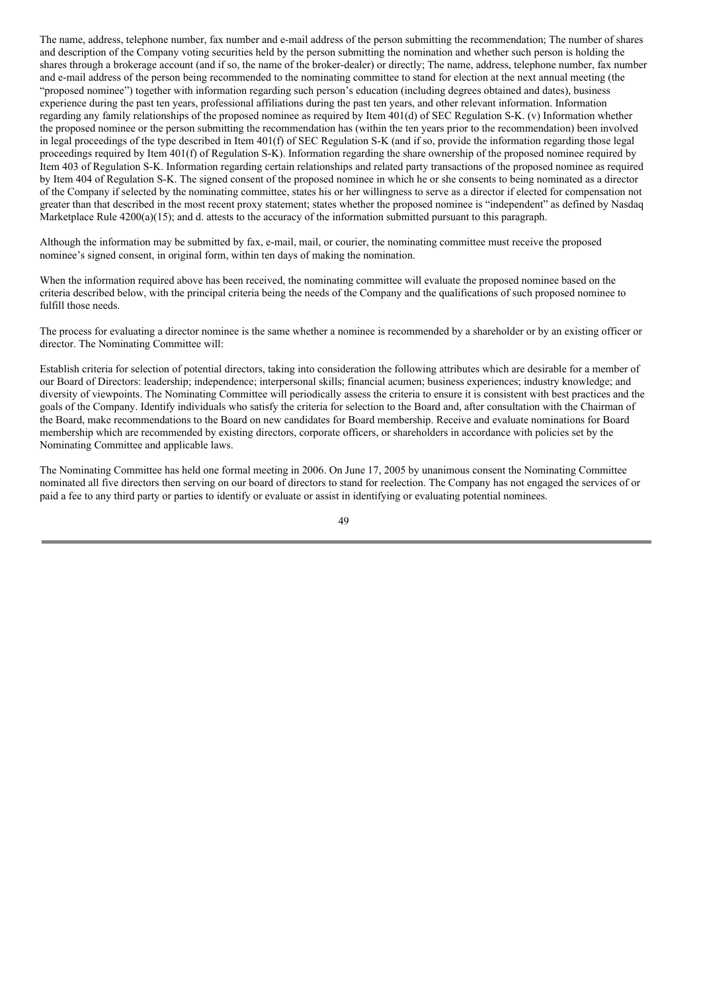The name, address, telephone number, fax number and e-mail address of the person submitting the recommendation; The number of shares and description of the Company voting securities held by the person submitting the nomination and whether such person is holding the shares through a brokerage account (and if so, the name of the broker-dealer) or directly; The name, address, telephone number, fax number and e-mail address of the person being recommended to the nominating committee to stand for election at the next annual meeting (the "proposed nominee") together with information regarding such person's education (including degrees obtained and dates), business experience during the past ten years, professional affiliations during the past ten years, and other relevant information. Information regarding any family relationships of the proposed nominee as required by Item 401(d) of SEC Regulation S-K. (v) Information whether the proposed nominee or the person submitting the recommendation has (within the ten years prior to the recommendation) been involved in legal proceedings of the type described in Item 401(f) of SEC Regulation S-K (and if so, provide the information regarding those legal proceedings required by Item 401(f) of Regulation S-K). Information regarding the share ownership of the proposed nominee required by Item 403 of Regulation S-K. Information regarding certain relationships and related party transactions of the proposed nominee as required by Item 404 of Regulation S-K. The signed consent of the proposed nominee in which he or she consents to being nominated as a director of the Company if selected by the nominating committee, states his or her willingness to serve as a director if elected for compensation not greater than that described in the most recent proxy statement; states whether the proposed nominee is "independent" as defined by Nasdaq Marketplace Rule 4200(a)(15); and d. attests to the accuracy of the information submitted pursuant to this paragraph.

Although the information may be submitted by fax, e-mail, mail, or courier, the nominating committee must receive the proposed nominee's signed consent, in original form, within ten days of making the nomination.

When the information required above has been received, the nominating committee will evaluate the proposed nominee based on the criteria described below, with the principal criteria being the needs of the Company and the qualifications of such proposed nominee to fulfill those needs.

The process for evaluating a director nominee is the same whether a nominee is recommended by a shareholder or by an existing officer or director. The Nominating Committee will:

Establish criteria for selection of potential directors, taking into consideration the following attributes which are desirable for a member of our Board of Directors: leadership; independence; interpersonal skills; financial acumen; business experiences; industry knowledge; and diversity of viewpoints. The Nominating Committee will periodically assess the criteria to ensure it is consistent with best practices and the goals of the Company. Identify individuals who satisfy the criteria for selection to the Board and, after consultation with the Chairman of the Board, make recommendations to the Board on new candidates for Board membership. Receive and evaluate nominations for Board membership which are recommended by existing directors, corporate officers, or shareholders in accordance with policies set by the Nominating Committee and applicable laws.

The Nominating Committee has held one formal meeting in 2006. On June 17, 2005 by unanimous consent the Nominating Committee nominated all five directors then serving on our board of directors to stand for reelection. The Company has not engaged the services of or paid a fee to any third party or parties to identify or evaluate or assist in identifying or evaluating potential nominees.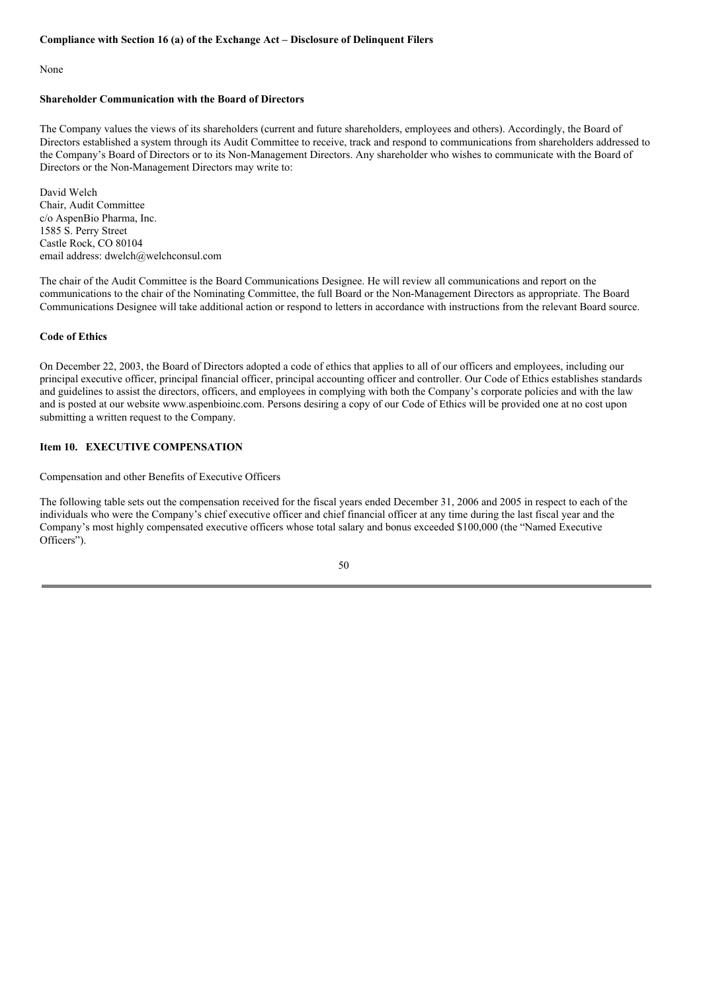#### **Compliance with Section 16 (a) of the Exchange Act – Disclosure of Delinquent Filers**

None

## **Shareholder Communication with the Board of Directors**

The Company values the views of its shareholders (current and future shareholders, employees and others). Accordingly, the Board of Directors established a system through its Audit Committee to receive, track and respond to communications from shareholders addressed to the Company's Board of Directors or to its Non-Management Directors. Any shareholder who wishes to communicate with the Board of Directors or the Non-Management Directors may write to:

David Welch Chair, Audit Committee c/o AspenBio Pharma, Inc. 1585 S. Perry Street Castle Rock, CO 80104 email address: dwelch@welchconsul.com

The chair of the Audit Committee is the Board Communications Designee. He will review all communications and report on the communications to the chair of the Nominating Committee, the full Board or the Non-Management Directors as appropriate. The Board Communications Designee will take additional action or respond to letters in accordance with instructions from the relevant Board source.

#### **Code of Ethics**

On December 22, 2003, the Board of Directors adopted a code of ethics that applies to all of our officers and employees, including our principal executive officer, principal financial officer, principal accounting officer and controller. Our Code of Ethics establishes standards and guidelines to assist the directors, officers, and employees in complying with both the Company's corporate policies and with the law and is posted at our website www.aspenbioinc.com. Persons desiring a copy of our Code of Ethics will be provided one at no cost upon submitting a written request to the Company.

## **Item 10. EXECUTIVE COMPENSATION**

Compensation and other Benefits of Executive Officers

The following table sets out the compensation received for the fiscal years ended December 31, 2006 and 2005 in respect to each of the individuals who were the Company's chief executive officer and chief financial officer at any time during the last fiscal year and the Company's most highly compensated executive officers whose total salary and bonus exceeded \$100,000 (the "Named Executive Officers").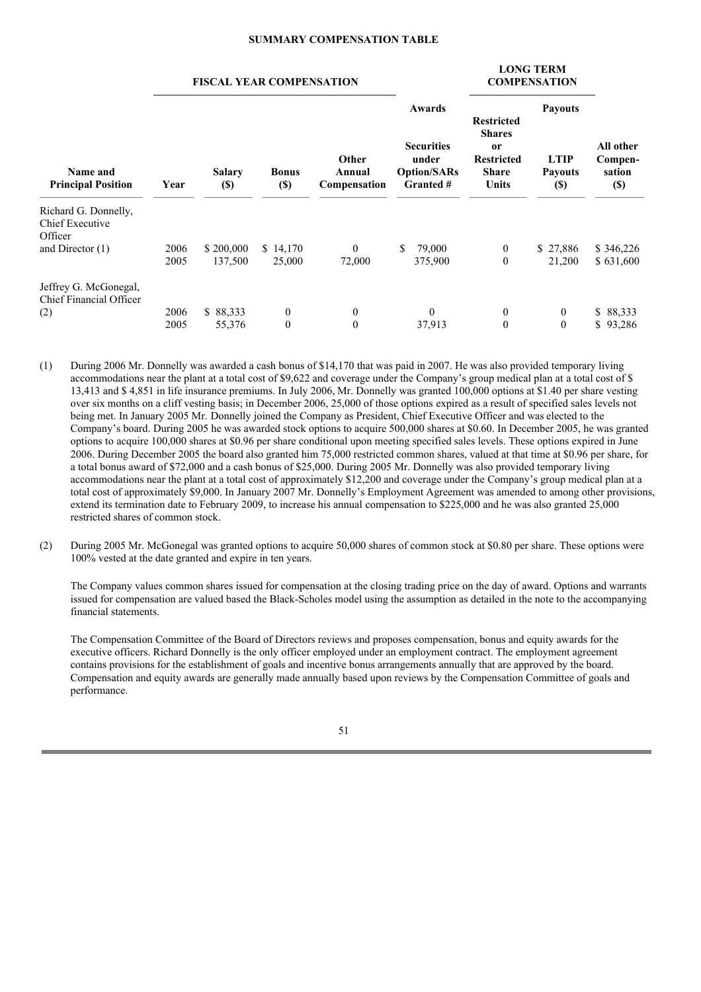## **SUMMARY COMPENSATION TABLE**

#### **FISCAL YEAR COMPENSATION**

#### **LONG TERM COMPENSATION**

| Name and<br><b>Principal Position</b>            | Year | <b>Salary</b><br>$(\$)$ | <b>Bonus</b><br>$(\$)$ | Other<br>Annual<br>Compensation | Awards<br><b>Securities</b><br>under<br><b>Option/SARs</b><br>Granted # | <b>Restricted</b><br><b>Shares</b><br><sub>or</sub><br><b>Restricted</b><br><b>Share</b><br>Units | <b>Payouts</b><br><b>LTIP</b><br><b>Payouts</b><br>$(\$)$ | All other<br>Compen-<br>sation<br>$(\$)$ |
|--------------------------------------------------|------|-------------------------|------------------------|---------------------------------|-------------------------------------------------------------------------|---------------------------------------------------------------------------------------------------|-----------------------------------------------------------|------------------------------------------|
| Richard G. Donnelly,<br>Chief Executive          |      |                         |                        |                                 |                                                                         |                                                                                                   |                                                           |                                          |
| Officer<br>and Director $(1)$                    | 2006 | \$200,000               | \$14,170               | $\theta$                        | 79,000<br>\$                                                            | $\overline{0}$                                                                                    | \$27,886                                                  | \$346,226                                |
|                                                  | 2005 | 137,500                 | 25,000                 | 72,000                          | 375,900                                                                 | $\mathbf{0}$                                                                                      | 21,200                                                    | \$631,600                                |
| Jeffrey G. McGonegal,<br>Chief Financial Officer |      |                         |                        |                                 |                                                                         |                                                                                                   |                                                           |                                          |
| (2)                                              | 2006 | \$ 88,333               | $\mathbf{0}$           | $\mathbf{0}$                    | $\theta$                                                                | $\mathbf{0}$                                                                                      | $\overline{0}$                                            | \$88,333                                 |
|                                                  | 2005 | 55,376                  | $\mathbf{0}$           | $\theta$                        | 37,913                                                                  | $\theta$                                                                                          | $\Omega$                                                  | \$93,286                                 |

- (1) During 2006 Mr. Donnelly was awarded a cash bonus of \$14,170 that was paid in 2007. He was also provided temporary living accommodations near the plant at a total cost of \$9,622 and coverage under the Company's group medical plan at a total cost of \$ 13,413 and \$ 4,851 in life insurance premiums. In July 2006, Mr. Donnelly was granted 100,000 options at \$1.40 per share vesting over six months on a cliff vesting basis; in December 2006, 25,000 of those options expired as a result of specified sales levels not being met. In January 2005 Mr. Donnelly joined the Company as President, Chief Executive Officer and was elected to the Company's board. During 2005 he was awarded stock options to acquire 500,000 shares at \$0.60. In December 2005, he was granted options to acquire 100,000 shares at \$0.96 per share conditional upon meeting specified sales levels. These options expired in June 2006. During December 2005 the board also granted him 75,000 restricted common shares, valued at that time at \$0.96 per share, for a total bonus award of \$72,000 and a cash bonus of \$25,000. During 2005 Mr. Donnelly was also provided temporary living accommodations near the plant at a total cost of approximately \$12,200 and coverage under the Company's group medical plan at a total cost of approximately \$9,000. In January 2007 Mr. Donnelly's Employment Agreement was amended to among other provisions, extend its termination date to February 2009, to increase his annual compensation to \$225,000 and he was also granted 25,000 restricted shares of common stock.
- (2) During 2005 Mr. McGonegal was granted options to acquire 50,000 shares of common stock at \$0.80 per share. These options were 100% vested at the date granted and expire in ten years.

The Company values common shares issued for compensation at the closing trading price on the day of award. Options and warrants issued for compensation are valued based the Black-Scholes model using the assumption as detailed in the note to the accompanying financial statements.

The Compensation Committee of the Board of Directors reviews and proposes compensation, bonus and equity awards for the executive officers. Richard Donnelly is the only officer employed under an employment contract. The employment agreement contains provisions for the establishment of goals and incentive bonus arrangements annually that are approved by the board. Compensation and equity awards are generally made annually based upon reviews by the Compensation Committee of goals and performance.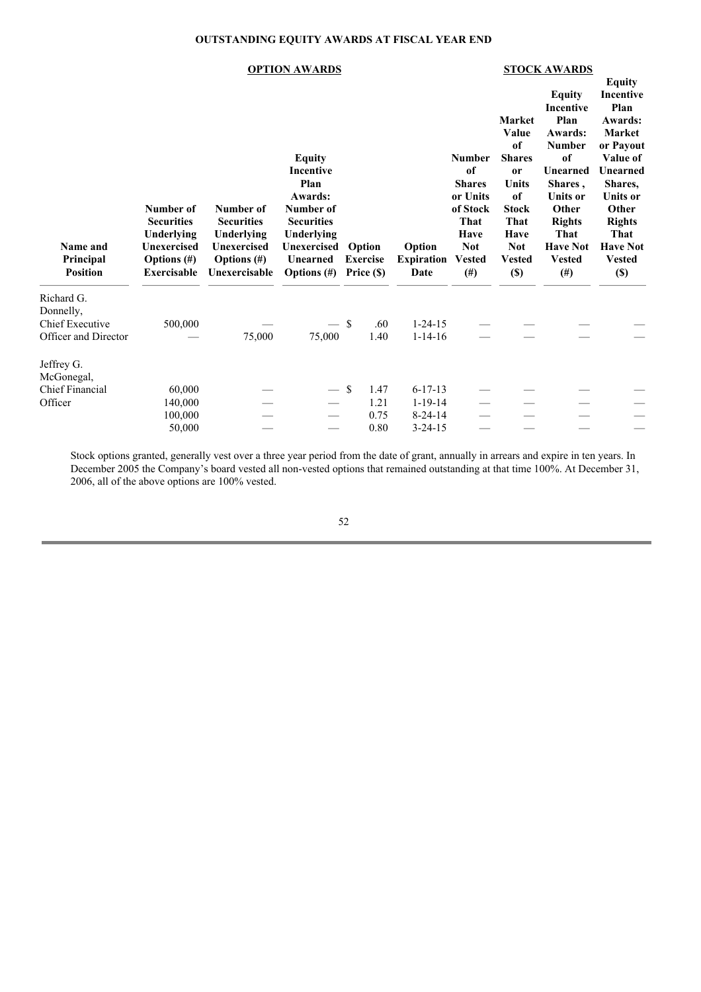## **OUTSTANDING EQUITY AWARDS AT FISCAL YEAR END**

|                                                                           | Number of                                                                                         | Number of                                                                                    | <b>OPTION AWARDS</b><br>Equity<br><b>Incentive</b><br>Plan<br>Awards:<br>Number of |               |                                         |                                     | <b>Number</b><br>of<br><b>Shares</b><br>or Units<br>of Stock | <b>Market</b><br>Value<br>of<br><b>Shares</b><br><sub>or</sub><br><b>Units</b><br>of<br><b>Stock</b> | <b>STOCK AWARDS</b><br><b>Equity</b><br><b>Incentive</b><br>Plan<br>Awards:<br><b>Number</b><br>of<br><b>Unearned</b><br>Shares,<br><b>Units or</b><br>Other | Equity<br>Incentive<br>Plan<br>Awards:<br><b>Market</b><br>or Payout<br>Value of<br>Unearned<br>Shares.<br><b>Units or</b><br>Other |
|---------------------------------------------------------------------------|---------------------------------------------------------------------------------------------------|----------------------------------------------------------------------------------------------|------------------------------------------------------------------------------------|---------------|-----------------------------------------|-------------------------------------|--------------------------------------------------------------|------------------------------------------------------------------------------------------------------|--------------------------------------------------------------------------------------------------------------------------------------------------------------|-------------------------------------------------------------------------------------------------------------------------------------|
| Name and<br>Principal<br><b>Position</b>                                  | <b>Securities</b><br>Underlying<br><b>Unexercised</b><br><b>Options</b> (#)<br><b>Exercisable</b> | <b>Securities</b><br>Underlying<br><b>Unexercised</b><br><b>Options</b> (#)<br>Unexercisable | <b>Securities</b><br>Underlying<br>Unexercised<br>Unearned<br>Options $(\#)$       |               | Option<br><b>Exercise</b><br>Price (\$) | Option<br><b>Expiration</b><br>Date | That<br>Have<br><b>Not</b><br><b>Vested</b><br>$(\#)$        | That<br>Have<br><b>Not</b><br><b>Vested</b><br>$(\$)$                                                | <b>Rights</b><br>That<br><b>Have Not</b><br><b>Vested</b><br>#)                                                                                              | <b>Rights</b><br>That<br><b>Have Not</b><br><b>Vested</b><br>$(\$)$                                                                 |
| Richard G.<br>Donnelly,<br><b>Chief Executive</b><br>Officer and Director | 500,000                                                                                           | 75,000                                                                                       | 75,000                                                                             | -S            | .60<br>1.40                             | $1 - 24 - 15$<br>$1 - 14 - 16$      |                                                              |                                                                                                      |                                                                                                                                                              |                                                                                                                                     |
| Jeffrey G.<br>McGonegal,<br><b>Chief Financial</b>                        | 60,000                                                                                            |                                                                                              |                                                                                    | <sup>\$</sup> | 1.47                                    | $6 - 17 - 13$                       |                                                              |                                                                                                      |                                                                                                                                                              |                                                                                                                                     |
| Officer                                                                   | 140,000                                                                                           |                                                                                              |                                                                                    |               | 1.21                                    | $1 - 19 - 14$                       |                                                              |                                                                                                      |                                                                                                                                                              |                                                                                                                                     |
|                                                                           | 100,000                                                                                           |                                                                                              |                                                                                    |               | 0.75                                    | $8 - 24 - 14$                       |                                                              |                                                                                                      |                                                                                                                                                              |                                                                                                                                     |
|                                                                           | 50,000                                                                                            |                                                                                              |                                                                                    |               | 0.80                                    | $3 - 24 - 15$                       |                                                              |                                                                                                      |                                                                                                                                                              |                                                                                                                                     |

Stock options granted, generally vest over a three year period from the date of grant, annually in arrears and expire in ten years. In December 2005 the Company's board vested all non-vested options that remained outstanding at that time 100%. At December 31, 2006, all of the above options are 100% vested.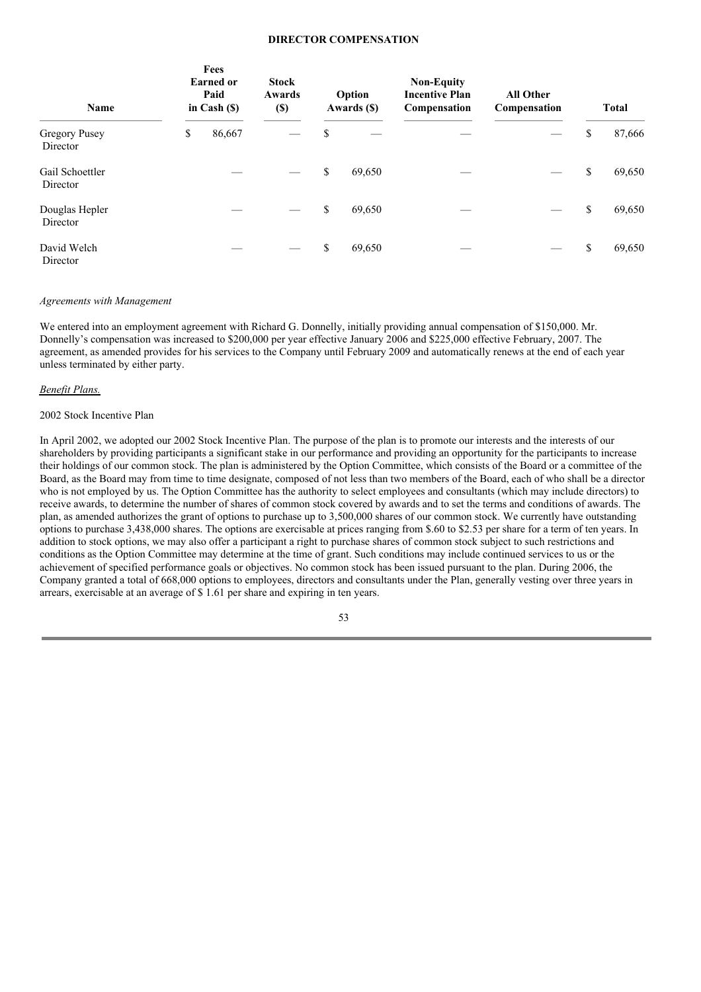#### **DIRECTOR COMPENSATION**

| Name                             | Fees<br><b>Earned or</b><br>Paid<br>in Cash $(\$)$ | <b>Stock</b><br>Awards<br>$(\$)$ | Option<br>Awards (\$) | <b>Non-Equity</b><br><b>Incentive Plan</b><br>Compensation | <b>All Other</b><br>Compensation | <b>Total</b> |
|----------------------------------|----------------------------------------------------|----------------------------------|-----------------------|------------------------------------------------------------|----------------------------------|--------------|
| <b>Gregory Pusey</b><br>Director | \$<br>86,667                                       |                                  | \$                    |                                                            |                                  | \$<br>87,666 |
| Gail Schoettler<br>Director      |                                                    |                                  | \$<br>69,650          |                                                            |                                  | \$<br>69,650 |
| Douglas Hepler<br>Director       |                                                    |                                  | \$<br>69,650          |                                                            |                                  | \$<br>69,650 |
| David Welch<br>Director          |                                                    |                                  | \$<br>69,650          |                                                            |                                  | \$<br>69,650 |

#### *Agreements with Management*

We entered into an employment agreement with Richard G. Donnelly, initially providing annual compensation of \$150,000. Mr. Donnelly's compensation was increased to \$200,000 per year effective January 2006 and \$225,000 effective February, 2007. The agreement, as amended provides for his services to the Company until February 2009 and automatically renews at the end of each year unless terminated by either party.

#### *Benefit Plans.*

#### 2002 Stock Incentive Plan

In April 2002, we adopted our 2002 Stock Incentive Plan. The purpose of the plan is to promote our interests and the interests of our shareholders by providing participants a significant stake in our performance and providing an opportunity for the participants to increase their holdings of our common stock. The plan is administered by the Option Committee, which consists of the Board or a committee of the Board, as the Board may from time to time designate, composed of not less than two members of the Board, each of who shall be a director who is not employed by us. The Option Committee has the authority to select employees and consultants (which may include directors) to receive awards, to determine the number of shares of common stock covered by awards and to set the terms and conditions of awards. The plan, as amended authorizes the grant of options to purchase up to 3,500,000 shares of our common stock. We currently have outstanding options to purchase 3,438,000 shares. The options are exercisable at prices ranging from \$.60 to \$2.53 per share for a term of ten years. In addition to stock options, we may also offer a participant a right to purchase shares of common stock subject to such restrictions and conditions as the Option Committee may determine at the time of grant. Such conditions may include continued services to us or the achievement of specified performance goals or objectives. No common stock has been issued pursuant to the plan. During 2006, the Company granted a total of 668,000 options to employees, directors and consultants under the Plan, generally vesting over three years in arrears, exercisable at an average of \$ 1.61 per share and expiring in ten years.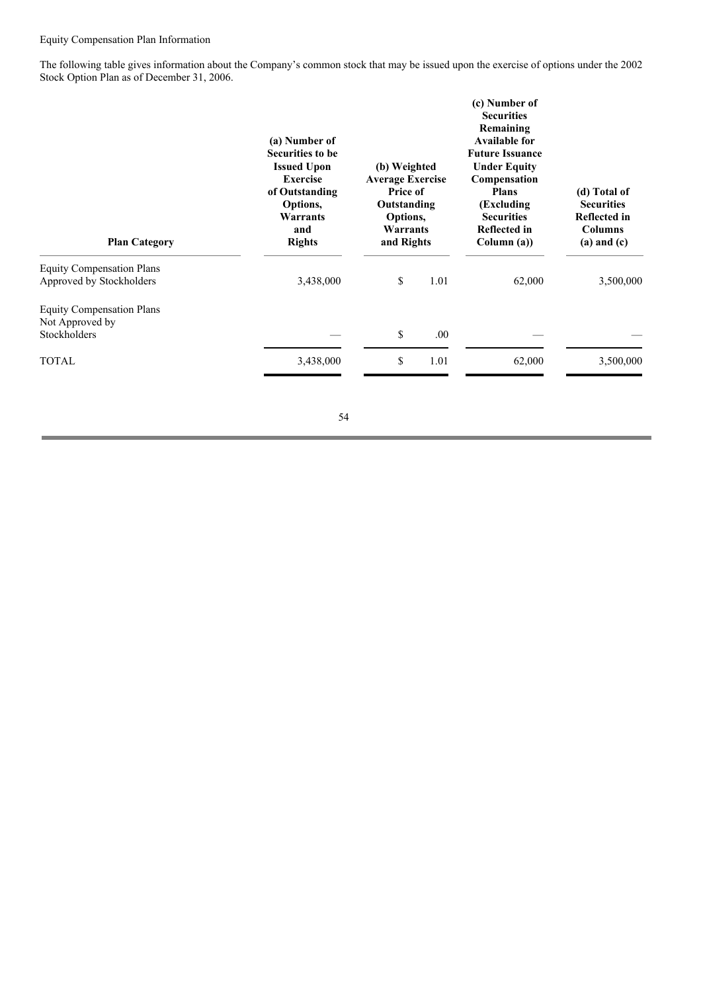## Equity Compensation Plan Information

The following table gives information about the Company's common stock that may be issued upon the exercise of options under the 2002 Stock Option Plan as of December 31, 2006.

| <b>Plan Category</b>                                                | (a) Number of<br><b>Securities to be</b><br><b>Issued Upon</b><br><b>Exercise</b><br>of Outstanding<br>Options,<br>Warrants<br>and<br><b>Rights</b> | (b) Weighted<br><b>Average Exercise</b><br>Price of<br>Outstanding<br>Options,<br>Warrants<br>and Rights |      | (c) Number of<br><b>Securities</b><br>Remaining<br><b>Available for</b><br><b>Future Issuance</b><br><b>Under Equity</b><br>Compensation<br><b>Plans</b><br>(Excluding)<br><b>Securities</b><br><b>Reflected in</b><br>Column (a)) | (d) Total of<br><b>Securities</b><br><b>Reflected in</b><br><b>Columns</b><br>$(a)$ and $(c)$ |  |
|---------------------------------------------------------------------|-----------------------------------------------------------------------------------------------------------------------------------------------------|----------------------------------------------------------------------------------------------------------|------|------------------------------------------------------------------------------------------------------------------------------------------------------------------------------------------------------------------------------------|-----------------------------------------------------------------------------------------------|--|
| <b>Equity Compensation Plans</b><br>Approved by Stockholders        | 3,438,000                                                                                                                                           | \$                                                                                                       | 1.01 | 62,000                                                                                                                                                                                                                             | 3,500,000                                                                                     |  |
| <b>Equity Compensation Plans</b><br>Not Approved by<br>Stockholders |                                                                                                                                                     | \$                                                                                                       | .00. |                                                                                                                                                                                                                                    |                                                                                               |  |
| <b>TOTAL</b>                                                        | 3,438,000                                                                                                                                           | \$                                                                                                       | 1.01 | 62,000                                                                                                                                                                                                                             | 3,500,000                                                                                     |  |
|                                                                     |                                                                                                                                                     |                                                                                                          |      |                                                                                                                                                                                                                                    |                                                                                               |  |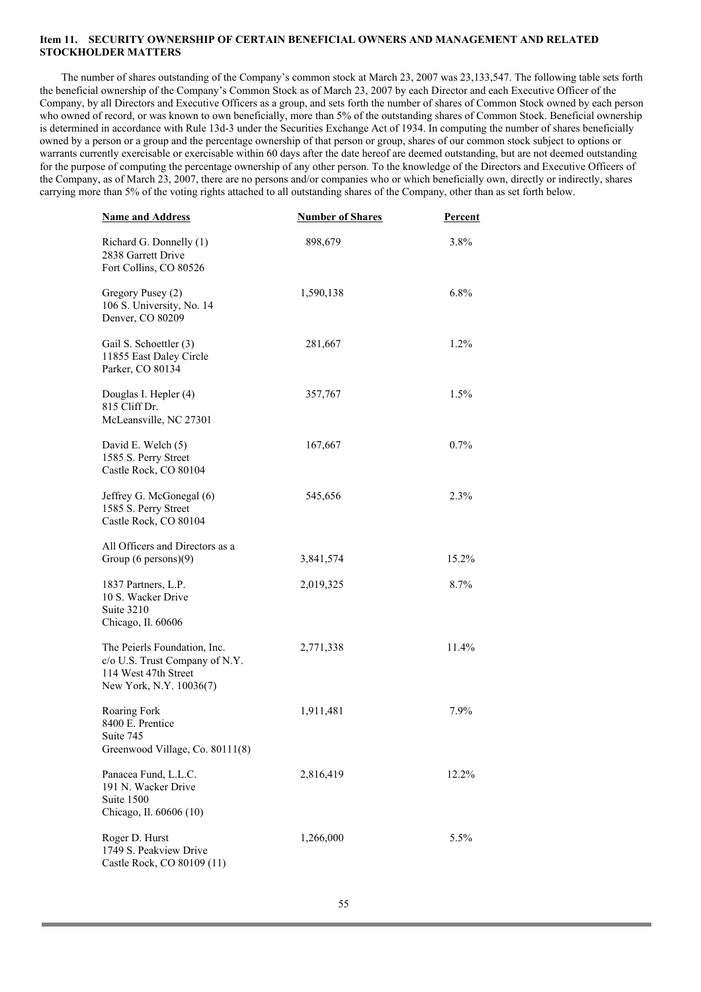## **Item 11. SECURITY OWNERSHIP OF CERTAIN BENEFICIAL OWNERS AND MANAGEMENT AND RELATED STOCKHOLDER MATTERS**

The number of shares outstanding of the Company's common stock at March 23, 2007 was 23,133,547. The following table sets forth the beneficial ownership of the Company's Common Stock as of March 23, 2007 by each Director and each Executive Officer of the Company, by all Directors and Executive Officers as a group, and sets forth the number of shares of Common Stock owned by each person who owned of record, or was known to own beneficially, more than 5% of the outstanding shares of Common Stock. Beneficial ownership is determined in accordance with Rule 13d-3 under the Securities Exchange Act of 1934. In computing the number of shares beneficially owned by a person or a group and the percentage ownership of that person or group, shares of our common stock subject to options or warrants currently exercisable or exercisable within 60 days after the date hereof are deemed outstanding, but are not deemed outstanding for the purpose of computing the percentage ownership of any other person. To the knowledge of the Directors and Executive Officers of the Company, as of March 23, 2007, there are no persons and/or companies who or which beneficially own, directly or indirectly, shares carrying more than 5% of the voting rights attached to all outstanding shares of the Company, other than as set forth below.

| <b>Name and Address</b>                                                                                           | <b>Number of Shares</b> | Percent |  |  |
|-------------------------------------------------------------------------------------------------------------------|-------------------------|---------|--|--|
| Richard G. Donnelly (1)<br>2838 Garrett Drive<br>Fort Collins, CO 80526                                           | 898,679                 | 3.8%    |  |  |
| Gregory Pusey (2)<br>106 S. University, No. 14<br>Denver, CO 80209                                                | 1,590,138               | $6.8\%$ |  |  |
| Gail S. Schoettler (3)<br>11855 East Daley Circle<br>Parker, CO 80134                                             | 281,667                 | 1.2%    |  |  |
| Douglas I. Hepler (4)<br>815 Cliff Dr.<br>McLeansville, NC 27301                                                  | 357,767                 | $1.5\%$ |  |  |
| David E. Welch (5)<br>1585 S. Perry Street<br>Castle Rock, CO 80104                                               | 167,667                 | $0.7\%$ |  |  |
| Jeffrey G. McGonegal (6)<br>1585 S. Perry Street<br>Castle Rock, CO 80104                                         | 545,656                 | 2.3%    |  |  |
| All Officers and Directors as a<br>Group $(6 \text{ persons})$ $(9)$                                              | 3,841,574               | 15.2%   |  |  |
| 1837 Partners, L.P.<br>10 S. Wacker Drive<br>Suite 3210<br>Chicago, Il. 60606                                     | 2,019,325               | 8.7%    |  |  |
| The Peierls Foundation, Inc.<br>c/o U.S. Trust Company of N.Y.<br>114 West 47th Street<br>New York, N.Y. 10036(7) | 2,771,338               | 11.4%   |  |  |
| Roaring Fork<br>8400 E. Prentice<br>Suite 745<br>Greenwood Village, Co. 80111(8)                                  | 1,911,481               | 7.9%    |  |  |
| Panacea Fund, L.L.C.<br>191 N. Wacker Drive<br>Suite 1500<br>Chicago, Il. 60606 (10)                              | 2,816,419               | 12.2%   |  |  |
| Roger D. Hurst<br>1749 S. Peakview Drive<br>Castle Rock, CO 80109 (11)                                            | 1,266,000               | 5.5%    |  |  |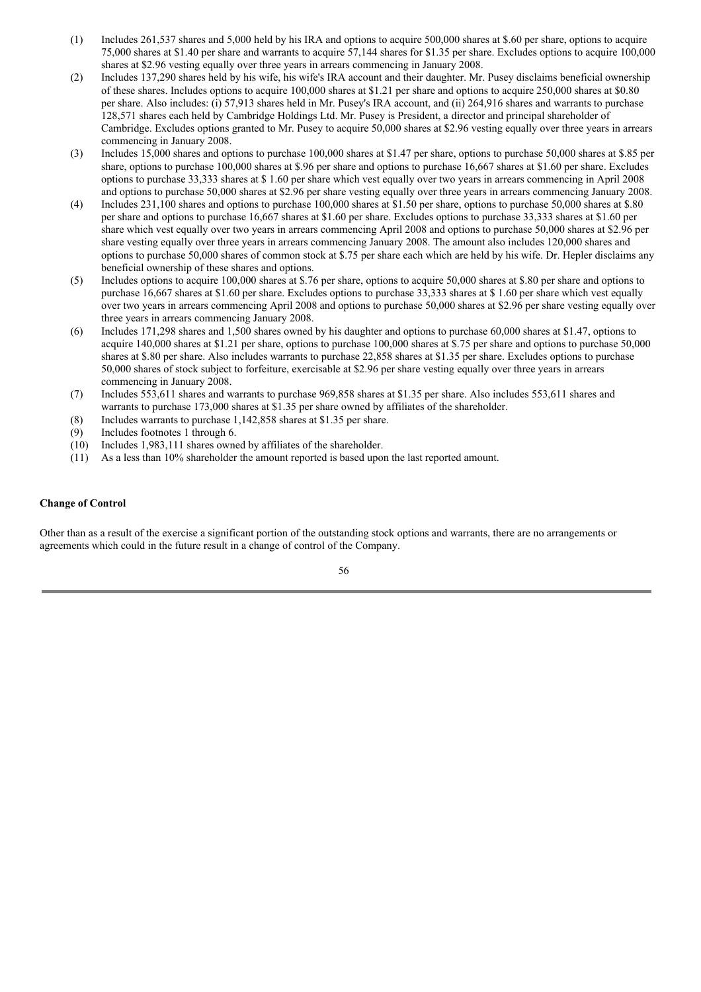- (1) Includes 261,537 shares and 5,000 held by his IRA and options to acquire 500,000 shares at \$.60 per share, options to acquire 75,000 shares at \$1.40 per share and warrants to acquire 57,144 shares for \$1.35 per share. Excludes options to acquire 100,000 shares at \$2.96 vesting equally over three years in arrears commencing in January 2008.
- (2) Includes 137,290 shares held by his wife, his wife's IRA account and their daughter. Mr. Pusey disclaims beneficial ownership of these shares. Includes options to acquire 100,000 shares at \$1.21 per share and options to acquire 250,000 shares at \$0.80 per share. Also includes: (i) 57,913 shares held in Mr. Pusey's IRA account, and (ii) 264,916 shares and warrants to purchase 128,571 shares each held by Cambridge Holdings Ltd. Mr. Pusey is President, a director and principal shareholder of Cambridge. Excludes options granted to Mr. Pusey to acquire 50,000 shares at \$2.96 vesting equally over three years in arrears commencing in January 2008.
- (3) Includes 15,000 shares and options to purchase 100,000 shares at \$1.47 per share, options to purchase 50,000 shares at \$.85 per share, options to purchase 100,000 shares at \$.96 per share and options to purchase 16,667 shares at \$1.60 per share. Excludes options to purchase 33,333 shares at \$ 1.60 per share which vest equally over two years in arrears commencing in April 2008 and options to purchase 50,000 shares at \$2.96 per share vesting equally over three years in arrears commencing January 2008.
- (4) Includes 231,100 shares and options to purchase 100,000 shares at \$1.50 per share, options to purchase 50,000 shares at \$.80 per share and options to purchase 16,667 shares at \$1.60 per share. Excludes options to purchase 33,333 shares at \$1.60 per share which vest equally over two years in arrears commencing April 2008 and options to purchase 50,000 shares at \$2.96 per share vesting equally over three years in arrears commencing January 2008. The amount also includes 120,000 shares and options to purchase 50,000 shares of common stock at \$.75 per share each which are held by his wife. Dr. Hepler disclaims any beneficial ownership of these shares and options.
- (5) Includes options to acquire 100,000 shares at \$.76 per share, options to acquire 50,000 shares at \$.80 per share and options to purchase 16,667 shares at \$1.60 per share. Excludes options to purchase 33,333 shares at \$ 1.60 per share which vest equally over two years in arrears commencing April 2008 and options to purchase 50,000 shares at \$2.96 per share vesting equally over three years in arrears commencing January 2008.
- (6) Includes 171,298 shares and 1,500 shares owned by his daughter and options to purchase 60,000 shares at \$1.47, options to acquire 140,000 shares at \$1.21 per share, options to purchase 100,000 shares at \$.75 per share and options to purchase 50,000 shares at \$.80 per share. Also includes warrants to purchase 22,858 shares at \$1.35 per share. Excludes options to purchase 50,000 shares of stock subject to forfeiture, exercisable at \$2.96 per share vesting equally over three years in arrears commencing in January 2008.
- (7) Includes 553,611 shares and warrants to purchase 969,858 shares at \$1.35 per share. Also includes 553,611 shares and warrants to purchase 173,000 shares at \$1.35 per share owned by affiliates of the shareholder.
- (8) Includes warrants to purchase 1,142,858 shares at \$1.35 per share.
- (9) Includes footnotes 1 through 6.
- (10) Includes 1,983,111 shares owned by affiliates of the shareholder.
- (11) As a less than 10% shareholder the amount reported is based upon the last reported amount.

#### **Change of Control**

Other than as a result of the exercise a significant portion of the outstanding stock options and warrants, there are no arrangements or agreements which could in the future result in a change of control of the Company.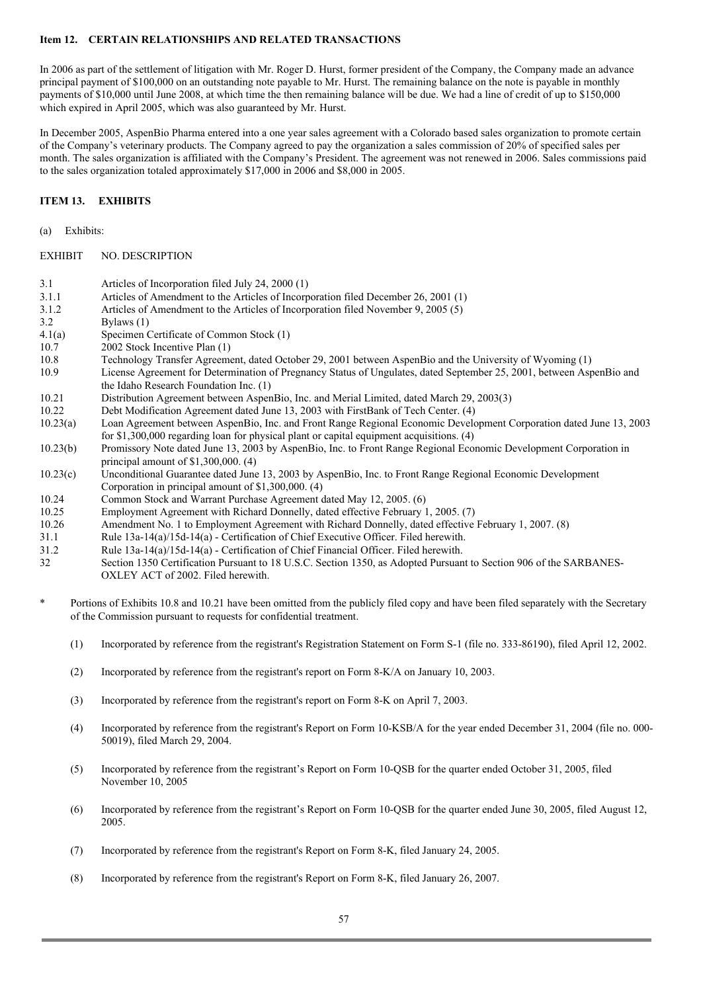## **Item 12. CERTAIN RELATIONSHIPS AND RELATED TRANSACTIONS**

In 2006 as part of the settlement of litigation with Mr. Roger D. Hurst, former president of the Company, the Company made an advance principal payment of \$100,000 on an outstanding note payable to Mr. Hurst. The remaining balance on the note is payable in monthly payments of \$10,000 until June 2008, at which time the then remaining balance will be due. We had a line of credit of up to \$150,000 which expired in April 2005, which was also guaranteed by Mr. Hurst.

In December 2005, AspenBio Pharma entered into a one year sales agreement with a Colorado based sales organization to promote certain of the Company's veterinary products. The Company agreed to pay the organization a sales commission of 20% of specified sales per month. The sales organization is affiliated with the Company's President. The agreement was not renewed in 2006. Sales commissions paid to the sales organization totaled approximately \$17,000 in 2006 and \$8,000 in 2005.

# **ITEM 13. EXHIBITS**

(a) Exhibits:

EXHIBIT NO. DESCRIPTION

- 3.1 Articles of Incorporation filed July 24, 2000 (1)
- 3.1.1 Articles of Amendment to the Articles of Incorporation filed December 26, 2001 (1)
- 3.1.2 Articles of Amendment to the Articles of Incorporation filed November 9, 2005 (5)
- 3.2 Bylaws (1)
- 4.1(a) Specimen Certificate of Common Stock (1)
- 10.7 2002 Stock Incentive Plan (1)
- 10.8 Technology Transfer Agreement, dated October 29, 2001 between AspenBio and the University of Wyoming (1)
- 10.9 License Agreement for Determination of Pregnancy Status of Ungulates, dated September 25, 2001, between AspenBio and the Idaho Research Foundation Inc. (1)
- 10.21 Distribution Agreement between AspenBio, Inc. and Merial Limited, dated March 29, 2003(3)
- 10.22 Debt Modification Agreement dated June 13, 2003 with FirstBank of Tech Center. (4)
- 10.23(a) Loan Agreement between AspenBio, Inc. and Front Range Regional Economic Development Corporation dated June 13, 2003 for \$1,300,000 regarding loan for physical plant or capital equipment acquisitions. (4)
- 10.23(b) Promissory Note dated June 13, 2003 by AspenBio, Inc. to Front Range Regional Economic Development Corporation in principal amount of \$1,300,000. (4)
- 10.23(c) Unconditional Guarantee dated June 13, 2003 by AspenBio, Inc. to Front Range Regional Economic Development Corporation in principal amount of \$1,300,000. (4)
- 10.24 Common Stock and Warrant Purchase Agreement dated May 12, 2005. (6)
- 10.25 Employment Agreement with Richard Donnelly, dated effective February 1, 2005. (7)
- 10.26 Amendment No. 1 to Employment Agreement with Richard Donnelly, dated effective February 1, 2007. (8)
- 31.1 Rule 13a-14(a)/15d-14(a) Certification of Chief Executive Officer. Filed herewith.
- 31.2 Rule 13a-14(a)/15d-14(a) Certification of Chief Financial Officer. Filed herewith.
- 32 Section 1350 Certification Pursuant to 18 U.S.C. Section 1350, as Adopted Pursuant to Section 906 of the SARBANES-OXLEY ACT of 2002. Filed herewith.
- Portions of Exhibits 10.8 and 10.21 have been omitted from the publicly filed copy and have been filed separately with the Secretary of the Commission pursuant to requests for confidential treatment.
	- (1) Incorporated by reference from the registrant's Registration Statement on Form S-1 (file no. 333-86190), filed April 12, 2002.
	- (2) Incorporated by reference from the registrant's report on Form 8-K/A on January 10, 2003.
	- (3) Incorporated by reference from the registrant's report on Form 8-K on April 7, 2003.
	- (4) Incorporated by reference from the registrant's Report on Form 10-KSB/A for the year ended December 31, 2004 (file no. 000- 50019), filed March 29, 2004.
	- (5) Incorporated by reference from the registrant's Report on Form 10-QSB for the quarter ended October 31, 2005, filed November 10, 2005
	- (6) Incorporated by reference from the registrant's Report on Form 10-QSB for the quarter ended June 30, 2005, filed August 12, 2005.
	- (7) Incorporated by reference from the registrant's Report on Form 8-K, filed January 24, 2005.
	- (8) Incorporated by reference from the registrant's Report on Form 8-K, filed January 26, 2007.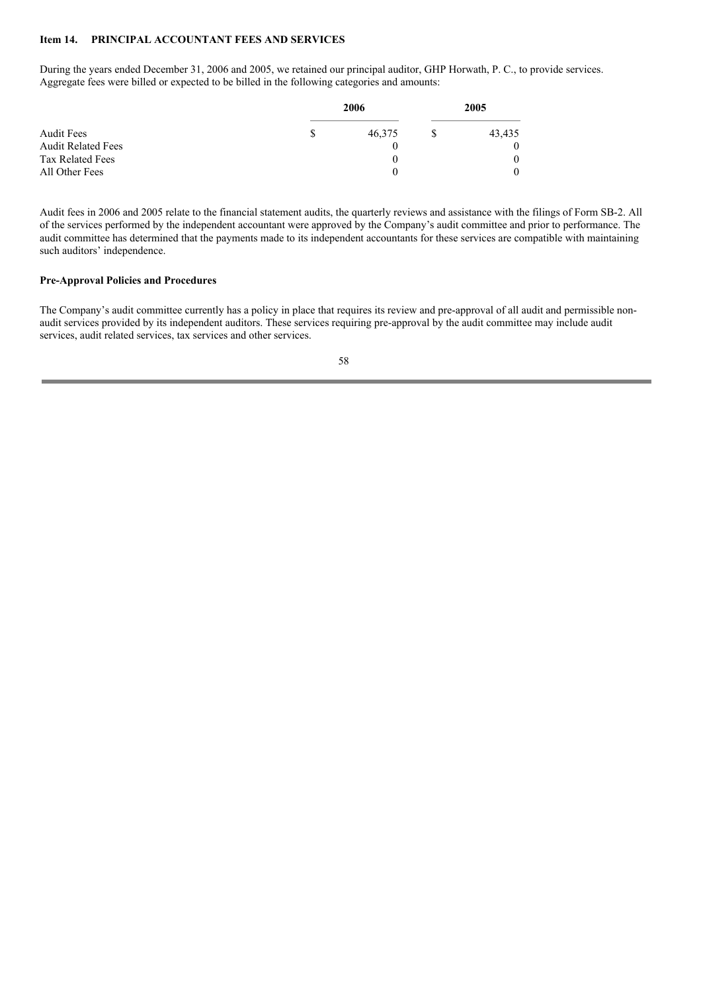## **Item 14. PRINCIPAL ACCOUNTANT FEES AND SERVICES**

During the years ended December 31, 2006 and 2005, we retained our principal auditor, GHP Horwath, P. C., to provide services. Aggregate fees were billed or expected to be billed in the following categories and amounts:

|                           | 2006 |          | 2005 |              |
|---------------------------|------|----------|------|--------------|
| <b>Audit Fees</b>         | \$   | 46,375   |      | 43,435       |
| <b>Audit Related Fees</b> |      |          |      | $\theta$     |
| Tax Related Fees          |      |          |      | $\mathbf{0}$ |
| All Other Fees            |      | $\theta$ |      | $\theta$     |

Audit fees in 2006 and 2005 relate to the financial statement audits, the quarterly reviews and assistance with the filings of Form SB-2. All of the services performed by the independent accountant were approved by the Company's audit committee and prior to performance. The audit committee has determined that the payments made to its independent accountants for these services are compatible with maintaining such auditors' independence.

#### **Pre-Approval Policies and Procedures**

The Company's audit committee currently has a policy in place that requires its review and pre-approval of all audit and permissible nonaudit services provided by its independent auditors. These services requiring pre-approval by the audit committee may include audit services, audit related services, tax services and other services.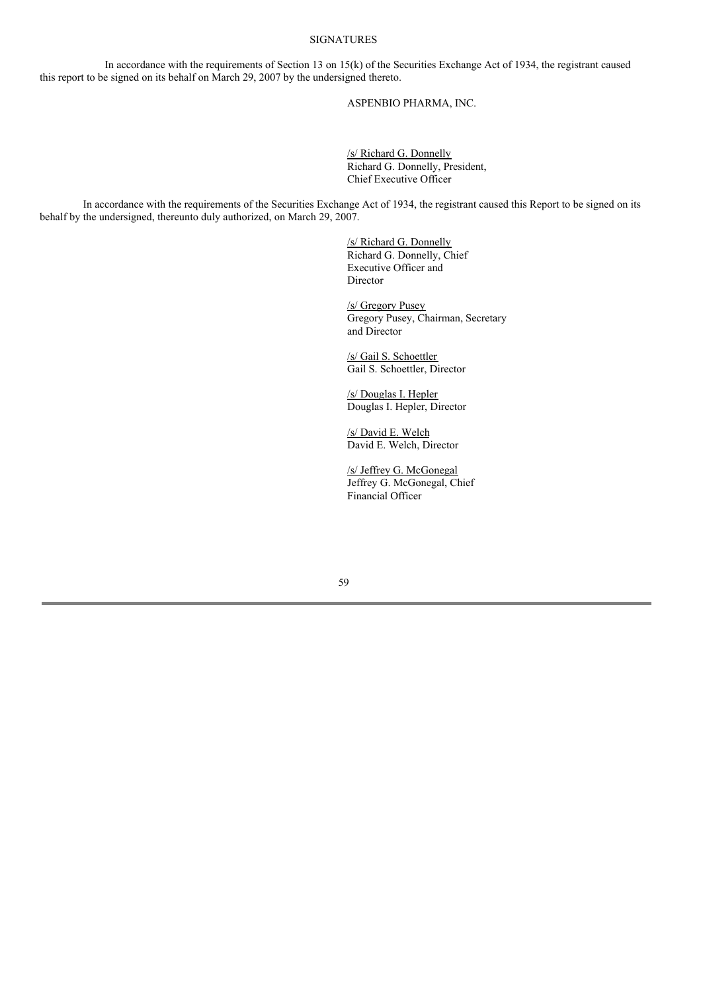### SIGNATURES

In accordance with the requirements of Section 13 on 15(k) of the Securities Exchange Act of 1934, the registrant caused this report to be signed on its behalf on March 29, 2007 by the undersigned thereto.

ASPENBIO PHARMA, INC.

/s/ Richard G. Donnelly Richard G. Donnelly, President, Chief Executive Officer

In accordance with the requirements of the Securities Exchange Act of 1934, the registrant caused this Report to be signed on its behalf by the undersigned, thereunto duly authorized, on March 29, 2007.

> /s/ Richard G. Donnelly Richard G. Donnelly, Chief Executive Officer and Director

/s/ Gregory Pusey Gregory Pusey, Chairman, Secretary and Director

/s/ Gail S. Schoettler Gail S. Schoettler, Director

/s/ Douglas I. Hepler Douglas I. Hepler, Director

/s/ David E. Welch David E. Welch, Director

/s/ Jeffrey G. McGonegal Jeffrey G. McGonegal, Chief Financial Officer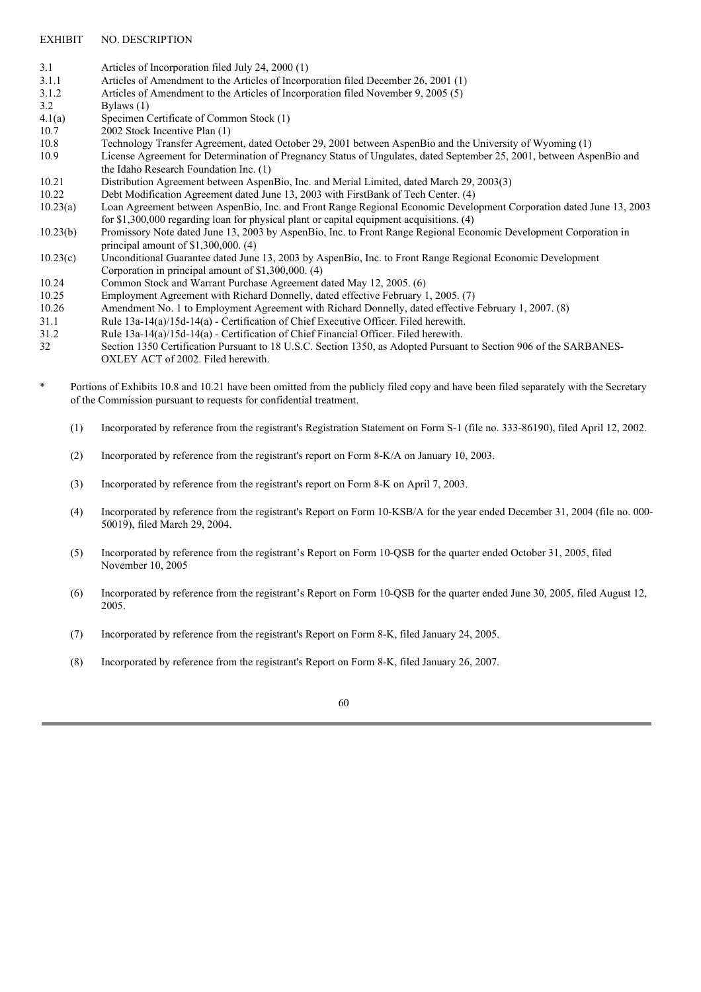- EXHIBIT NO. DESCRIPTION
- 3.1 Articles of Incorporation filed July 24, 2000 (1)
- 3.1.1 Articles of Amendment to the Articles of Incorporation filed December 26, 2001 (1)
- 3.1.2 Articles of Amendment to the Articles of Incorporation filed November 9, 2005 (5)
- 3.2 Bylaws (1)
- 4.1(a) Specimen Certificate of Common Stock (1)
- 10.7 2002 Stock Incentive Plan (1)
- 10.8 Technology Transfer Agreement, dated October 29, 2001 between AspenBio and the University of Wyoming (1)
- 10.9 License Agreement for Determination of Pregnancy Status of Ungulates, dated September 25, 2001, between AspenBio and the Idaho Research Foundation Inc. (1)
- 10.21 Distribution Agreement between AspenBio, Inc. and Merial Limited, dated March 29, 2003(3)
- 10.22 Debt Modification Agreement dated June 13, 2003 with FirstBank of Tech Center. (4)
- 10.23(a) Loan Agreement between AspenBio, Inc. and Front Range Regional Economic Development Corporation dated June 13, 2003 for \$1,300,000 regarding loan for physical plant or capital equipment acquisitions. (4)
- 10.23(b) Promissory Note dated June 13, 2003 by AspenBio, Inc. to Front Range Regional Economic Development Corporation in principal amount of \$1,300,000. (4)
- 10.23(c) Unconditional Guarantee dated June 13, 2003 by AspenBio, Inc. to Front Range Regional Economic Development Corporation in principal amount of \$1,300,000. (4)
- 10.24 Common Stock and Warrant Purchase Agreement dated May 12, 2005. (6)
- 10.25 Employment Agreement with Richard Donnelly, dated effective February 1, 2005. (7)
- 10.26 Amendment No. 1 to Employment Agreement with Richard Donnelly, dated effective February 1, 2007. (8)
- 31.1 Rule 13a-14(a)/15d-14(a) Certification of Chief Executive Officer. Filed herewith.
- 31.2 Rule 13a-14(a)/15d-14(a) Certification of Chief Financial Officer. Filed herewith.
- 32 Section 1350 Certification Pursuant to 18 U.S.C. Section 1350, as Adopted Pursuant to Section 906 of the SARBANES-OXLEY ACT of 2002. Filed herewith.
- \* Portions of Exhibits 10.8 and 10.21 have been omitted from the publicly filed copy and have been filed separately with the Secretary of the Commission pursuant to requests for confidential treatment.
	- (1) Incorporated by reference from the registrant's Registration Statement on Form S-1 (file no. 333-86190), filed April 12, 2002.
	- (2) Incorporated by reference from the registrant's report on Form 8-K/A on January 10, 2003.
	- (3) Incorporated by reference from the registrant's report on Form 8-K on April 7, 2003.
	- (4) Incorporated by reference from the registrant's Report on Form 10-KSB/A for the year ended December 31, 2004 (file no. 000- 50019), filed March 29, 2004.
	- (5) Incorporated by reference from the registrant's Report on Form 10-QSB for the quarter ended October 31, 2005, filed November 10, 2005
	- (6) Incorporated by reference from the registrant's Report on Form 10-QSB for the quarter ended June 30, 2005, filed August 12, 2005.
	- (7) Incorporated by reference from the registrant's Report on Form 8-K, filed January 24, 2005.
	- (8) Incorporated by reference from the registrant's Report on Form 8-K, filed January 26, 2007.

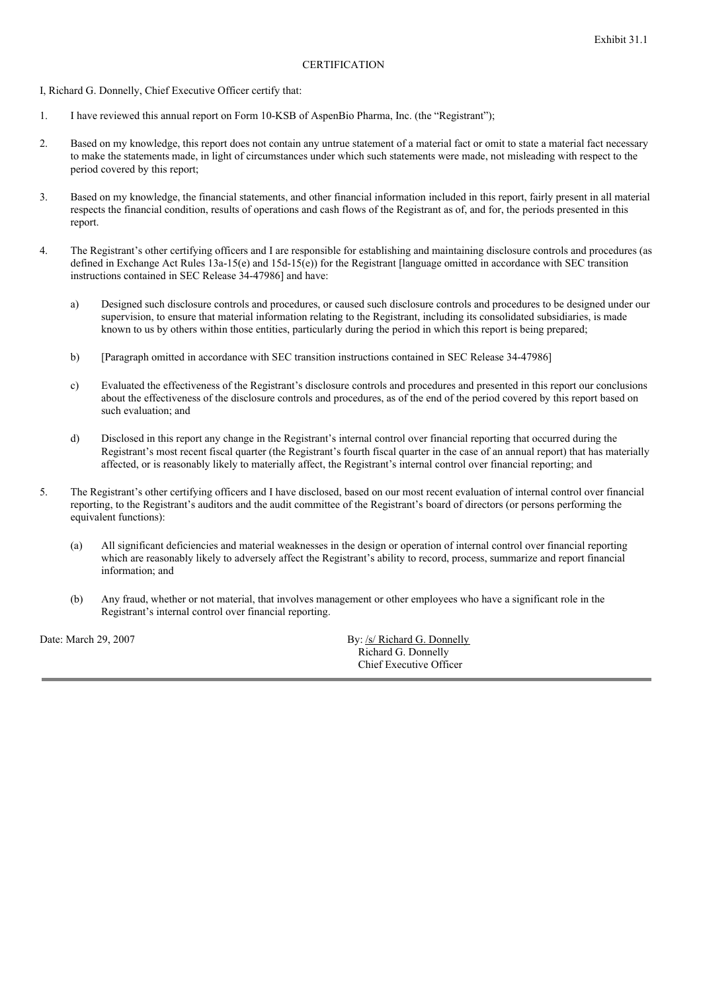#### **CERTIFICATION**

I, Richard G. Donnelly, Chief Executive Officer certify that:

- 1. I have reviewed this annual report on Form 10-KSB of AspenBio Pharma, Inc. (the "Registrant");
- 2. Based on my knowledge, this report does not contain any untrue statement of a material fact or omit to state a material fact necessary to make the statements made, in light of circumstances under which such statements were made, not misleading with respect to the period covered by this report;
- 3. Based on my knowledge, the financial statements, and other financial information included in this report, fairly present in all material respects the financial condition, results of operations and cash flows of the Registrant as of, and for, the periods presented in this report.
- 4. The Registrant's other certifying officers and I are responsible for establishing and maintaining disclosure controls and procedures (as defined in Exchange Act Rules 13a-15(e) and 15d-15(e)) for the Registrant [language omitted in accordance with SEC transition instructions contained in SEC Release 34-47986] and have:
	- a) Designed such disclosure controls and procedures, or caused such disclosure controls and procedures to be designed under our supervision, to ensure that material information relating to the Registrant, including its consolidated subsidiaries, is made known to us by others within those entities, particularly during the period in which this report is being prepared;
	- b) [Paragraph omitted in accordance with SEC transition instructions contained in SEC Release 34-47986]
	- c) Evaluated the effectiveness of the Registrant's disclosure controls and procedures and presented in this report our conclusions about the effectiveness of the disclosure controls and procedures, as of the end of the period covered by this report based on such evaluation; and
	- d) Disclosed in this report any change in the Registrant's internal control over financial reporting that occurred during the Registrant's most recent fiscal quarter (the Registrant's fourth fiscal quarter in the case of an annual report) that has materially affected, or is reasonably likely to materially affect, the Registrant's internal control over financial reporting; and
- 5. The Registrant's other certifying officers and I have disclosed, based on our most recent evaluation of internal control over financial reporting, to the Registrant's auditors and the audit committee of the Registrant's board of directors (or persons performing the equivalent functions):
	- (a) All significant deficiencies and material weaknesses in the design or operation of internal control over financial reporting which are reasonably likely to adversely affect the Registrant's ability to record, process, summarize and report financial information; and
	- (b) Any fraud, whether or not material, that involves management or other employees who have a significant role in the Registrant's internal control over financial reporting.

Date: March 29, 2007 By: /s/ Richard G. Donnelly Richard G. Donnelly Chief Executive Officer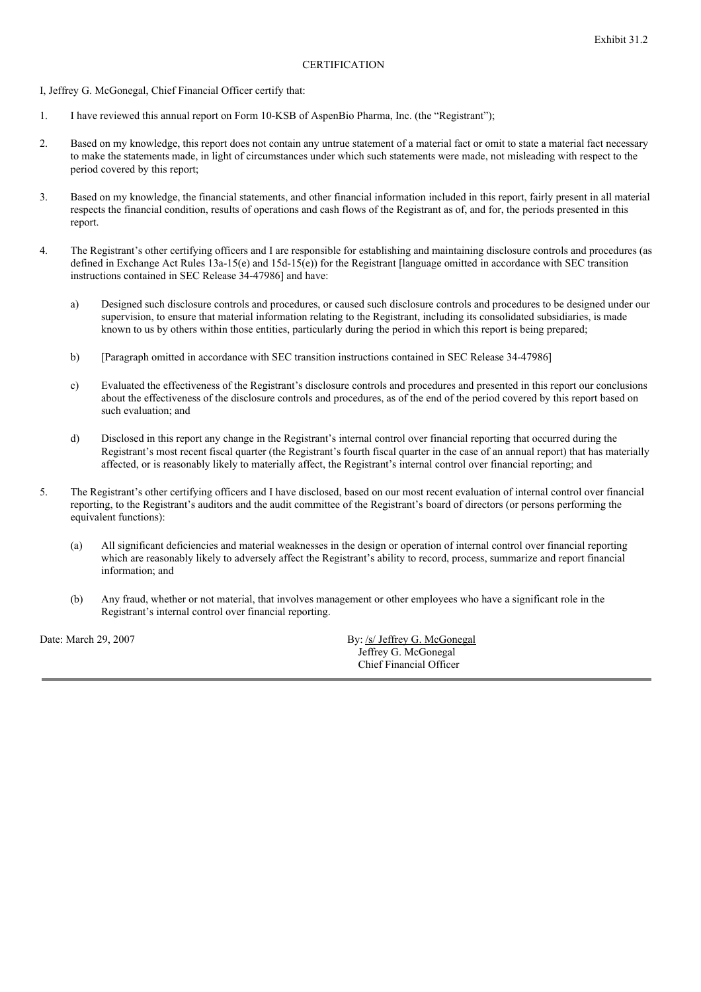### **CERTIFICATION**

I, Jeffrey G. McGonegal, Chief Financial Officer certify that:

- 1. I have reviewed this annual report on Form 10-KSB of AspenBio Pharma, Inc. (the "Registrant");
- 2. Based on my knowledge, this report does not contain any untrue statement of a material fact or omit to state a material fact necessary to make the statements made, in light of circumstances under which such statements were made, not misleading with respect to the period covered by this report;
- 3. Based on my knowledge, the financial statements, and other financial information included in this report, fairly present in all material respects the financial condition, results of operations and cash flows of the Registrant as of, and for, the periods presented in this report.
- 4. The Registrant's other certifying officers and I are responsible for establishing and maintaining disclosure controls and procedures (as defined in Exchange Act Rules 13a-15(e) and 15d-15(e)) for the Registrant [language omitted in accordance with SEC transition instructions contained in SEC Release 34-47986] and have:
	- a) Designed such disclosure controls and procedures, or caused such disclosure controls and procedures to be designed under our supervision, to ensure that material information relating to the Registrant, including its consolidated subsidiaries, is made known to us by others within those entities, particularly during the period in which this report is being prepared;
	- b) [Paragraph omitted in accordance with SEC transition instructions contained in SEC Release 34-47986]
	- c) Evaluated the effectiveness of the Registrant's disclosure controls and procedures and presented in this report our conclusions about the effectiveness of the disclosure controls and procedures, as of the end of the period covered by this report based on such evaluation; and
	- d) Disclosed in this report any change in the Registrant's internal control over financial reporting that occurred during the Registrant's most recent fiscal quarter (the Registrant's fourth fiscal quarter in the case of an annual report) that has materially affected, or is reasonably likely to materially affect, the Registrant's internal control over financial reporting; and
- 5. The Registrant's other certifying officers and I have disclosed, based on our most recent evaluation of internal control over financial reporting, to the Registrant's auditors and the audit committee of the Registrant's board of directors (or persons performing the equivalent functions):
	- (a) All significant deficiencies and material weaknesses in the design or operation of internal control over financial reporting which are reasonably likely to adversely affect the Registrant's ability to record, process, summarize and report financial information; and
	- (b) Any fraud, whether or not material, that involves management or other employees who have a significant role in the Registrant's internal control over financial reporting.

Date: March 29, 2007 By: /s/ Jeffrey G. McGonegal Jeffrey G. McGonegal Chief Financial Officer